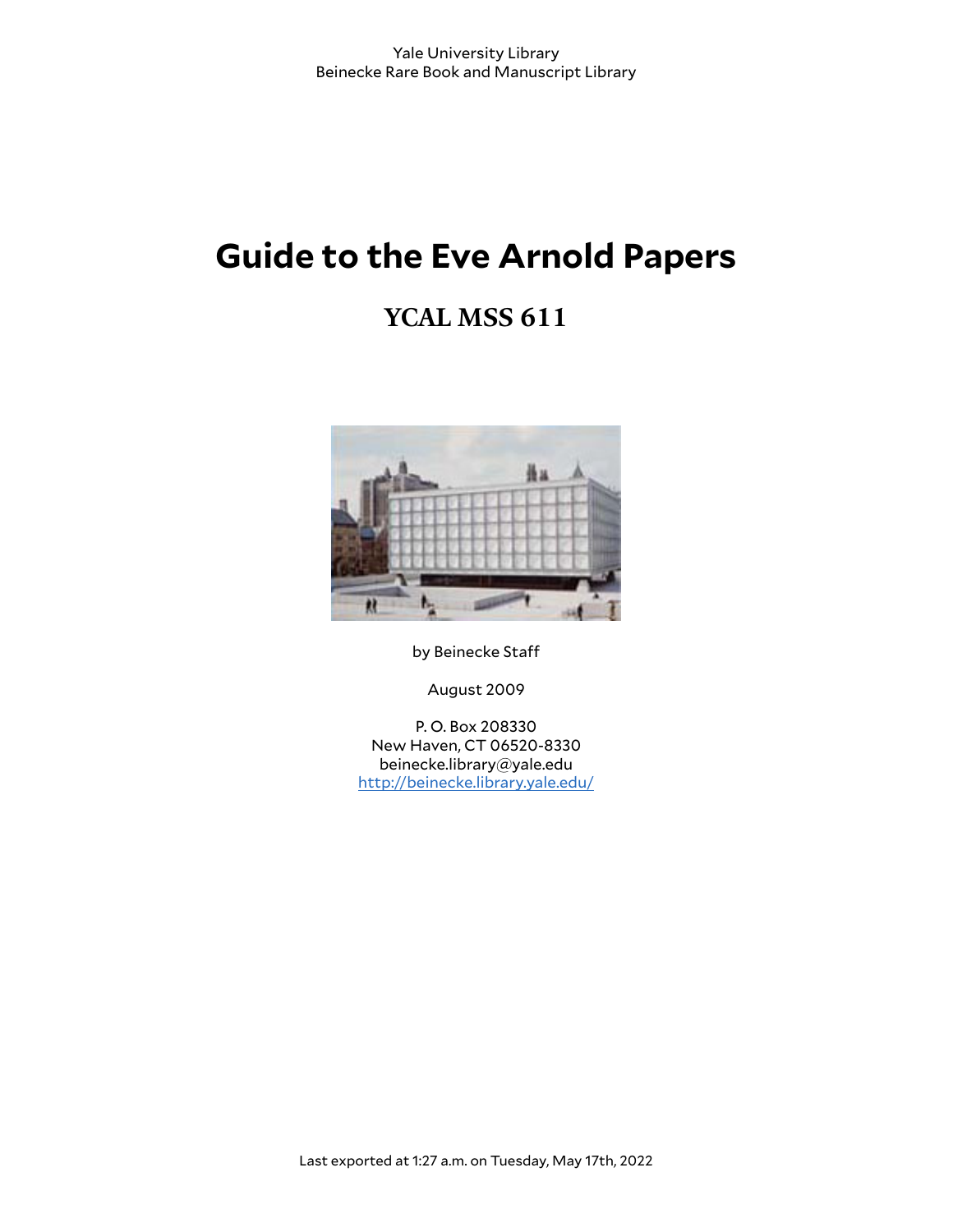# **Guide to the Eve Arnold Papers**

## **YCAL MSS 611**



by Beinecke Staff

August 2009

P. O. Box 208330 New Haven, CT 06520-8330 beinecke.library@yale.edu <http://beinecke.library.yale.edu/>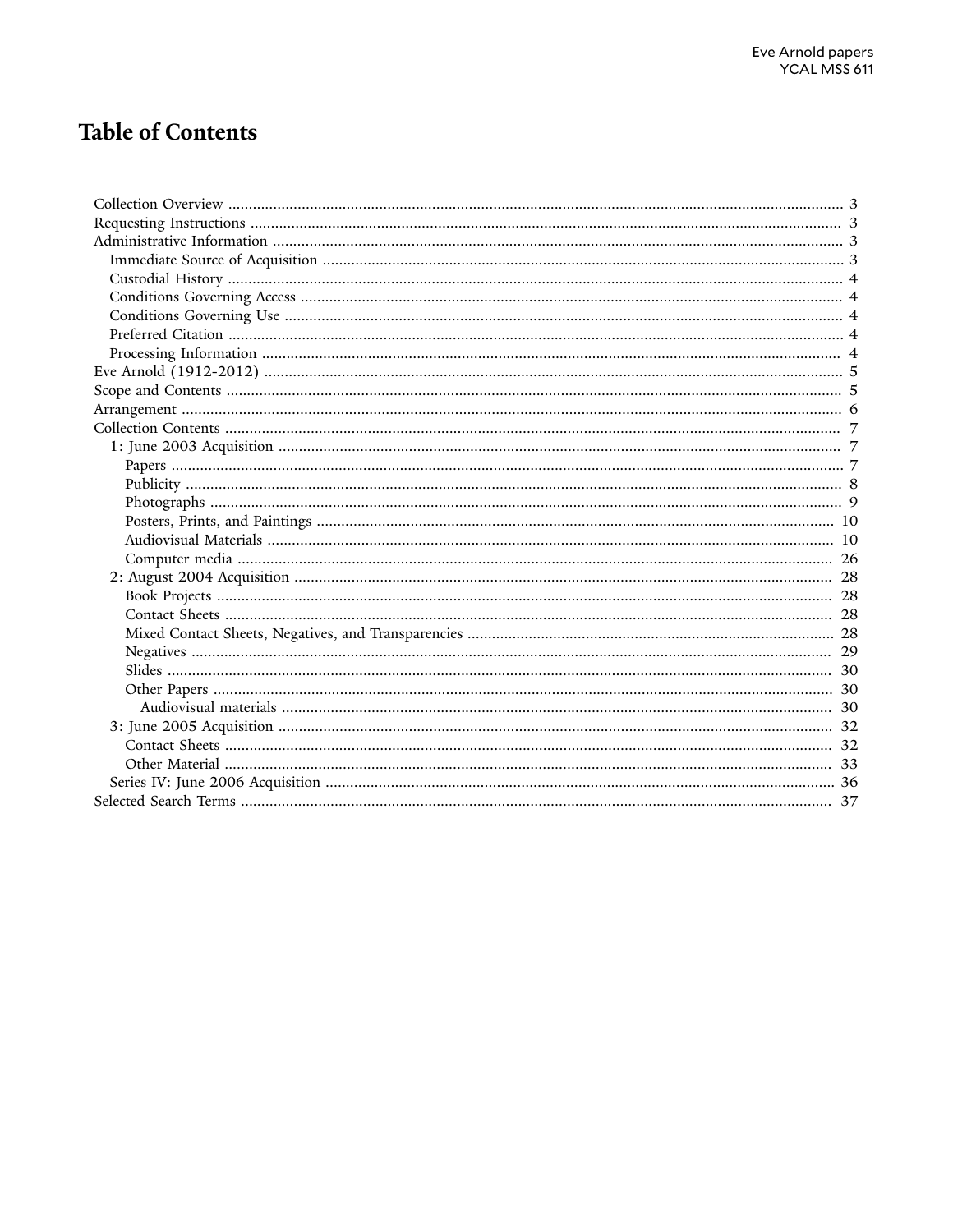## **Table of Contents**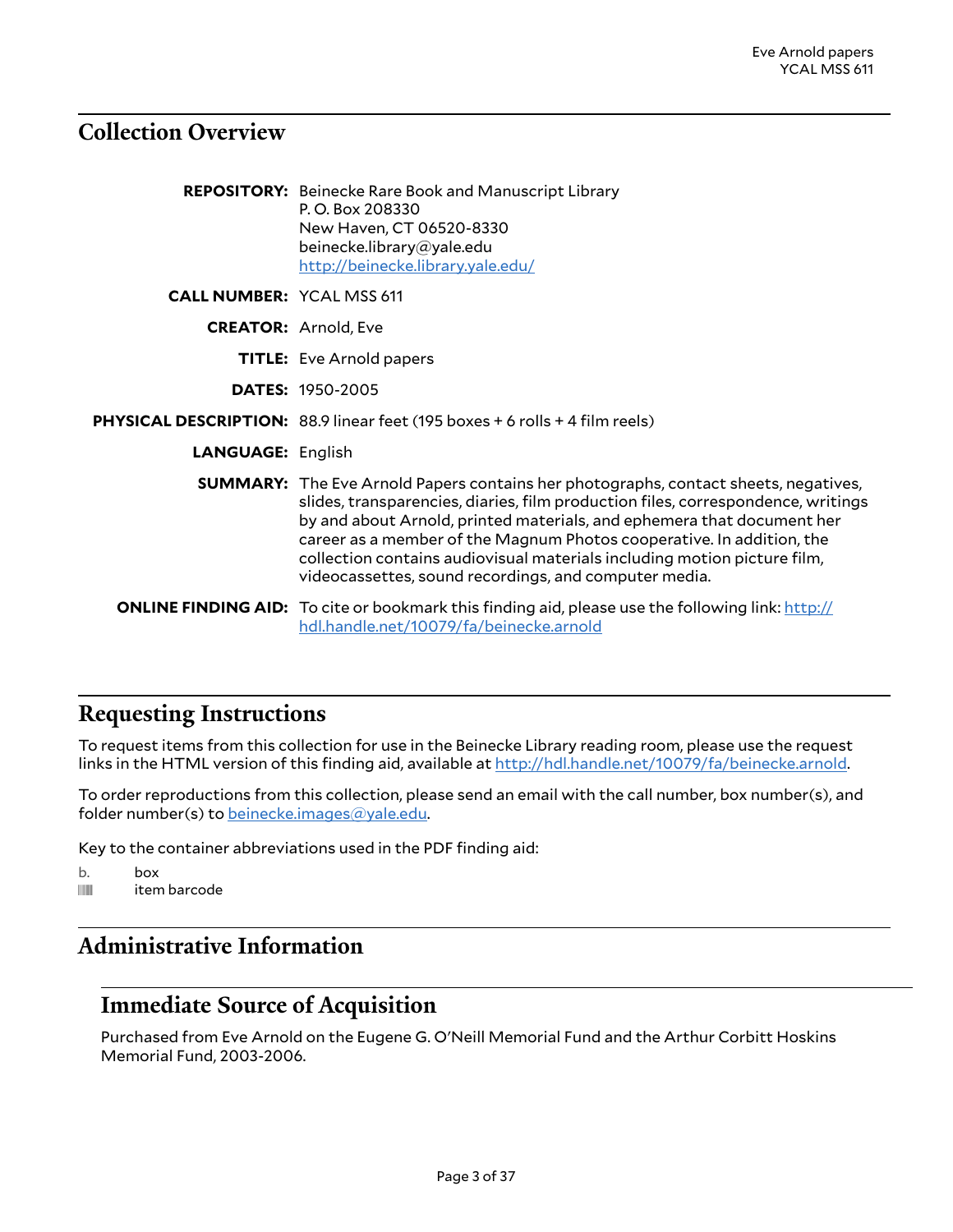## <span id="page-2-0"></span>**Collection Overview**

|                                  | <b>REPOSITORY:</b> Beinecke Rare Book and Manuscript Library<br>P.O. Box 208330<br>New Haven, CT 06520-8330<br>beinecke.library@yale.edu<br>http://beinecke.library.yale.edu/                                                                                                                                                                                                                                                                                          |
|----------------------------------|------------------------------------------------------------------------------------------------------------------------------------------------------------------------------------------------------------------------------------------------------------------------------------------------------------------------------------------------------------------------------------------------------------------------------------------------------------------------|
| <b>CALL NUMBER: YCAL MSS 611</b> |                                                                                                                                                                                                                                                                                                                                                                                                                                                                        |
|                                  | <b>CREATOR: Arnold, Eve</b>                                                                                                                                                                                                                                                                                                                                                                                                                                            |
|                                  | <b>TITLE:</b> Eve Arnold papers                                                                                                                                                                                                                                                                                                                                                                                                                                        |
|                                  | <b>DATES: 1950-2005</b>                                                                                                                                                                                                                                                                                                                                                                                                                                                |
|                                  | PHYSICAL DESCRIPTION: 88.9 linear feet (195 boxes + 6 rolls + 4 film reels)                                                                                                                                                                                                                                                                                                                                                                                            |
| <b>LANGUAGE: English</b>         |                                                                                                                                                                                                                                                                                                                                                                                                                                                                        |
|                                  | <b>SUMMARY:</b> The Eve Arnold Papers contains her photographs, contact sheets, negatives,<br>slides, transparencies, diaries, film production files, correspondence, writings<br>by and about Arnold, printed materials, and ephemera that document her<br>career as a member of the Magnum Photos cooperative. In addition, the<br>collection contains audiovisual materials including motion picture film,<br>videocassettes, sound recordings, and computer media. |
|                                  | <b>ONLINE FINDING AID:</b> To cite or bookmark this finding aid, please use the following link: http://<br>hdl.handle.net/10079/fa/beinecke.arnold                                                                                                                                                                                                                                                                                                                     |

## <span id="page-2-1"></span>**Requesting Instructions**

To request items from this collection for use in the Beinecke Library reading room, please use the request links in the HTML version of this finding aid, available at <http://hdl.handle.net/10079/fa/beinecke.arnold>.

To order reproductions from this collection, please send an email with the call number, box number(s), and folder number(s) to [beinecke.images@yale.edu.](mailto:beinecke.images@yale.edu)

Key to the container abbreviations used in the PDF finding aid:

- b. box
- **iffull** item barcode

## <span id="page-2-2"></span>**Administrative Information**

### <span id="page-2-3"></span>**Immediate Source of Acquisition**

Purchased from Eve Arnold on the Eugene G. O'Neill Memorial Fund and the Arthur Corbitt Hoskins Memorial Fund, 2003-2006.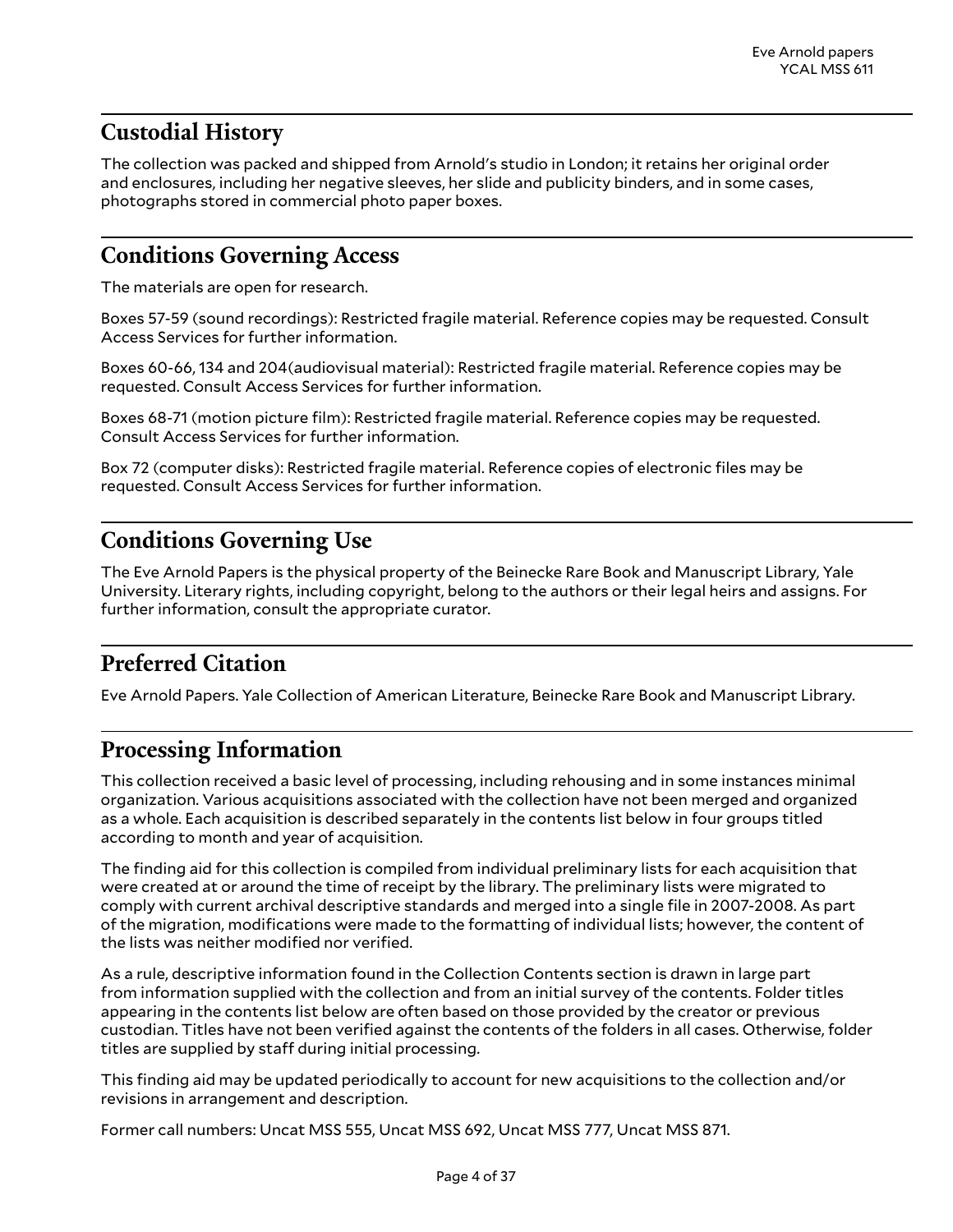## <span id="page-3-0"></span>**Custodial History**

The collection was packed and shipped from Arnold's studio in London; it retains her original order and enclosures, including her negative sleeves, her slide and publicity binders, and in some cases, photographs stored in commercial photo paper boxes.

## <span id="page-3-1"></span>**Conditions Governing Access**

The materials are open for research.

Boxes 57-59 (sound recordings): Restricted fragile material. Reference copies may be requested. Consult Access Services for further information.

Boxes 60-66, 134 and 204(audiovisual material): Restricted fragile material. Reference copies may be requested. Consult Access Services for further information.

Boxes 68-71 (motion picture film): Restricted fragile material. Reference copies may be requested. Consult Access Services for further information.

Box 72 (computer disks): Restricted fragile material. Reference copies of electronic files may be requested. Consult Access Services for further information.

## <span id="page-3-2"></span>**Conditions Governing Use**

The Eve Arnold Papers is the physical property of the Beinecke Rare Book and Manuscript Library, Yale University. Literary rights, including copyright, belong to the authors or their legal heirs and assigns. For further information, consult the appropriate curator.

## <span id="page-3-3"></span>**Preferred Citation**

Eve Arnold Papers. Yale Collection of American Literature, Beinecke Rare Book and Manuscript Library.

## <span id="page-3-4"></span>**Processing Information**

This collection received a basic level of processing, including rehousing and in some instances minimal organization. Various acquisitions associated with the collection have not been merged and organized as a whole. Each acquisition is described separately in the contents list below in four groups titled according to month and year of acquisition.

The finding aid for this collection is compiled from individual preliminary lists for each acquisition that were created at or around the time of receipt by the library. The preliminary lists were migrated to comply with current archival descriptive standards and merged into a single file in 2007-2008. As part of the migration, modifications were made to the formatting of individual lists; however, the content of the lists was neither modified nor verified.

As a rule, descriptive information found in the Collection Contents section is drawn in large part from information supplied with the collection and from an initial survey of the contents. Folder titles appearing in the contents list below are often based on those provided by the creator or previous custodian. Titles have not been verified against the contents of the folders in all cases. Otherwise, folder titles are supplied by staff during initial processing.

This finding aid may be updated periodically to account for new acquisitions to the collection and/or revisions in arrangement and description.

Former call numbers: Uncat MSS 555, Uncat MSS 692, Uncat MSS 777, Uncat MSS 871.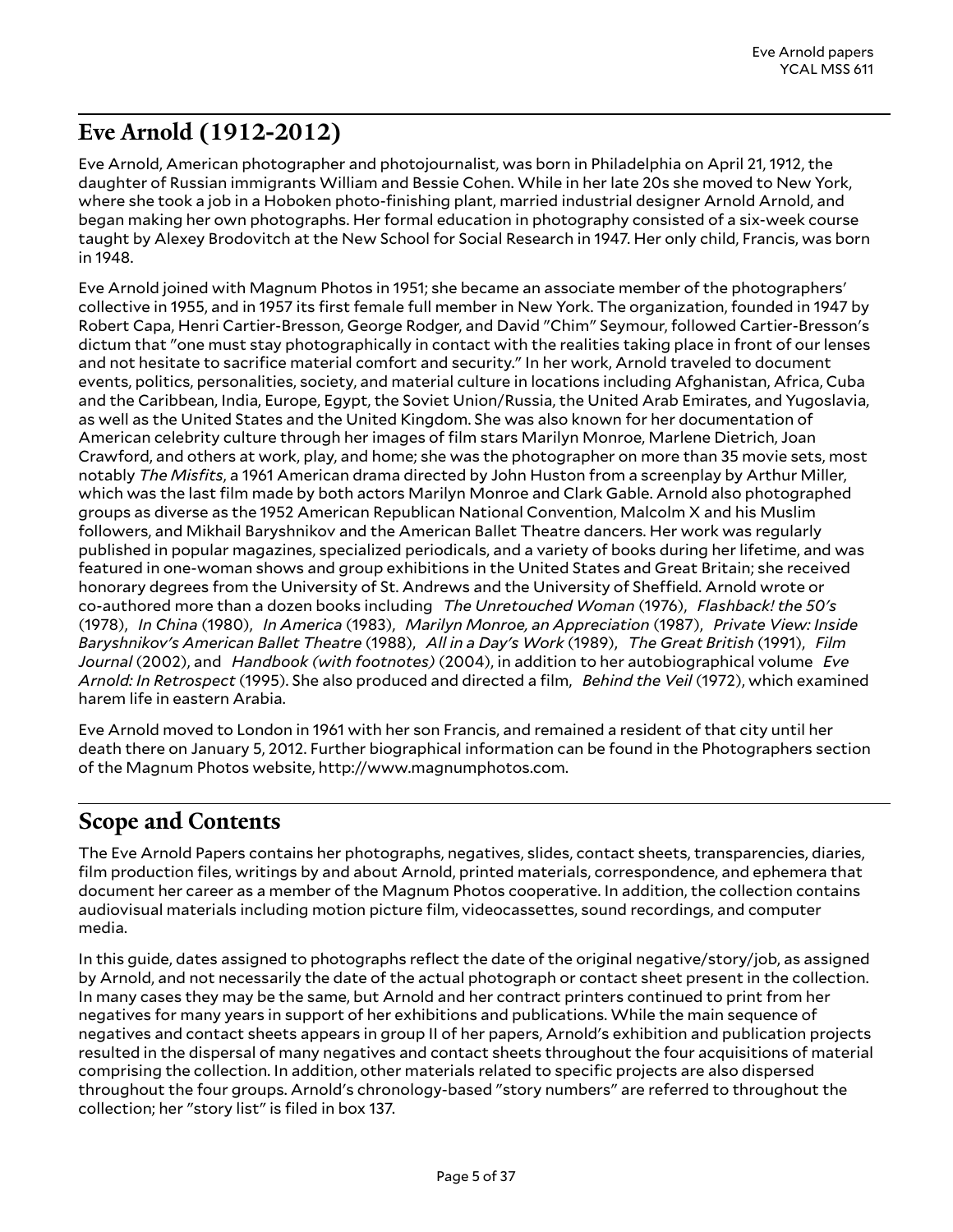## <span id="page-4-0"></span>**Eve Arnold (1912-2012)**

Eve Arnold, American photographer and photojournalist, was born in Philadelphia on April 21, 1912, the daughter of Russian immigrants William and Bessie Cohen. While in her late 20s she moved to New York, where she took a job in a Hoboken photo-finishing plant, married industrial designer Arnold Arnold, and began making her own photographs. Her formal education in photography consisted of a six-week course taught by Alexey Brodovitch at the New School for Social Research in 1947. Her only child, Francis, was born in 1948.

Eve Arnold joined with Magnum Photos in 1951; she became an associate member of the photographers' collective in 1955, and in 1957 its first female full member in New York. The organization, founded in 1947 by Robert Capa, Henri Cartier-Bresson, George Rodger, and David "Chim" Seymour, followed Cartier-Bresson's dictum that "one must stay photographically in contact with the realities taking place in front of our lenses and not hesitate to sacrifice material comfort and security." In her work, Arnold traveled to document events, politics, personalities, society, and material culture in locations including Afghanistan, Africa, Cuba and the Caribbean, India, Europe, Egypt, the Soviet Union/Russia, the United Arab Emirates, and Yugoslavia, as well as the United States and the United Kingdom. She was also known for her documentation of American celebrity culture through her images of film stars Marilyn Monroe, Marlene Dietrich, Joan Crawford, and others at work, play, and home; she was the photographer on more than 35 movie sets, most notably *The Misfits*, a 1961 American drama directed by John Huston from a screenplay by Arthur Miller, which was the last film made by both actors Marilyn Monroe and Clark Gable. Arnold also photographed groups as diverse as the 1952 American Republican National Convention, Malcolm X and his Muslim followers, and Mikhail Baryshnikov and the American Ballet Theatre dancers. Her work was regularly published in popular magazines, specialized periodicals, and a variety of books during her lifetime, and was featured in one-woman shows and group exhibitions in the United States and Great Britain; she received honorary degrees from the University of St. Andrews and the University of Sheffield. Arnold wrote or co-authored more than a dozen books including *The Unretouched Woman* (1976), *Flashback! the 50's* (1978), *In China* (1980), *In America* (1983), *Marilyn Monroe, an Appreciation* (1987), *Private View: Inside Baryshnikov's American Ballet Theatre* (1988), *All in a Day's Work* (1989), *The Great British* (1991), *Film Journal* (2002), and *Handbook (with footnotes)* (2004), in addition to her autobiographical volume *Eve Arnold: In Retrospect* (1995). She also produced and directed a film, *Behind the Veil* (1972), which examined harem life in eastern Arabia.

Eve Arnold moved to London in 1961 with her son Francis, and remained a resident of that city until her death there on January 5, 2012. Further biographical information can be found in the Photographers section of the Magnum Photos website, http://www.magnumphotos.com.

## <span id="page-4-1"></span>**Scope and Contents**

The Eve Arnold Papers contains her photographs, negatives, slides, contact sheets, transparencies, diaries, film production files, writings by and about Arnold, printed materials, correspondence, and ephemera that document her career as a member of the Magnum Photos cooperative. In addition, the collection contains audiovisual materials including motion picture film, videocassettes, sound recordings, and computer media.

In this guide, dates assigned to photographs reflect the date of the original negative/story/job, as assigned by Arnold, and not necessarily the date of the actual photograph or contact sheet present in the collection. In many cases they may be the same, but Arnold and her contract printers continued to print from her negatives for many years in support of her exhibitions and publications. While the main sequence of negatives and contact sheets appears in group II of her papers, Arnold's exhibition and publication projects resulted in the dispersal of many negatives and contact sheets throughout the four acquisitions of material comprising the collection. In addition, other materials related to specific projects are also dispersed throughout the four groups. Arnold's chronology-based "story numbers" are referred to throughout the collection; her "story list" is filed in box 137.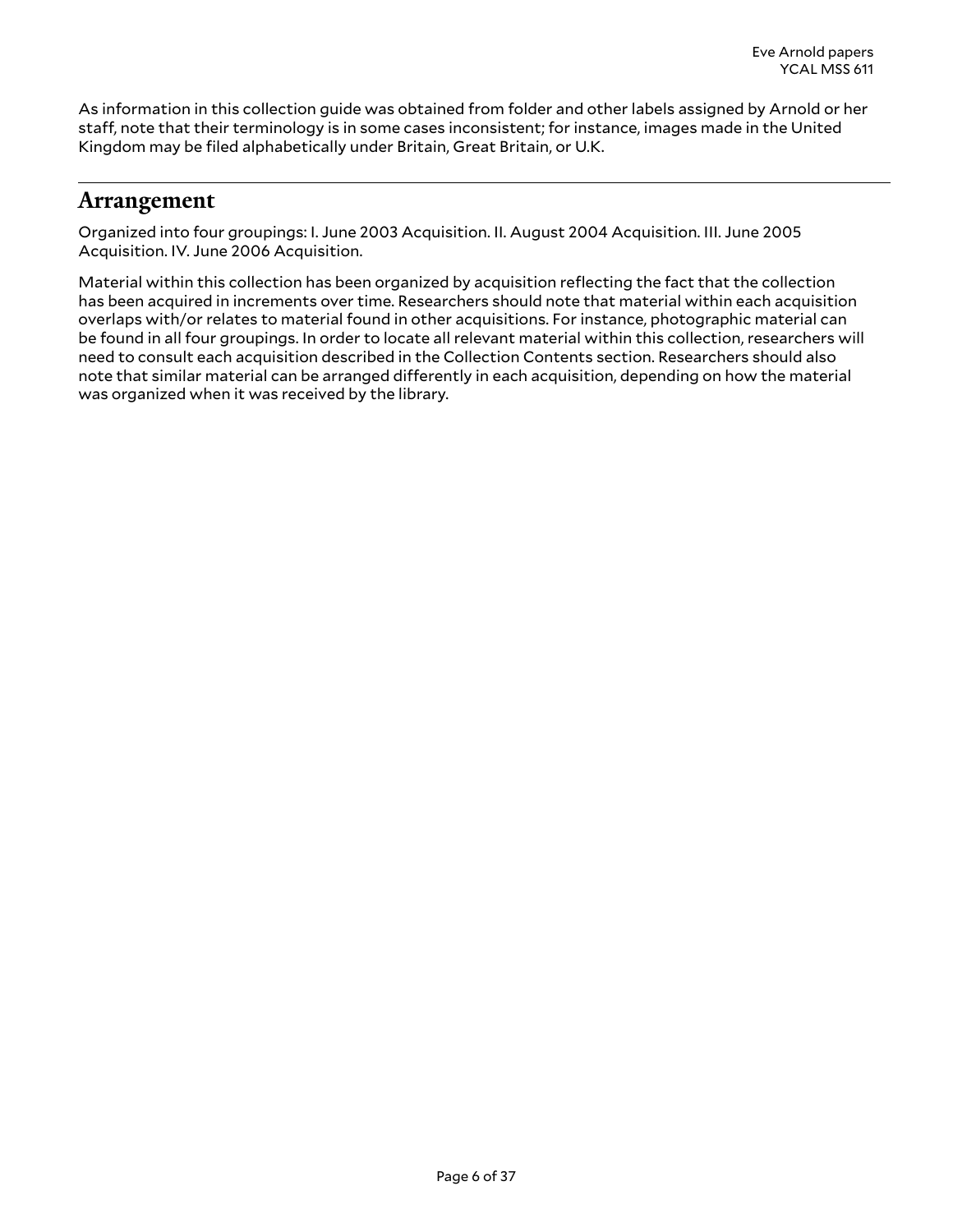As information in this collection guide was obtained from folder and other labels assigned by Arnold or her staff, note that their terminology is in some cases inconsistent; for instance, images made in the United Kingdom may be filed alphabetically under Britain, Great Britain, or U.K.

### <span id="page-5-0"></span>**Arrangement**

Organized into four groupings: I. June 2003 Acquisition. II. August 2004 Acquisition. III. June 2005 Acquisition. IV. June 2006 Acquisition.

Material within this collection has been organized by acquisition reflecting the fact that the collection has been acquired in increments over time. Researchers should note that material within each acquisition overlaps with/or relates to material found in other acquisitions. For instance, photographic material can be found in all four groupings. In order to locate all relevant material within this collection, researchers will need to consult each acquisition described in the Collection Contents section. Researchers should also note that similar material can be arranged differently in each acquisition, depending on how the material was organized when it was received by the library.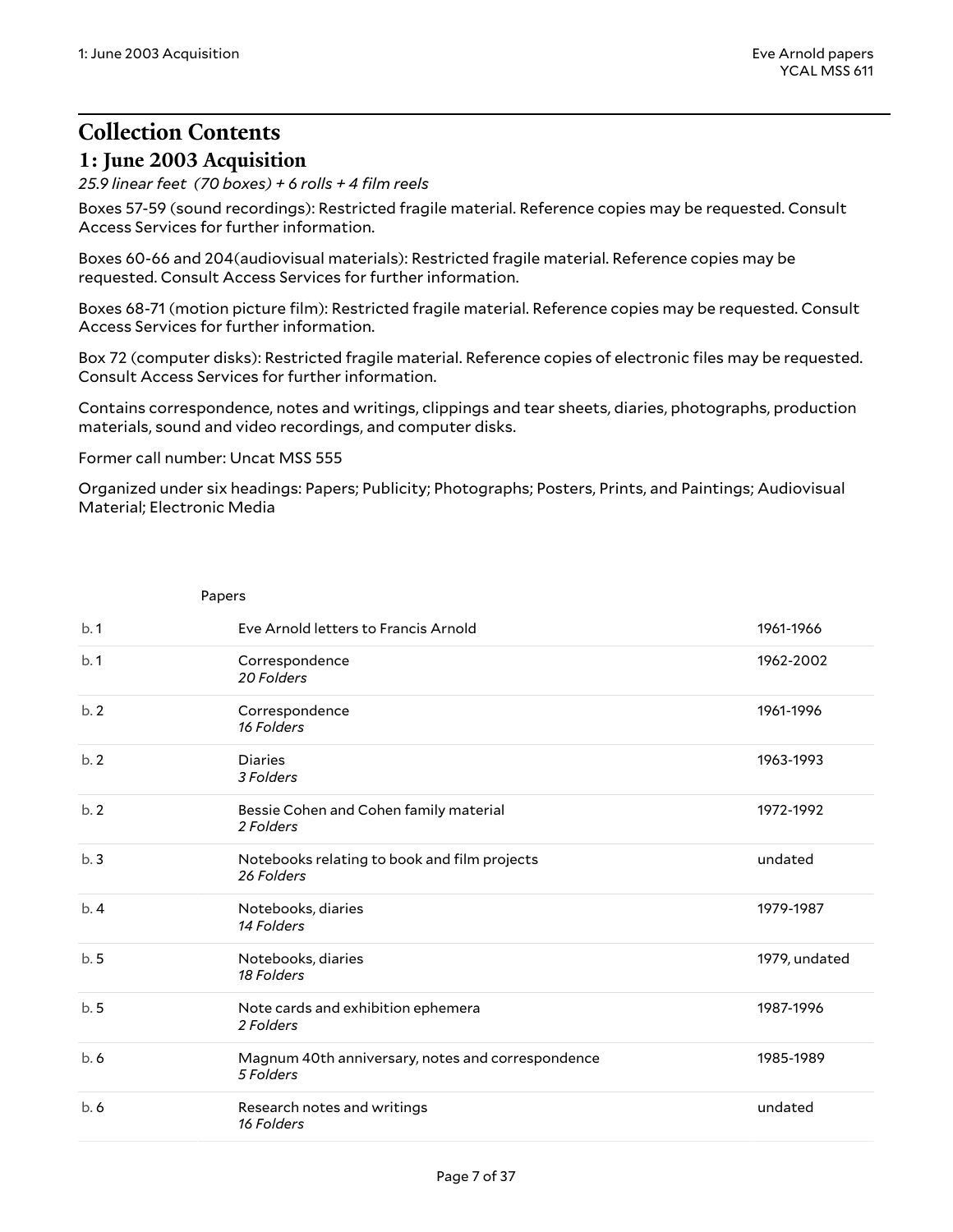## <span id="page-6-0"></span>**Collection Contents 1: June 2003 Acquisition**

<span id="page-6-1"></span>*25.9 linear feet (70 boxes) + 6 rolls + 4 film reels*

Boxes 57-59 (sound recordings): Restricted fragile material. Reference copies may be requested. Consult Access Services for further information.

Boxes 60-66 and 204(audiovisual materials): Restricted fragile material. Reference copies may be requested. Consult Access Services for further information.

Boxes 68-71 (motion picture film): Restricted fragile material. Reference copies may be requested. Consult Access Services for further information.

Box 72 (computer disks): Restricted fragile material. Reference copies of electronic files may be requested. Consult Access Services for further information.

Contains correspondence, notes and writings, clippings and tear sheets, diaries, photographs, production materials, sound and video recordings, and computer disks.

Former call number: Uncat MSS 555

<span id="page-6-2"></span>Papers

Organized under six headings: Papers; Publicity; Photographs; Posters, Prints, and Paintings; Audiovisual Material; Electronic Media

| b.1 | Eve Arnold letters to Francis Arnold                           | 1961-1966     |
|-----|----------------------------------------------------------------|---------------|
| b.1 | Correspondence<br>20 Folders                                   | 1962-2002     |
| b.2 | Correspondence<br>16 Folders                                   | 1961-1996     |
| b.2 | <b>Diaries</b><br>3 Folders                                    | 1963-1993     |
| b.2 | Bessie Cohen and Cohen family material<br>2 Folders            | 1972-1992     |
| b.3 | Notebooks relating to book and film projects<br>26 Folders     | undated       |
| b.4 | Notebooks, diaries<br>14 Folders                               | 1979-1987     |
| b.5 | Notebooks, diaries<br>18 Folders                               | 1979, undated |
| b.5 | Note cards and exhibition ephemera<br>2 Folders                | 1987-1996     |
| b.6 | Magnum 40th anniversary, notes and correspondence<br>5 Folders | 1985-1989     |
| b.6 | Research notes and writings<br>16 Folders                      | undated       |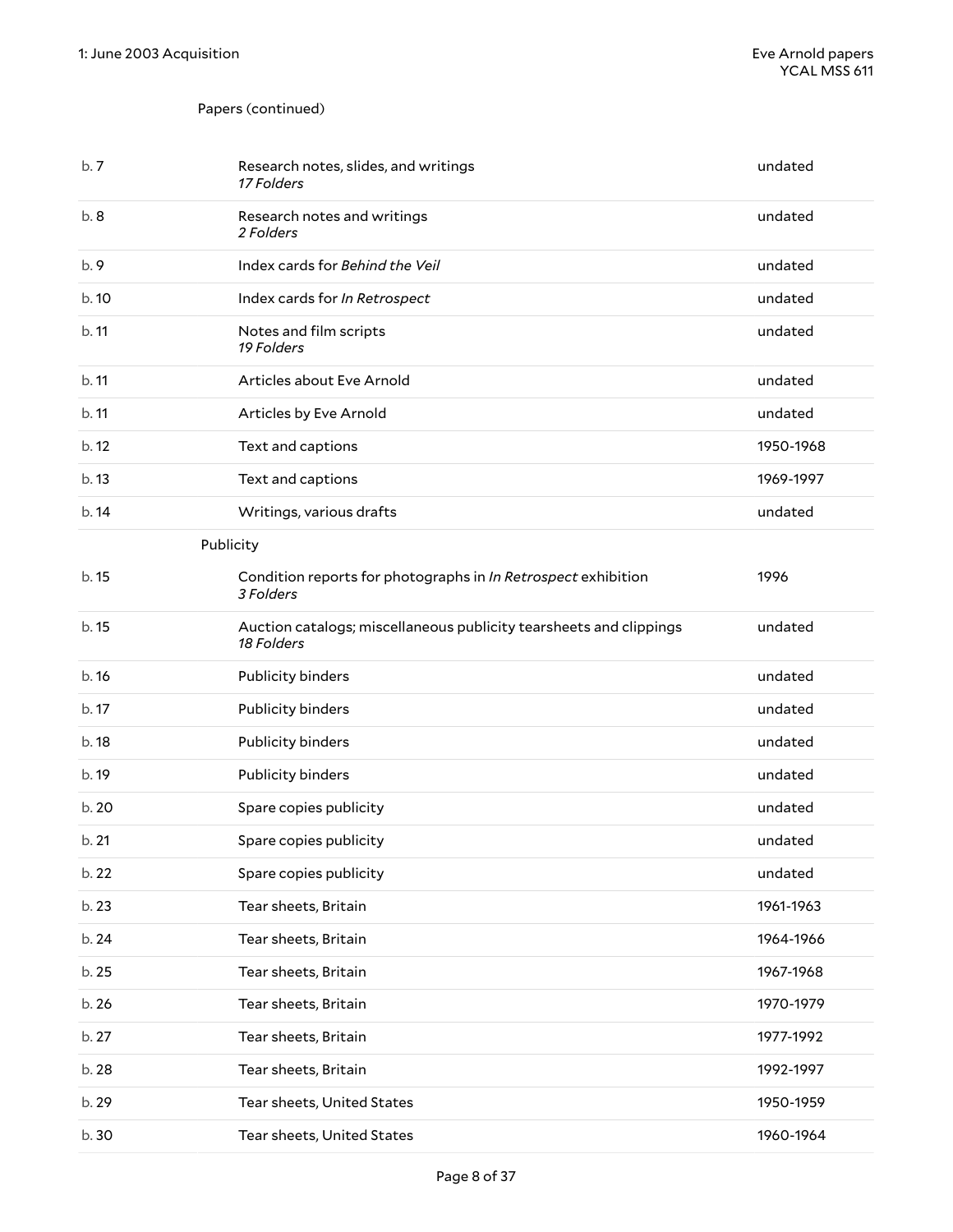### Papers (continued)

<span id="page-7-0"></span>

| b.7   | Research notes, slides, and writings<br>17 Folders                               | undated   |
|-------|----------------------------------------------------------------------------------|-----------|
| b.8   | Research notes and writings<br>2 Folders                                         | undated   |
| b.9   | Index cards for Behind the Veil                                                  | undated   |
| b.10  | Index cards for In Retrospect                                                    | undated   |
| b.11  | Notes and film scripts<br>19 Folders                                             | undated   |
| b.11  | Articles about Eve Arnold                                                        | undated   |
| b.11  | Articles by Eve Arnold                                                           | undated   |
| b. 12 | Text and captions                                                                | 1950-1968 |
| b.13  | Text and captions                                                                | 1969-1997 |
| b.14  | Writings, various drafts                                                         | undated   |
|       | Publicity                                                                        |           |
| b. 15 | Condition reports for photographs in In Retrospect exhibition<br>3 Folders       | 1996      |
| b. 15 | Auction catalogs; miscellaneous publicity tearsheets and clippings<br>18 Folders | undated   |
| b.16  | Publicity binders                                                                | undated   |
| b. 17 | Publicity binders                                                                | undated   |
| b. 18 | Publicity binders                                                                | undated   |
| b. 19 | Publicity binders                                                                | undated   |
| b. 20 | Spare copies publicity                                                           | undated   |
| b.21  | Spare copies publicity                                                           | undated   |
| b. 22 | Spare copies publicity                                                           | undated   |
| b. 23 | Tear sheets, Britain                                                             | 1961-1963 |
| b. 24 | Tear sheets, Britain                                                             | 1964-1966 |
| b. 25 | Tear sheets, Britain                                                             | 1967-1968 |
| b. 26 | Tear sheets, Britain                                                             | 1970-1979 |
| b. 27 | Tear sheets, Britain                                                             | 1977-1992 |
| b. 28 | Tear sheets, Britain                                                             | 1992-1997 |
| b. 29 | Tear sheets, United States                                                       | 1950-1959 |
| b.30  | Tear sheets, United States                                                       | 1960-1964 |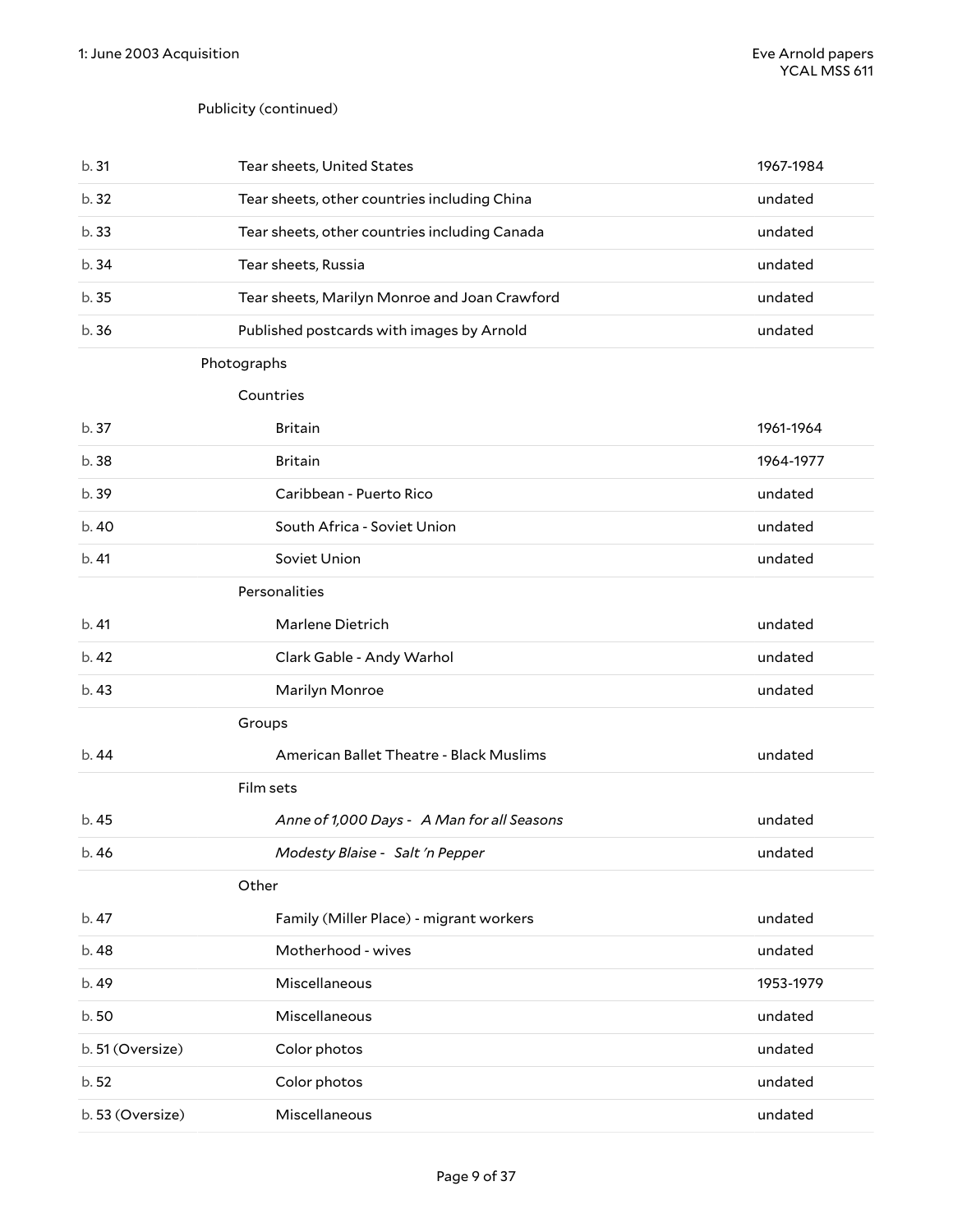#### Publicity (continued)

<span id="page-8-0"></span>

| b. 31            | Tear sheets, United States                    | 1967-1984 |
|------------------|-----------------------------------------------|-----------|
| b. 32            | Tear sheets, other countries including China  | undated   |
| b.33             | Tear sheets, other countries including Canada | undated   |
| b. 34            | Tear sheets, Russia                           | undated   |
| b.35             | Tear sheets, Marilyn Monroe and Joan Crawford | undated   |
| b.36             | Published postcards with images by Arnold     | undated   |
|                  | Photographs                                   |           |
|                  | Countries                                     |           |
| b. 37            | <b>Britain</b>                                | 1961-1964 |
| b. 38            | <b>Britain</b>                                | 1964-1977 |
| b. 39            | Caribbean - Puerto Rico                       | undated   |
| b. 40            | South Africa - Soviet Union                   | undated   |
| b.41             | Soviet Union                                  | undated   |
|                  | Personalities                                 |           |
| b. 41            | Marlene Dietrich                              | undated   |
| b. 42            | Clark Gable - Andy Warhol                     | undated   |
| b.43             | Marilyn Monroe                                | undated   |
|                  | Groups                                        |           |
| b.44             | American Ballet Theatre - Black Muslims       | undated   |
|                  | Film sets                                     |           |
| b. 45            | Anne of 1,000 Days - A Man for all Seasons    | undated   |
| b. 46            | Modesty Blaise - Salt'n Pepper                | undated   |
|                  | Other                                         |           |
| b. 47            | Family (Miller Place) - migrant workers       | undated   |
| b. 48            | Motherhood - wives                            | undated   |
| b. 49            | Miscellaneous                                 | 1953-1979 |
| b.50             | Miscellaneous                                 | undated   |
| b. 51 (Oversize) | Color photos                                  | undated   |
| b. 52            | Color photos                                  | undated   |
| b. 53 (Oversize) | Miscellaneous                                 | undated   |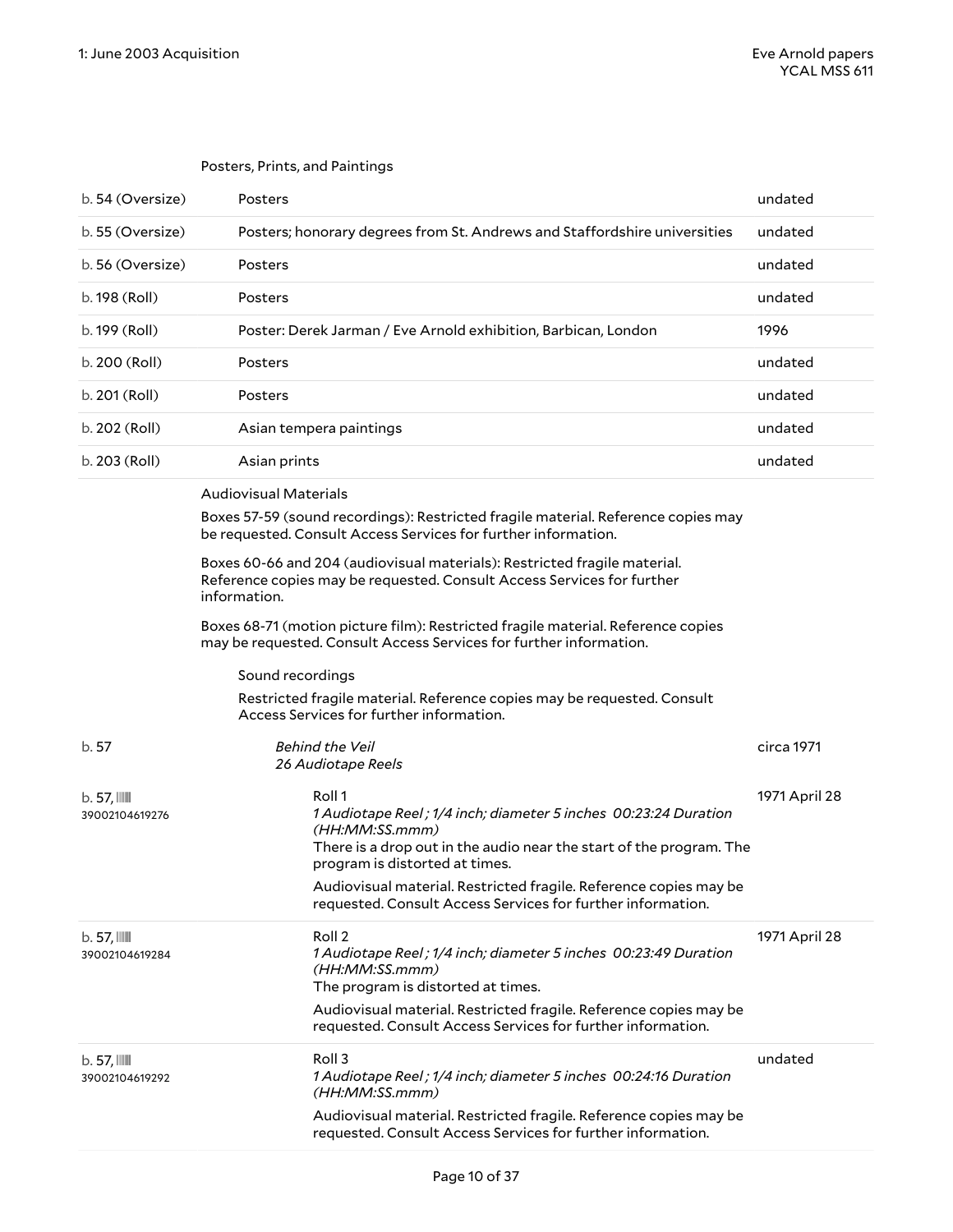<span id="page-9-1"></span><span id="page-9-0"></span>

|                                         | Posters, Prints, and Paintings                                                                                                                                                                         |               |
|-----------------------------------------|--------------------------------------------------------------------------------------------------------------------------------------------------------------------------------------------------------|---------------|
| b. 54 (Oversize)                        | Posters                                                                                                                                                                                                | undated       |
| b. 55 (Oversize)                        | Posters; honorary degrees from St. Andrews and Staffordshire universities                                                                                                                              | undated       |
| b. 56 (Oversize)                        | Posters                                                                                                                                                                                                | undated       |
| b. 198 (Roll)                           | Posters                                                                                                                                                                                                | undated       |
| b. 199 (Roll)                           | Poster: Derek Jarman / Eve Arnold exhibition, Barbican, London                                                                                                                                         | 1996          |
| b. 200 (Roll)                           | Posters                                                                                                                                                                                                | undated       |
| b. 201 (Roll)                           | Posters                                                                                                                                                                                                | undated       |
| b. 202 (Roll)                           | Asian tempera paintings                                                                                                                                                                                | undated       |
| b. 203 (Roll)                           | Asian prints                                                                                                                                                                                           | undated       |
|                                         | <b>Audiovisual Materials</b><br>Boxes 57-59 (sound recordings): Restricted fragile material. Reference copies may<br>be requested. Consult Access Services for further information.                    |               |
|                                         | Boxes 60-66 and 204 (audiovisual materials): Restricted fragile material.<br>Reference copies may be requested. Consult Access Services for further<br>information.                                    |               |
|                                         | Boxes 68-71 (motion picture film): Restricted fragile material. Reference copies<br>may be requested. Consult Access Services for further information.                                                 |               |
|                                         | Sound recordings                                                                                                                                                                                       |               |
|                                         | Restricted fragile material. Reference copies may be requested. Consult<br>Access Services for further information.                                                                                    |               |
| b.57                                    | <b>Behind the Veil</b><br>26 Audiotape Reels                                                                                                                                                           | circa 1971    |
| $b.57$ , $\mathbb{I}$<br>39002104619276 | Roll 1<br>1 Audiotape Reel ; 1/4 inch; diameter 5 inches 00:23:24 Duration<br>(HH:MM:SS.mmm)<br>There is a drop out in the audio near the start of the program. The<br>program is distorted at times.  | 1971 April 28 |
|                                         | Audiovisual material. Restricted fragile. Reference copies may be<br>requested. Consult Access Services for further information.                                                                       |               |
| $b.57$ , $III$<br>39002104619284        | Roll 2<br>1 Audiotape Reel; 1/4 inch; diameter 5 inches 00:23:49 Duration<br>(HH:MM:SS.mmm)<br>The program is distorted at times.<br>Audiovisual material. Restricted fragile. Reference copies may be | 1971 April 28 |
|                                         | requested. Consult Access Services for further information.                                                                                                                                            |               |
| $b.57$ , $III$<br>39002104619292        | Roll <sub>3</sub><br>1 Audiotape Reel; 1/4 inch; diameter 5 inches 00:24:16 Duration<br>(HH:MM:SS.mmm)                                                                                                 | undated       |
|                                         | Audiovisual material. Restricted fragile. Reference copies may be<br>requested. Consult Access Services for further information.                                                                       |               |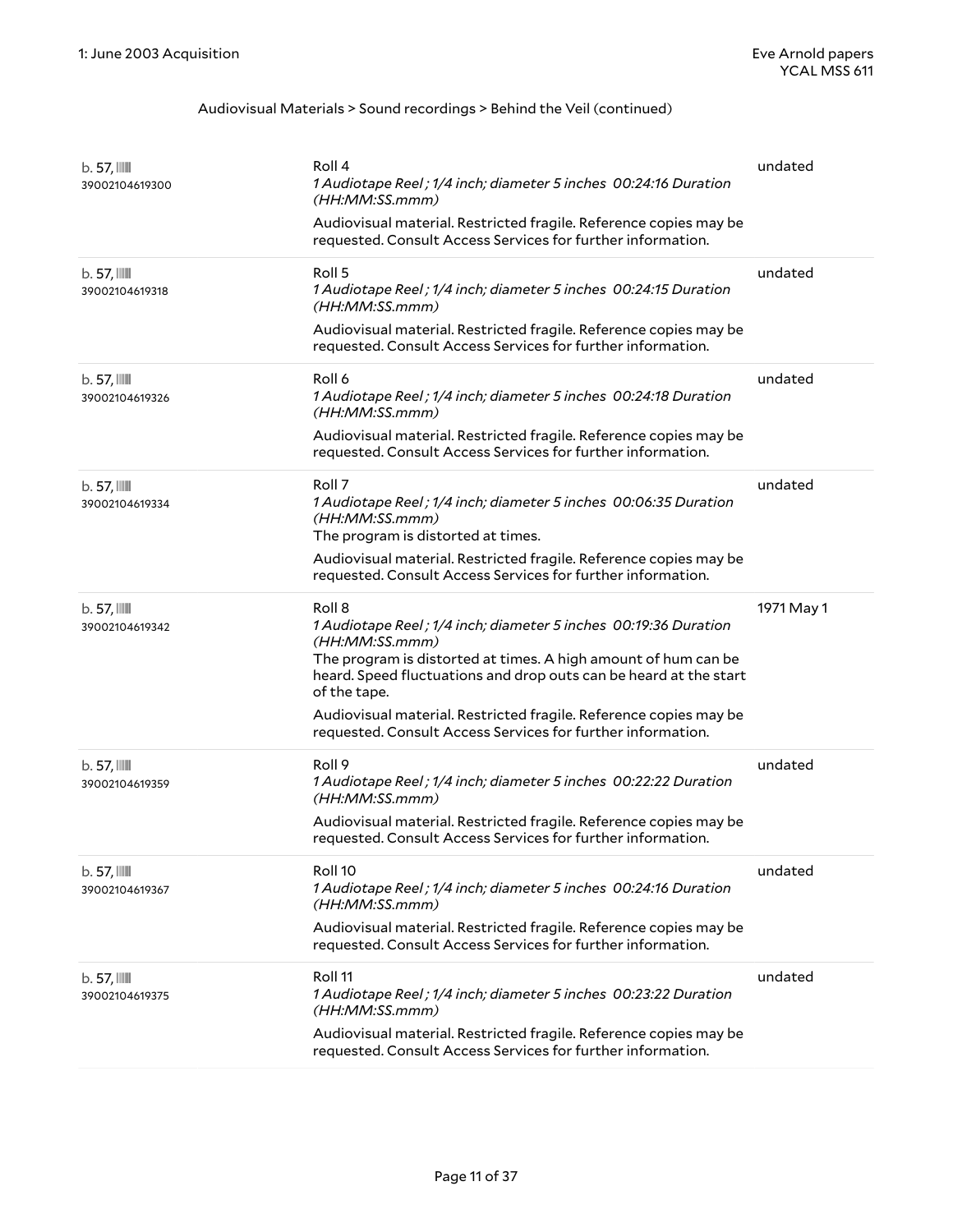| $b.57$ , $III$<br>39002104619300          | Roll 4<br>1 Audiotape Reel; 1/4 inch; diameter 5 inches 00:24:16 Duration<br>(HH:MM:SS.mmm)<br>Audiovisual material. Restricted fragile. Reference copies may be<br>requested. Consult Access Services for further information.                    | undated    |
|-------------------------------------------|----------------------------------------------------------------------------------------------------------------------------------------------------------------------------------------------------------------------------------------------------|------------|
| $b.57$ , $III$<br>39002104619318          | Roll <sub>5</sub><br>1 Audiotape Reel; 1/4 inch; diameter 5 inches 00:24:15 Duration<br>(HH:MM:SS.mmm)                                                                                                                                             | undated    |
|                                           | Audiovisual material. Restricted fragile. Reference copies may be<br>requested. Consult Access Services for further information.                                                                                                                   |            |
| $b.57$ , $III$<br>39002104619326          | Roll 6<br>1 Audiotape Reel; 1/4 inch; diameter 5 inches 00:24:18 Duration<br>(HH:MM:SS.mmm)                                                                                                                                                        | undated    |
|                                           | Audiovisual material. Restricted fragile. Reference copies may be<br>requested. Consult Access Services for further information.                                                                                                                   |            |
| $b.57$ , $III$<br>39002104619334          | Roll 7<br>1 Audiotape Reel; 1/4 inch; diameter 5 inches 00:06:35 Duration<br>(HH:MM:SS.mmm)<br>The program is distorted at times.                                                                                                                  | undated    |
|                                           | Audiovisual material. Restricted fragile. Reference copies may be<br>requested. Consult Access Services for further information.                                                                                                                   |            |
| $b.57$ , $III$<br>39002104619342          | Roll 8<br>1 Audiotape Reel; 1/4 inch; diameter 5 inches 00:19:36 Duration<br>(HH:MM:SS.mmm)<br>The program is distorted at times. A high amount of hum can be<br>heard. Speed fluctuations and drop outs can be heard at the start<br>of the tape. | 1971 May 1 |
|                                           | Audiovisual material. Restricted fragile. Reference copies may be<br>requested. Consult Access Services for further information.                                                                                                                   |            |
| $b.57$ , $III$<br>39002104619359          | Roll 9<br>1 Audiotape Reel; 1/4 inch; diameter 5 inches 00:22:22 Duration<br>(HH:MM:SS.mmm)                                                                                                                                                        | undated    |
|                                           | Audiovisual material. Restricted fragile. Reference copies may be<br>requested. Consult Access Services for further information.                                                                                                                   |            |
| $b.57$ , $\blacksquare$<br>39002104619367 | Roll <sub>10</sub><br>1 Audiotape Reel; 1/4 inch; diameter 5 inches 00:24:16 Duration<br>(HH:MM:SS.mmm)                                                                                                                                            | undated    |
|                                           | Audiovisual material. Restricted fragile. Reference copies may be<br>requested. Consult Access Services for further information.                                                                                                                   |            |
| $b.57$ , $III$<br>39002104619375          | Roll <sub>11</sub><br>1 Audiotape Reel; 1/4 inch; diameter 5 inches 00:23:22 Duration<br>(HH:MM:SS.mmm)                                                                                                                                            | undated    |
|                                           | Audiovisual material. Restricted fragile. Reference copies may be<br>requested. Consult Access Services for further information.                                                                                                                   |            |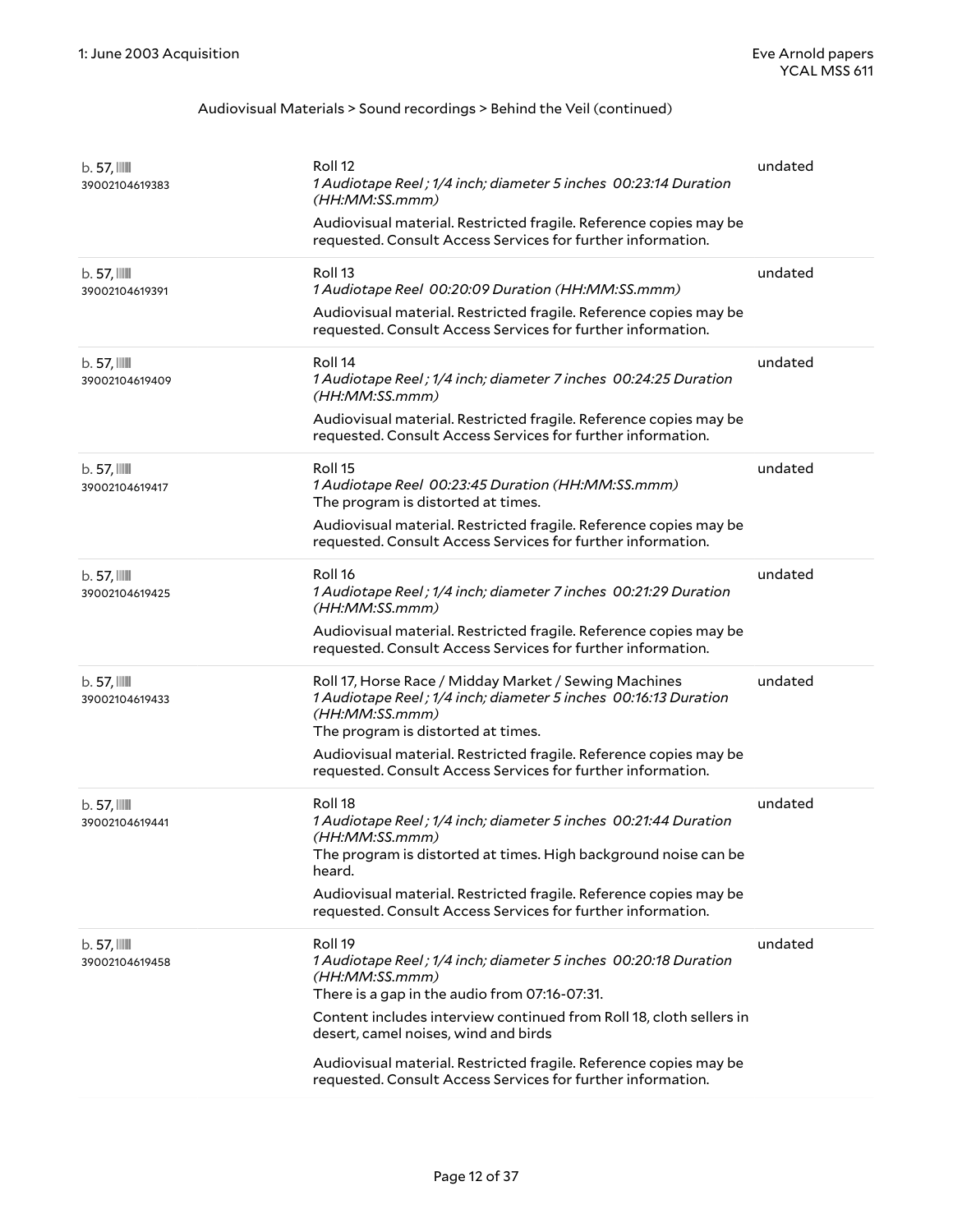| $b.57$ , $III$<br>39002104619383          | Roll <sub>12</sub><br>1 Audiotape Reel ; 1/4 inch; diameter 5 inches 00:23:14 Duration<br>(HH:MM:SS.mmm)<br>Audiovisual material. Restricted fragile. Reference copies may be<br>requested. Consult Access Services for further information.                                                                                                                                                     | undated |
|-------------------------------------------|--------------------------------------------------------------------------------------------------------------------------------------------------------------------------------------------------------------------------------------------------------------------------------------------------------------------------------------------------------------------------------------------------|---------|
| $b.57$ , $III$<br>39002104619391          | Roll <sub>13</sub><br>1 Audiotape Reel 00:20:09 Duration (HH:MM:SS.mmm)<br>Audiovisual material. Restricted fragile. Reference copies may be<br>requested. Consult Access Services for further information.                                                                                                                                                                                      | undated |
| $b.57$ , $III$<br>39002104619409          | Roll 14<br>1 Audiotape Reel; 1/4 inch; diameter 7 inches 00:24:25 Duration<br>(HH:MM:SS.mmm)<br>Audiovisual material. Restricted fragile. Reference copies may be<br>requested. Consult Access Services for further information.                                                                                                                                                                 | undated |
| $b.57$ , $III$<br>39002104619417          | Roll <sub>15</sub><br>1 Audiotape Reel 00:23:45 Duration (HH:MM:SS.mmm)<br>The program is distorted at times.<br>Audiovisual material. Restricted fragile. Reference copies may be<br>requested. Consult Access Services for further information.                                                                                                                                                | undated |
| $b.57$ , $III$<br>39002104619425          | Roll 16<br>1 Audiotape Reel; 1/4 inch; diameter 7 inches 00:21:29 Duration<br>(HH:MM:SS.mmm)<br>Audiovisual material. Restricted fragile. Reference copies may be<br>requested. Consult Access Services for further information.                                                                                                                                                                 | undated |
| $b.57$ , $III$<br>39002104619433          | Roll 17, Horse Race / Midday Market / Sewing Machines<br>1 Audiotape Reel; 1/4 inch; diameter 5 inches 00:16:13 Duration<br>(HH:MM:SS.mmm)<br>The program is distorted at times.<br>Audiovisual material. Restricted fragile. Reference copies may be<br>requested. Consult Access Services for further information.                                                                             | undated |
| $b.57$ , $\blacksquare$<br>39002104619441 | Roll 18<br>1 Audiotape Reel; 1/4 inch; diameter 5 inches 00:21:44 Duration<br>(HH:MM:SS.mmm)<br>The program is distorted at times. High background noise can be<br>heard.<br>Audiovisual material. Restricted fragile. Reference copies may be<br>requested. Consult Access Services for further information.                                                                                    | undated |
| $b.57$ , $\blacksquare$<br>39002104619458 | Roll 19<br>1 Audiotape Reel; 1/4 inch; diameter 5 inches 00:20:18 Duration<br>(HH:MM:SS.mmm)<br>There is a gap in the audio from 07:16-07:31.<br>Content includes interview continued from Roll 18, cloth sellers in<br>desert, camel noises, wind and birds<br>Audiovisual material. Restricted fragile. Reference copies may be<br>requested. Consult Access Services for further information. | undated |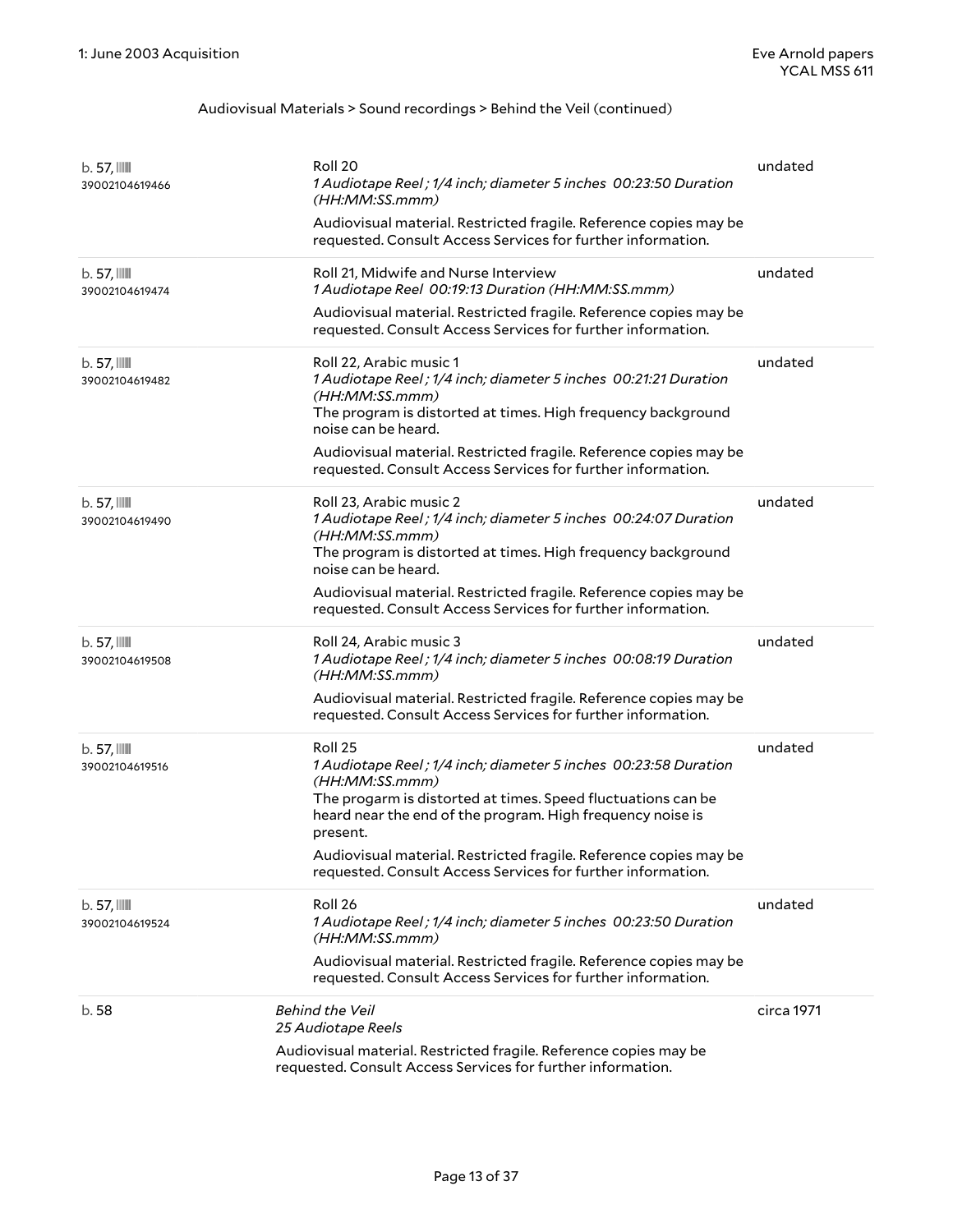| $b.57$ , $\mathbb{I}$<br>39002104619466   | Roll 20<br>1 Audiotape Reel ; 1/4 inch; diameter 5 inches 00:23:50 Duration<br>(HH:MM:SS.mmm)<br>Audiovisual material. Restricted fragile. Reference copies may be<br>requested. Consult Access Services for further information.                                                                                                                                          | undated    |
|-------------------------------------------|----------------------------------------------------------------------------------------------------------------------------------------------------------------------------------------------------------------------------------------------------------------------------------------------------------------------------------------------------------------------------|------------|
| $b.57$ , $III$<br>39002104619474          | Roll 21, Midwife and Nurse Interview<br>1 Audiotape Reel 00:19:13 Duration (HH:MM:SS.mmm)<br>Audiovisual material. Restricted fragile. Reference copies may be<br>requested. Consult Access Services for further information.                                                                                                                                              | undated    |
| $b.57$ , $\blacksquare$<br>39002104619482 | Roll 22, Arabic music 1<br>1 Audiotape Reel; 1/4 inch; diameter 5 inches 00:21:21 Duration<br>(HH:MM:SS.mmm)<br>The program is distorted at times. High frequency background<br>noise can be heard.<br>Audiovisual material. Restricted fragile. Reference copies may be<br>requested. Consult Access Services for further information.                                    | undated    |
| $b.57$ , $III$<br>39002104619490          | Roll 23, Arabic music 2<br>1 Audiotape Reel ; 1/4 inch; diameter 5 inches 00:24:07 Duration<br>(HH:MM:SS.mmm)<br>The program is distorted at times. High frequency background<br>noise can be heard.<br>Audiovisual material. Restricted fragile. Reference copies may be<br>requested. Consult Access Services for further information.                                   | undated    |
| $b.57$ , $III$<br>39002104619508          | Roll 24, Arabic music 3<br>1 Audiotape Reel ; 1/4 inch; diameter 5 inches 00:08:19 Duration<br>(HH:MM:SS.mmm)<br>Audiovisual material. Restricted fragile. Reference copies may be<br>requested. Consult Access Services for further information.                                                                                                                          | undated    |
| $b.57$ , $\blacksquare$<br>39002104619516 | Roll 25<br>1 Audiotape Reel; 1/4 inch; diameter 5 inches 00:23:58 Duration<br>(HH:MM:SS.mmm)<br>The progarm is distorted at times. Speed fluctuations can be<br>heard near the end of the program. High frequency noise is<br>present.<br>Audiovisual material. Restricted fragile. Reference copies may be<br>requested. Consult Access Services for further information. | undated    |
| $b.57$ , $III$<br>39002104619524          | Roll 26<br>1 Audiotape Reel; 1/4 inch; diameter 5 inches 00:23:50 Duration<br>(HH:MM:SS.mmm)<br>Audiovisual material. Restricted fragile. Reference copies may be<br>requested. Consult Access Services for further information.                                                                                                                                           | undated    |
| b.58                                      | <b>Behind the Veil</b><br>25 Audiotape Reels<br>Audiovisual material. Restricted fragile. Reference copies may be<br>requested. Consult Access Services for further information.                                                                                                                                                                                           | circa 1971 |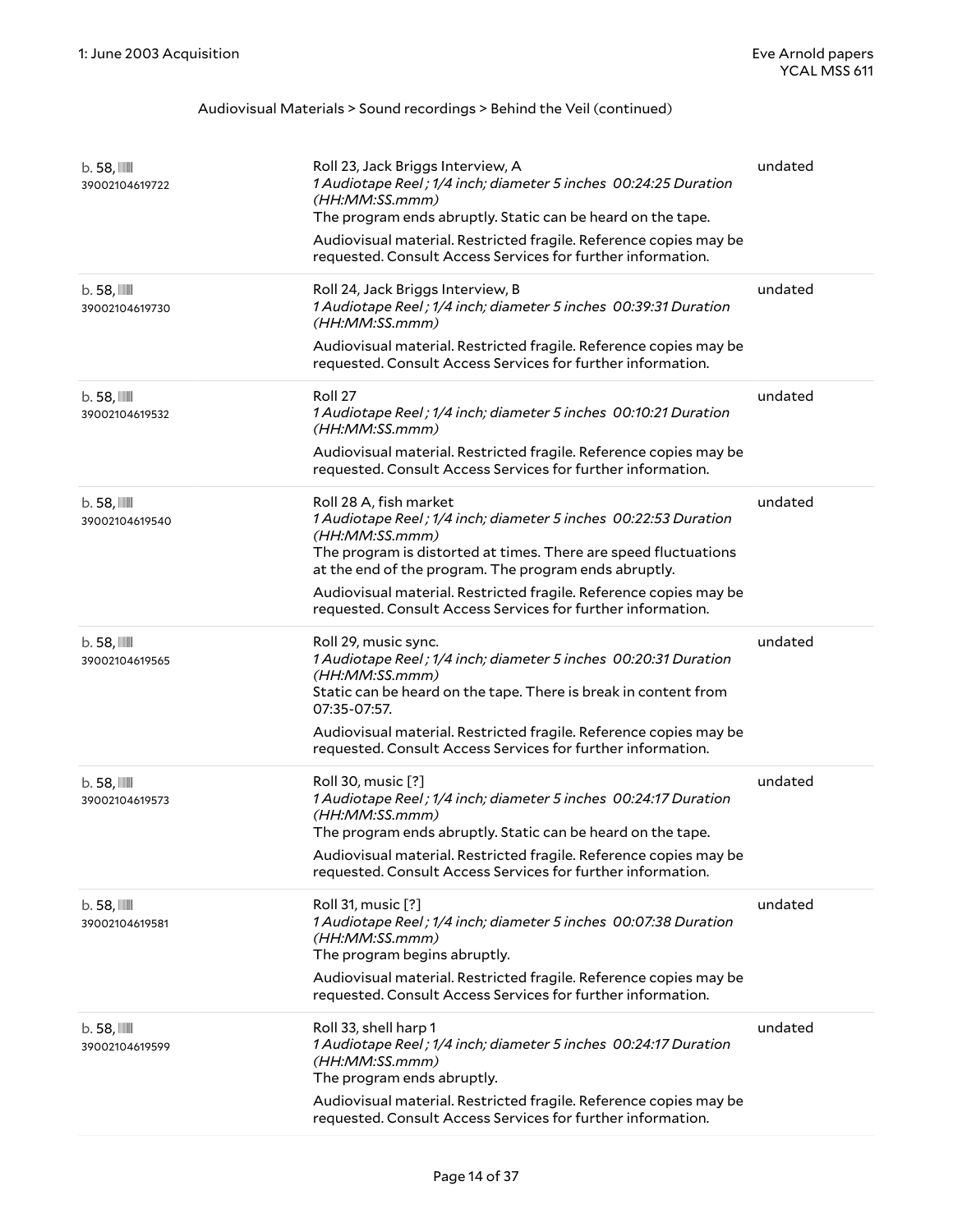| $b.58$ , $III$<br>39002104619722 | Roll 23, Jack Briggs Interview, A<br>1 Audiotape Reel; 1/4 inch; diameter 5 inches 00:24:25 Duration<br>(HH:MM:SS.mmm)<br>The program ends abruptly. Static can be heard on the tape.<br>Audiovisual material. Restricted fragile. Reference copies may be<br>requested. Consult Access Services for further information.                                                   | undated |
|----------------------------------|-----------------------------------------------------------------------------------------------------------------------------------------------------------------------------------------------------------------------------------------------------------------------------------------------------------------------------------------------------------------------------|---------|
| $b.58$ , $III$<br>39002104619730 | Roll 24, Jack Briggs Interview, B<br>1 Audiotape Reel; 1/4 inch; diameter 5 inches 00:39:31 Duration<br>(HH:MM:SS.mmm)<br>Audiovisual material. Restricted fragile. Reference copies may be<br>requested. Consult Access Services for further information.                                                                                                                  | undated |
| $b.58$ , $III$<br>39002104619532 | Roll 27<br>1 Audiotape Reel; 1/4 inch; diameter 5 inches 00:10:21 Duration<br>(HH:MM:SS.mmm)<br>Audiovisual material. Restricted fragile. Reference copies may be<br>requested. Consult Access Services for further information.                                                                                                                                            | undated |
| $b.58$ , $III$<br>39002104619540 | Roll 28 A, fish market<br>1 Audiotape Reel; 1/4 inch; diameter 5 inches 00:22:53 Duration<br>(HH:MM:SS.mmm)<br>The program is distorted at times. There are speed fluctuations<br>at the end of the program. The program ends abruptly.<br>Audiovisual material. Restricted fragile. Reference copies may be<br>requested. Consult Access Services for further information. | undated |
| $b.58$ , $III$<br>39002104619565 | Roll 29, music sync.<br>1 Audiotape Reel; 1/4 inch; diameter 5 inches 00:20:31 Duration<br>(HH:MM:SS.mmm)<br>Static can be heard on the tape. There is break in content from<br>07:35-07:57.<br>Audiovisual material. Restricted fragile. Reference copies may be<br>requested. Consult Access Services for further information.                                            | undated |
| $b.58$ , $III$<br>39002104619573 | Roll 30, music [?]<br>1 Audiotape Reel; 1/4 inch; diameter 5 inches 00:24:17 Duration<br>(HH:MM:SS.mmm)<br>The program ends abruptly. Static can be heard on the tape.<br>Audiovisual material. Restricted fragile. Reference copies may be<br>requested. Consult Access Services for further information.                                                                  | undated |
| $b.58$ , $III$<br>39002104619581 | Roll 31, music [?]<br>1 Audiotape Reel; 1/4 inch; diameter 5 inches 00:07:38 Duration<br>(HH:MM:SS.mmm)<br>The program begins abruptly.<br>Audiovisual material. Restricted fragile. Reference copies may be<br>requested. Consult Access Services for further information.                                                                                                 | undated |
| $b.58$ , $III$<br>39002104619599 | Roll 33, shell harp 1<br>1 Audiotape Reel; 1/4 inch; diameter 5 inches 00:24:17 Duration<br>(HH:MM:SS.mmm)<br>The program ends abruptly.<br>Audiovisual material. Restricted fragile. Reference copies may be<br>requested. Consult Access Services for further information.                                                                                                | undated |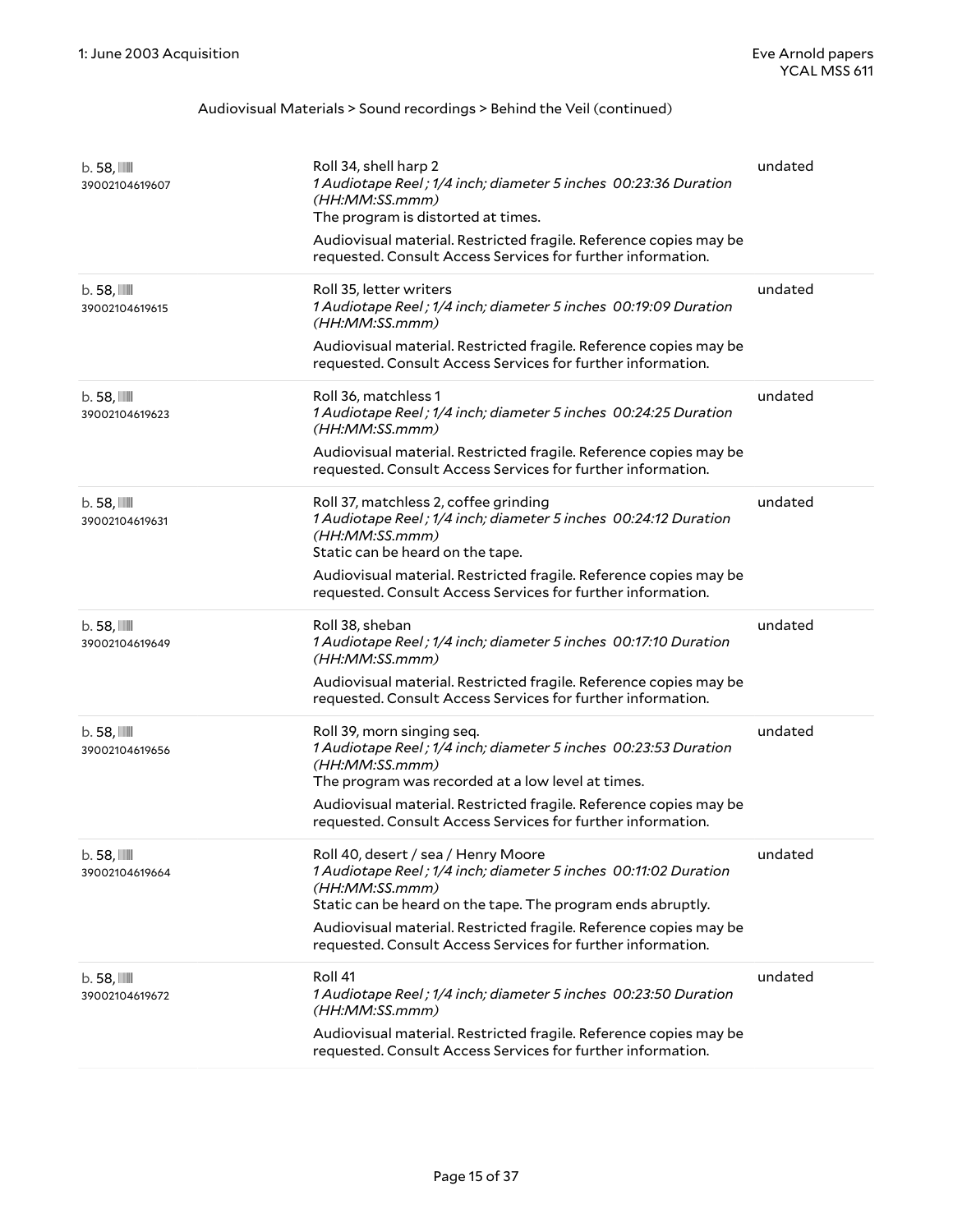| $b.58$ , $III$<br>39002104619607        | Roll 34, shell harp 2<br>1 Audiotape Reel; 1/4 inch; diameter 5 inches 00:23:36 Duration<br>(HH:MM:SS.mmm)<br>The program is distorted at times.<br>Audiovisual material. Restricted fragile. Reference copies may be<br>requested. Consult Access Services for further information. | undated |
|-----------------------------------------|--------------------------------------------------------------------------------------------------------------------------------------------------------------------------------------------------------------------------------------------------------------------------------------|---------|
| $b.58$ , $III$<br>39002104619615        | Roll 35, letter writers<br>1 Audiotape Reel; 1/4 inch; diameter 5 inches 00:19:09 Duration<br>(HH:MM:SS.mmm)<br>Audiovisual material. Restricted fragile. Reference copies may be                                                                                                    | undated |
|                                         | requested. Consult Access Services for further information.                                                                                                                                                                                                                          |         |
| $b.58$ , $III$<br>39002104619623        | Roll 36, matchless 1<br>1 Audiotape Reel; 1/4 inch; diameter 5 inches 00:24:25 Duration<br>(HH:MM:SS.mmm)                                                                                                                                                                            | undated |
|                                         | Audiovisual material. Restricted fragile. Reference copies may be<br>requested. Consult Access Services for further information.                                                                                                                                                     |         |
| $b.58$ , $III$<br>39002104619631        | Roll 37, matchless 2, coffee grinding<br>1 Audiotape Reel; 1/4 inch; diameter 5 inches 00:24:12 Duration<br>(HH:MM:SS.mmm)<br>Static can be heard on the tape.                                                                                                                       | undated |
|                                         | Audiovisual material. Restricted fragile. Reference copies may be<br>requested. Consult Access Services for further information.                                                                                                                                                     |         |
| $b.58$ , $III$<br>39002104619649        | Roll 38, sheban<br>1 Audiotape Reel; 1/4 inch; diameter 5 inches 00:17:10 Duration<br>(HH:MM:SS.mmm)                                                                                                                                                                                 | undated |
|                                         | Audiovisual material. Restricted fragile. Reference copies may be<br>requested. Consult Access Services for further information.                                                                                                                                                     |         |
| $b.58$ , $\mathbb{I}$<br>39002104619656 | Roll 39, morn singing seq.<br>1 Audiotape Reel; 1/4 inch; diameter 5 inches 00:23:53 Duration<br>(HH:MM:SS.mmm)<br>The program was recorded at a low level at times.                                                                                                                 | undated |
|                                         | Audiovisual material. Restricted fragile. Reference copies may be<br>requested. Consult Access Services for further information.                                                                                                                                                     |         |
| b. 58, IIII<br>39002104619664           | Roll 40, desert / sea / Henry Moore<br>1 Audiotape Reel; 1/4 inch; diameter 5 inches 00:11:02 Duration<br>(HH:MM:SS.mmm)<br>Static can be heard on the tape. The program ends abruptly.                                                                                              | undated |
|                                         | Audiovisual material. Restricted fragile. Reference copies may be<br>requested. Consult Access Services for further information.                                                                                                                                                     |         |
| $b.58$ , $\mathbb{I}$<br>39002104619672 | Roll 41<br>1 Audiotape Reel; 1/4 inch; diameter 5 inches 00:23:50 Duration<br>(HH:MM:SS.mmm)                                                                                                                                                                                         | undated |
|                                         | Audiovisual material. Restricted fragile. Reference copies may be<br>requested. Consult Access Services for further information.                                                                                                                                                     |         |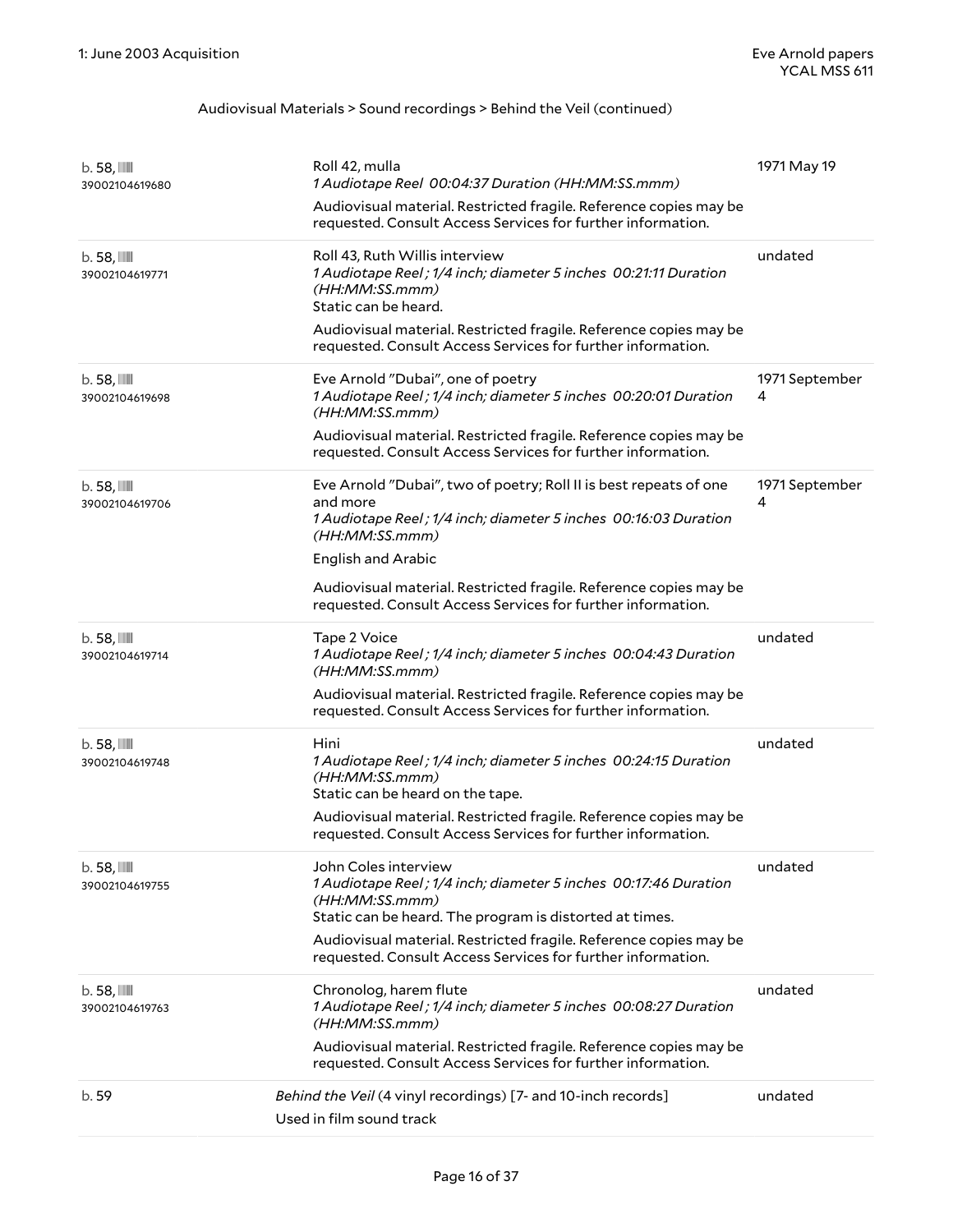| $b.58$ , $III$<br>39002104619680        | Roll 42, mulla<br>1 Audiotape Reel 00:04:37 Duration (HH:MM:SS.mmm)<br>Audiovisual material. Restricted fragile. Reference copies may be<br>requested. Consult Access Services for further information. | 1971 May 19         |
|-----------------------------------------|---------------------------------------------------------------------------------------------------------------------------------------------------------------------------------------------------------|---------------------|
| $b.58$ , $III$<br>39002104619771        | Roll 43, Ruth Willis interview<br>1 Audiotape Reel; 1/4 inch; diameter 5 inches 00:21:11 Duration<br>(HH:MM:SS.mmm)<br>Static can be heard.                                                             | undated             |
|                                         | Audiovisual material. Restricted fragile. Reference copies may be<br>requested. Consult Access Services for further information.                                                                        |                     |
| $b.58$ , $III$<br>39002104619698        | Eve Arnold "Dubai", one of poetry<br>1 Audiotape Reel; 1/4 inch; diameter 5 inches 00:20:01 Duration<br>(HH:MM:SS.mmm)                                                                                  | 1971 September<br>4 |
|                                         | Audiovisual material. Restricted fragile. Reference copies may be<br>requested. Consult Access Services for further information.                                                                        |                     |
| $b.58$ , $III$<br>39002104619706        | Eve Arnold "Dubai", two of poetry; Roll II is best repeats of one<br>and more<br>1 Audiotape Reel; 1/4 inch; diameter 5 inches 00:16:03 Duration<br>(HH:MM:SS.mmm)                                      | 1971 September<br>4 |
|                                         | <b>English and Arabic</b>                                                                                                                                                                               |                     |
|                                         | Audiovisual material. Restricted fragile. Reference copies may be<br>requested. Consult Access Services for further information.                                                                        |                     |
| $b.58$ , $III$<br>39002104619714        | Tape 2 Voice<br>1 Audiotape Reel; 1/4 inch; diameter 5 inches 00:04:43 Duration<br>(HH:MM:SS.mmm)                                                                                                       | undated             |
|                                         | Audiovisual material. Restricted fragile. Reference copies may be<br>requested. Consult Access Services for further information.                                                                        |                     |
| $b.58$ , $III$<br>39002104619748        | Hini<br>1 Audiotape Reel; 1/4 inch; diameter 5 inches 00:24:15 Duration<br>(HH:MM:SS.mmm)<br>Static can be heard on the tape.                                                                           | undated             |
|                                         | Audiovisual material. Restricted fragile. Reference copies may be<br>requested. Consult Access Services for further information.                                                                        |                     |
| $b.58$ , $III$<br>39002104619755        | John Coles interview<br>1 Audiotape Reel ; 1/4 inch; diameter 5 inches 00:17:46 Duration<br>(HH:MM:SS.mmm)<br>Static can be heard. The program is distorted at times.                                   | undated             |
|                                         | Audiovisual material. Restricted fragile. Reference copies may be<br>requested. Consult Access Services for further information.                                                                        |                     |
| $b.58$ , $\mathbb{I}$<br>39002104619763 | Chronolog, harem flute<br>1 Audiotape Reel; 1/4 inch; diameter 5 inches 00:08:27 Duration<br>(HH:MM:SS.mmm)                                                                                             | undated             |
|                                         | Audiovisual material. Restricted fragile. Reference copies may be<br>requested. Consult Access Services for further information.                                                                        |                     |
| b. 59                                   | Behind the Veil (4 vinyl recordings) [7- and 10-inch records]                                                                                                                                           | undated             |
|                                         | Used in film sound track                                                                                                                                                                                |                     |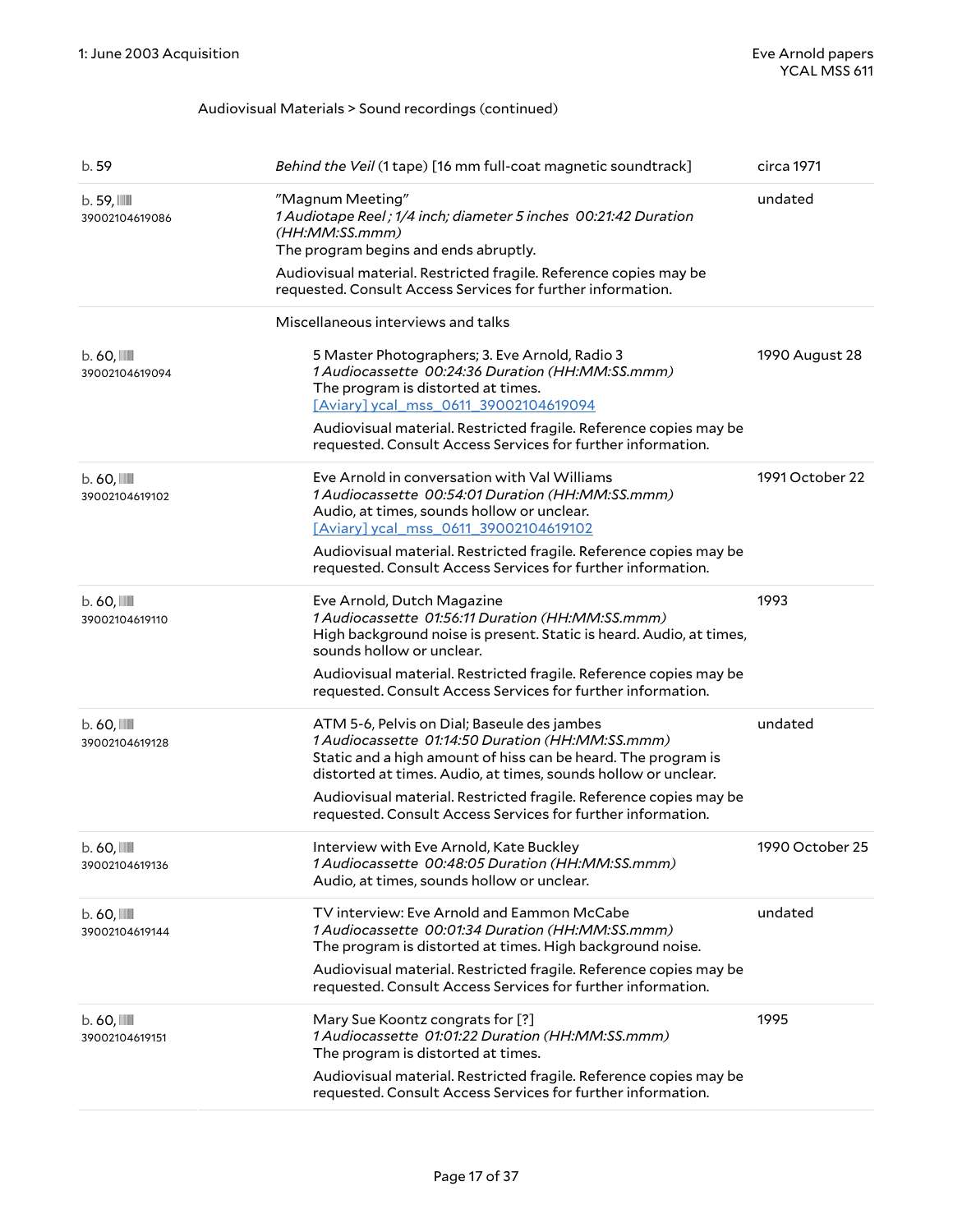| b. 59                                     | Behind the Veil (1 tape) [16 mm full-coat magnetic soundtrack]                                                                                                                                                                     | circa 1971      |
|-------------------------------------------|------------------------------------------------------------------------------------------------------------------------------------------------------------------------------------------------------------------------------------|-----------------|
| $b.59$ , $111$<br>39002104619086          | "Magnum Meeting"<br>1 Audiotape Reel ; 1/4 inch; diameter 5 inches 00:21:42 Duration<br>(HH:MM:SS.mmm)<br>The program begins and ends abruptly.                                                                                    | undated         |
|                                           | Audiovisual material. Restricted fragile. Reference copies may be<br>requested. Consult Access Services for further information.                                                                                                   |                 |
|                                           | Miscellaneous interviews and talks                                                                                                                                                                                                 |                 |
| $b.60$ , $III$<br>39002104619094          | 5 Master Photographers; 3. Eve Arnold, Radio 3<br>1 Audiocassette 00:24:36 Duration (HH:MM:SS.mmm)<br>The program is distorted at times.<br>[Aviary] ycal_mss_0611_39002104619094                                                  | 1990 August 28  |
|                                           | Audiovisual material. Restricted fragile. Reference copies may be<br>requested. Consult Access Services for further information.                                                                                                   |                 |
| $b.60$ , $\blacksquare$<br>39002104619102 | Eve Arnold in conversation with Val Williams<br>1 Audiocassette 00:54:01 Duration (HH:MM:SS.mmm)<br>Audio, at times, sounds hollow or unclear.<br>[Aviary] ycal mss 0611 39002104619102                                            | 1991 October 22 |
|                                           | Audiovisual material. Restricted fragile. Reference copies may be<br>requested. Consult Access Services for further information.                                                                                                   |                 |
| $b.60$ , $III$<br>39002104619110          | Eve Arnold, Dutch Magazine<br>1 Audiocassette 01:56:11 Duration (HH:MM:SS.mmm)<br>High background noise is present. Static is heard. Audio, at times,<br>sounds hollow or unclear.                                                 | 1993            |
|                                           | Audiovisual material. Restricted fragile. Reference copies may be<br>requested. Consult Access Services for further information.                                                                                                   |                 |
| $b.60$ , $\blacksquare$<br>39002104619128 | ATM 5-6, Pelvis on Dial; Baseule des jambes<br>1 Audiocassette 01:14:50 Duration (HH:MM:SS.mmm)<br>Static and a high amount of hiss can be heard. The program is<br>distorted at times. Audio, at times, sounds hollow or unclear. | undated         |
|                                           | Audiovisual material. Restricted fragile. Reference copies may be<br>requested. Consult Access Services for further information.                                                                                                   |                 |
| $b.60$ , $\blacksquare$<br>39002104619136 | Interview with Eve Arnold, Kate Buckley<br>1 Audiocassette 00:48:05 Duration (HH:MM:SS.mmm)<br>Audio, at times, sounds hollow or unclear.                                                                                          | 1990 October 25 |
| $b.60$ , $\blacksquare$<br>39002104619144 | TV interview: Eve Arnold and Eammon McCabe<br>1 Audiocassette 00:01:34 Duration (HH:MM:SS.mmm)<br>The program is distorted at times. High background noise.                                                                        | undated         |
|                                           | Audiovisual material. Restricted fragile. Reference copies may be<br>requested. Consult Access Services for further information.                                                                                                   |                 |
| $b.60$ , $\blacksquare$<br>39002104619151 | Mary Sue Koontz congrats for [?]<br>1 Audiocassette 01:01:22 Duration (HH:MM:SS.mmm)<br>The program is distorted at times.                                                                                                         | 1995            |
|                                           | Audiovisual material. Restricted fragile. Reference copies may be<br>requested. Consult Access Services for further information.                                                                                                   |                 |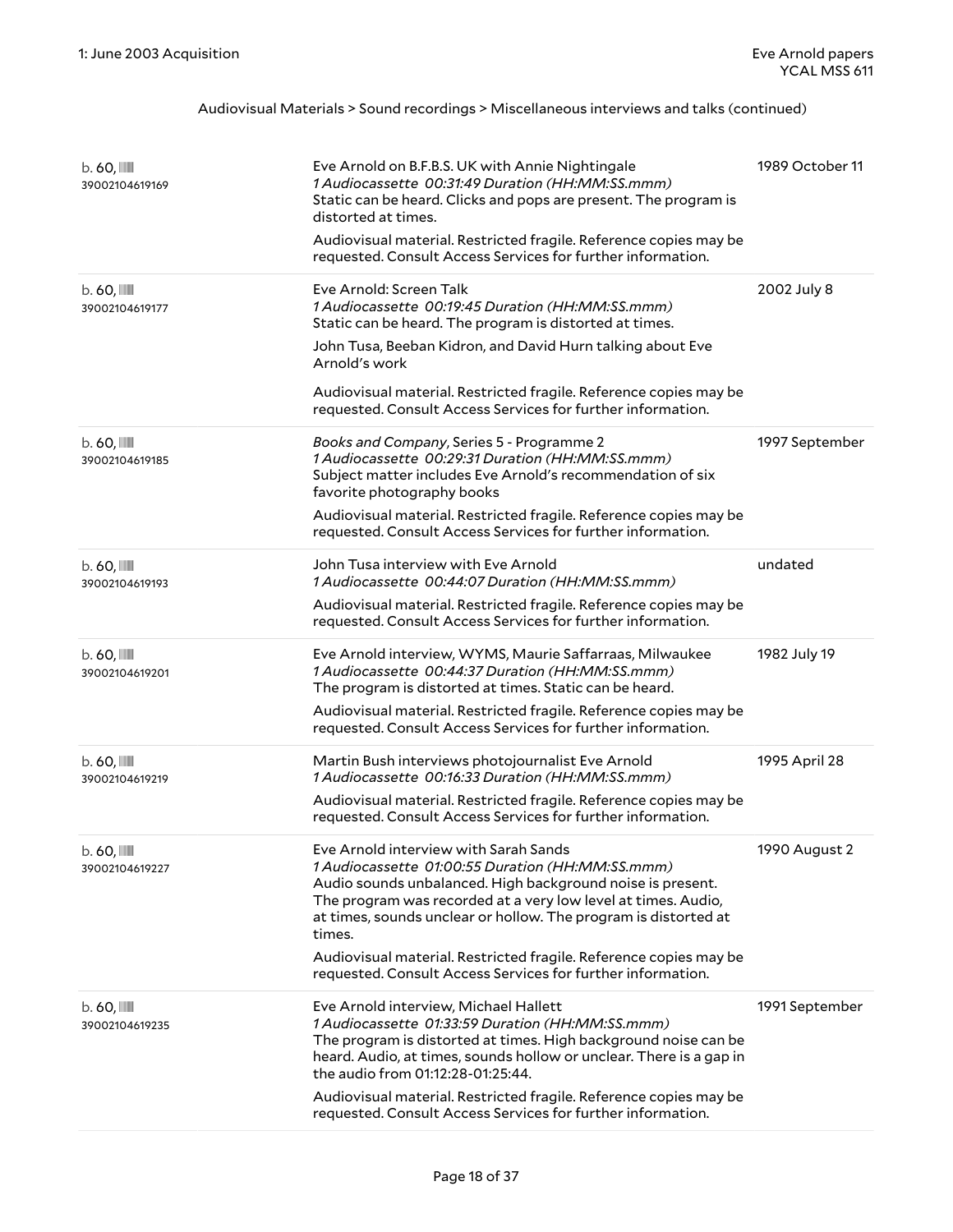| $b.60$ , $III$<br>39002104619169          | Eve Arnold on B.F.B.S. UK with Annie Nightingale<br>1 Audiocassette 00:31:49 Duration (HH:MM:SS.mmm)<br>Static can be heard. Clicks and pops are present. The program is<br>distorted at times.<br>Audiovisual material. Restricted fragile. Reference copies may be<br>requested. Consult Access Services for further information.                                                                                                       | 1989 October 11 |
|-------------------------------------------|-------------------------------------------------------------------------------------------------------------------------------------------------------------------------------------------------------------------------------------------------------------------------------------------------------------------------------------------------------------------------------------------------------------------------------------------|-----------------|
| $b.60$ , $\blacksquare$<br>39002104619177 | Eve Arnold: Screen Talk<br>1 Audiocassette 00:19:45 Duration (HH:MM:SS.mmm)<br>Static can be heard. The program is distorted at times.<br>John Tusa, Beeban Kidron, and David Hurn talking about Eve<br>Arnold's work<br>Audiovisual material. Restricted fragile. Reference copies may be<br>requested. Consult Access Services for further information.                                                                                 | 2002 July 8     |
| $b.60$ , $\blacksquare$<br>39002104619185 | Books and Company, Series 5 - Programme 2<br>1 Audiocassette 00:29:31 Duration (HH:MM:SS.mmm)<br>Subject matter includes Eve Arnold's recommendation of six<br>favorite photography books<br>Audiovisual material. Restricted fragile. Reference copies may be<br>requested. Consult Access Services for further information.                                                                                                             | 1997 September  |
| $b.60$ , $\blacksquare$<br>39002104619193 | John Tusa interview with Eve Arnold<br>1 Audiocassette 00:44:07 Duration (HH:MM:SS.mmm)<br>Audiovisual material. Restricted fragile. Reference copies may be<br>requested. Consult Access Services for further information.                                                                                                                                                                                                               | undated         |
| $b.60$ , $\blacksquare$<br>39002104619201 | Eve Arnold interview, WYMS, Maurie Saffarraas, Milwaukee<br>1 Audiocassette 00:44:37 Duration (HH:MM:SS.mmm)<br>The program is distorted at times. Static can be heard.<br>Audiovisual material. Restricted fragile. Reference copies may be<br>requested. Consult Access Services for further information.                                                                                                                               | 1982 July 19    |
| $b.60$ , $\blacksquare$<br>39002104619219 | Martin Bush interviews photojournalist Eve Arnold<br>1 Audiocassette 00:16:33 Duration (HH:MM:SS.mmm)<br>Audiovisual material. Restricted fragile. Reference copies may be<br>requested. Consult Access Services for further information.                                                                                                                                                                                                 | 1995 April 28   |
| $b.60$ , $III$<br>39002104619227          | Eve Arnold interview with Sarah Sands<br>1 Audiocassette 01:00:55 Duration (HH:MM:SS.mmm)<br>Audio sounds unbalanced. High background noise is present.<br>The program was recorded at a very low level at times. Audio,<br>at times, sounds unclear or hollow. The program is distorted at<br>times.<br>Audiovisual material. Restricted fragile. Reference copies may be<br>requested. Consult Access Services for further information. | 1990 August 2   |
| $b.60$ , $\blacksquare$<br>39002104619235 | Eve Arnold interview, Michael Hallett<br>1 Audiocassette 01:33:59 Duration (HH:MM:SS.mmm)<br>The program is distorted at times. High background noise can be<br>heard. Audio, at times, sounds hollow or unclear. There is a gap in<br>the audio from 01:12:28-01:25:44.<br>Audiovisual material. Restricted fragile. Reference copies may be<br>requested. Consult Access Services for further information.                              | 1991 September  |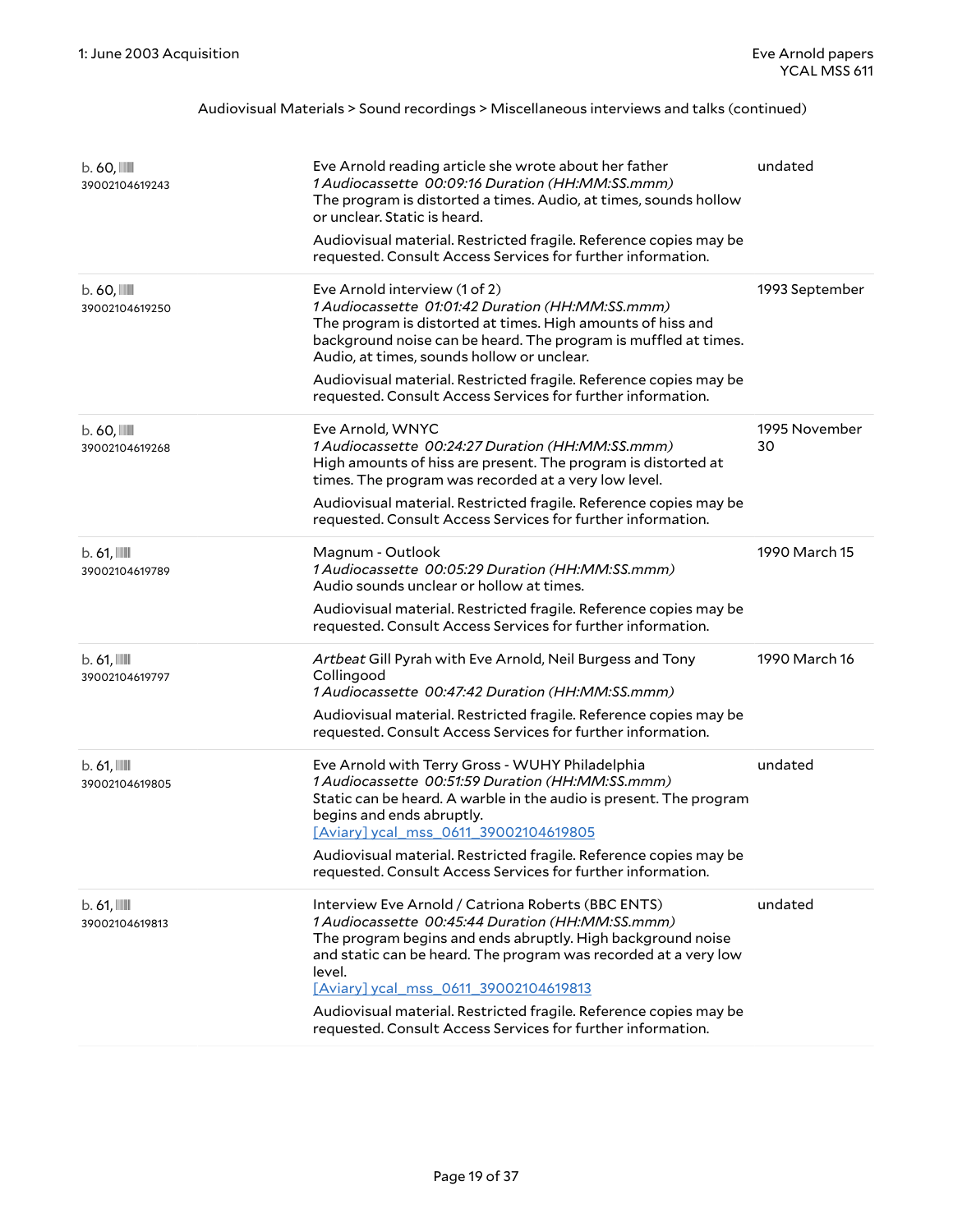| $b.60$ , $\blacksquare$<br>39002104619243 | Eve Arnold reading article she wrote about her father<br>1 Audiocassette 00:09:16 Duration (HH:MM:SS.mmm)<br>The program is distorted a times. Audio, at times, sounds hollow<br>or unclear. Static is heard.<br>Audiovisual material. Restricted fragile. Reference copies may be<br>requested. Consult Access Services for further information.                                                                               | undated             |
|-------------------------------------------|---------------------------------------------------------------------------------------------------------------------------------------------------------------------------------------------------------------------------------------------------------------------------------------------------------------------------------------------------------------------------------------------------------------------------------|---------------------|
| $b.60$ , $\blacksquare$<br>39002104619250 | Eve Arnold interview (1 of 2)<br>1 Audiocassette 01:01:42 Duration (HH:MM:SS.mmm)<br>The program is distorted at times. High amounts of hiss and<br>background noise can be heard. The program is muffled at times.<br>Audio, at times, sounds hollow or unclear.<br>Audiovisual material. Restricted fragile. Reference copies may be<br>requested. Consult Access Services for further information.                           | 1993 September      |
| $b.60$ , $\blacksquare$<br>39002104619268 | Eve Arnold, WNYC<br>1 Audiocassette 00:24:27 Duration (HH:MM:SS.mmm)<br>High amounts of hiss are present. The program is distorted at<br>times. The program was recorded at a very low level.<br>Audiovisual material. Restricted fragile. Reference copies may be<br>requested. Consult Access Services for further information.                                                                                               | 1995 November<br>30 |
| $b.61$ , $\blacksquare$<br>39002104619789 | Magnum - Outlook<br>1 Audiocassette 00:05:29 Duration (HH:MM:SS.mmm)<br>Audio sounds unclear or hollow at times.<br>Audiovisual material. Restricted fragile. Reference copies may be<br>requested. Consult Access Services for further information.                                                                                                                                                                            | 1990 March 15       |
| $b.61$ , $\blacksquare$<br>39002104619797 | Artbeat Gill Pyrah with Eve Arnold, Neil Burgess and Tony<br>Collingood<br>1 Audiocassette 00:47:42 Duration (HH:MM:SS.mmm)<br>Audiovisual material. Restricted fragile. Reference copies may be<br>requested. Consult Access Services for further information.                                                                                                                                                                 | 1990 March 16       |
| $b.61$ , $\blacksquare$<br>39002104619805 | Eve Arnold with Terry Gross - WUHY Philadelphia<br>1 Audiocassette 00:51:59 Duration (HH:MM:SS.mmm)<br>Static can be heard. A warble in the audio is present. The program<br>begins and ends abruptly.<br>[Aviary] ycal_mss_0611_39002104619805<br>Audiovisual material. Restricted fragile. Reference copies may be<br>requested. Consult Access Services for further information.                                             | undated             |
| $b.61$ , $\blacksquare$<br>39002104619813 | Interview Eve Arnold / Catriona Roberts (BBC ENTS)<br>1 Audiocassette 00:45:44 Duration (HH:MM:SS.mmm)<br>The program begins and ends abruptly. High background noise<br>and static can be heard. The program was recorded at a very low<br>level.<br>[Aviary] ycal_mss_0611_39002104619813<br>Audiovisual material. Restricted fragile. Reference copies may be<br>requested. Consult Access Services for further information. | undated             |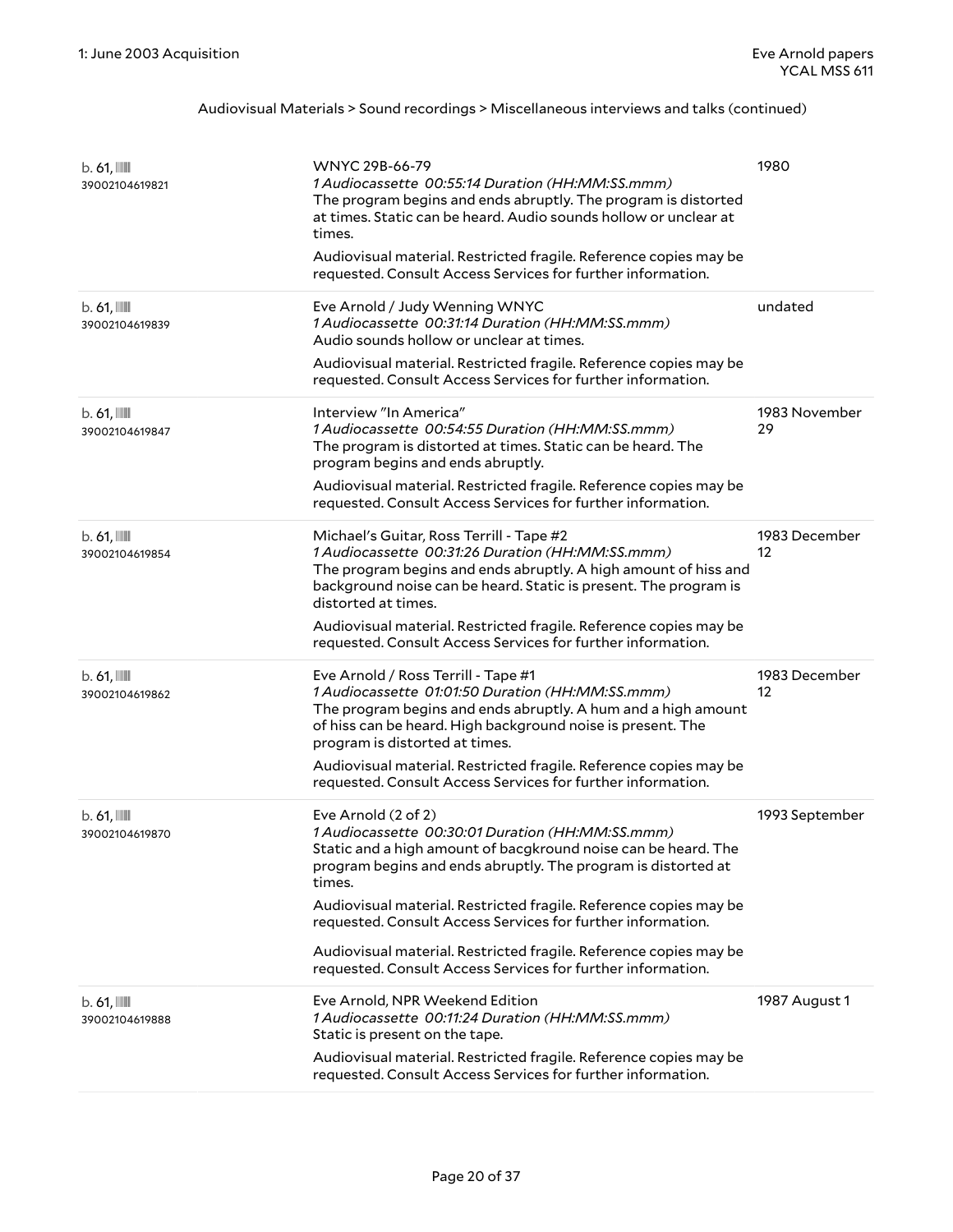| $b.61$ , $\blacksquare$<br>39002104619821 | WNYC 29B-66-79<br>1 Audiocassette 00:55:14 Duration (HH:MM:SS.mmm)<br>The program begins and ends abruptly. The program is distorted<br>at times. Static can be heard. Audio sounds hollow or unclear at<br>times.<br>Audiovisual material. Restricted fragile. Reference copies may be<br>requested. Consult Access Services for further information.                                                                                                                                       | 1980                |
|-------------------------------------------|----------------------------------------------------------------------------------------------------------------------------------------------------------------------------------------------------------------------------------------------------------------------------------------------------------------------------------------------------------------------------------------------------------------------------------------------------------------------------------------------|---------------------|
| $b.61$ , $\blacksquare$<br>39002104619839 | Eve Arnold / Judy Wenning WNYC<br>1 Audiocassette 00:31:14 Duration (HH:MM:SS.mmm)<br>Audio sounds hollow or unclear at times.<br>Audiovisual material. Restricted fragile. Reference copies may be<br>requested. Consult Access Services for further information.                                                                                                                                                                                                                           | undated             |
| $b.61$ , $\blacksquare$<br>39002104619847 | Interview "In America"<br>1 Audiocassette 00:54:55 Duration (HH:MM:SS.mmm)<br>The program is distorted at times. Static can be heard. The<br>program begins and ends abruptly.<br>Audiovisual material. Restricted fragile. Reference copies may be<br>requested. Consult Access Services for further information.                                                                                                                                                                           | 1983 November<br>29 |
| $b.61$ , $\blacksquare$<br>39002104619854 | Michael's Guitar, Ross Terrill - Tape #2<br>1 Audiocassette 00:31:26 Duration (HH:MM:SS.mmm)<br>The program begins and ends abruptly. A high amount of hiss and<br>background noise can be heard. Static is present. The program is<br>distorted at times.<br>Audiovisual material. Restricted fragile. Reference copies may be<br>requested. Consult Access Services for further information.                                                                                               | 1983 December<br>12 |
| $b.61$ , $\blacksquare$<br>39002104619862 | Eve Arnold / Ross Terrill - Tape #1<br>1 Audiocassette 01:01:50 Duration (HH:MM:SS.mmm)<br>The program begins and ends abruptly. A hum and a high amount<br>of hiss can be heard. High background noise is present. The<br>program is distorted at times.<br>Audiovisual material. Restricted fragile. Reference copies may be<br>requested. Consult Access Services for further information.                                                                                                | 1983 December<br>12 |
| $b.61$ , $\blacksquare$<br>39002104619870 | Eve Arnold (2 of 2)<br>1 Audiocassette 00:30:01 Duration (HH:MM:SS.mmm)<br>Static and a high amount of bacgkround noise can be heard. The<br>program begins and ends abruptly. The program is distorted at<br>times.<br>Audiovisual material. Restricted fragile. Reference copies may be<br>requested. Consult Access Services for further information.<br>Audiovisual material. Restricted fragile. Reference copies may be<br>requested. Consult Access Services for further information. | 1993 September      |
| $b.61$ , $\blacksquare$<br>39002104619888 | Eve Arnold, NPR Weekend Edition<br>1 Audiocassette 00:11:24 Duration (HH:MM:SS.mmm)<br>Static is present on the tape.<br>Audiovisual material. Restricted fragile. Reference copies may be<br>requested. Consult Access Services for further information.                                                                                                                                                                                                                                    | 1987 August 1       |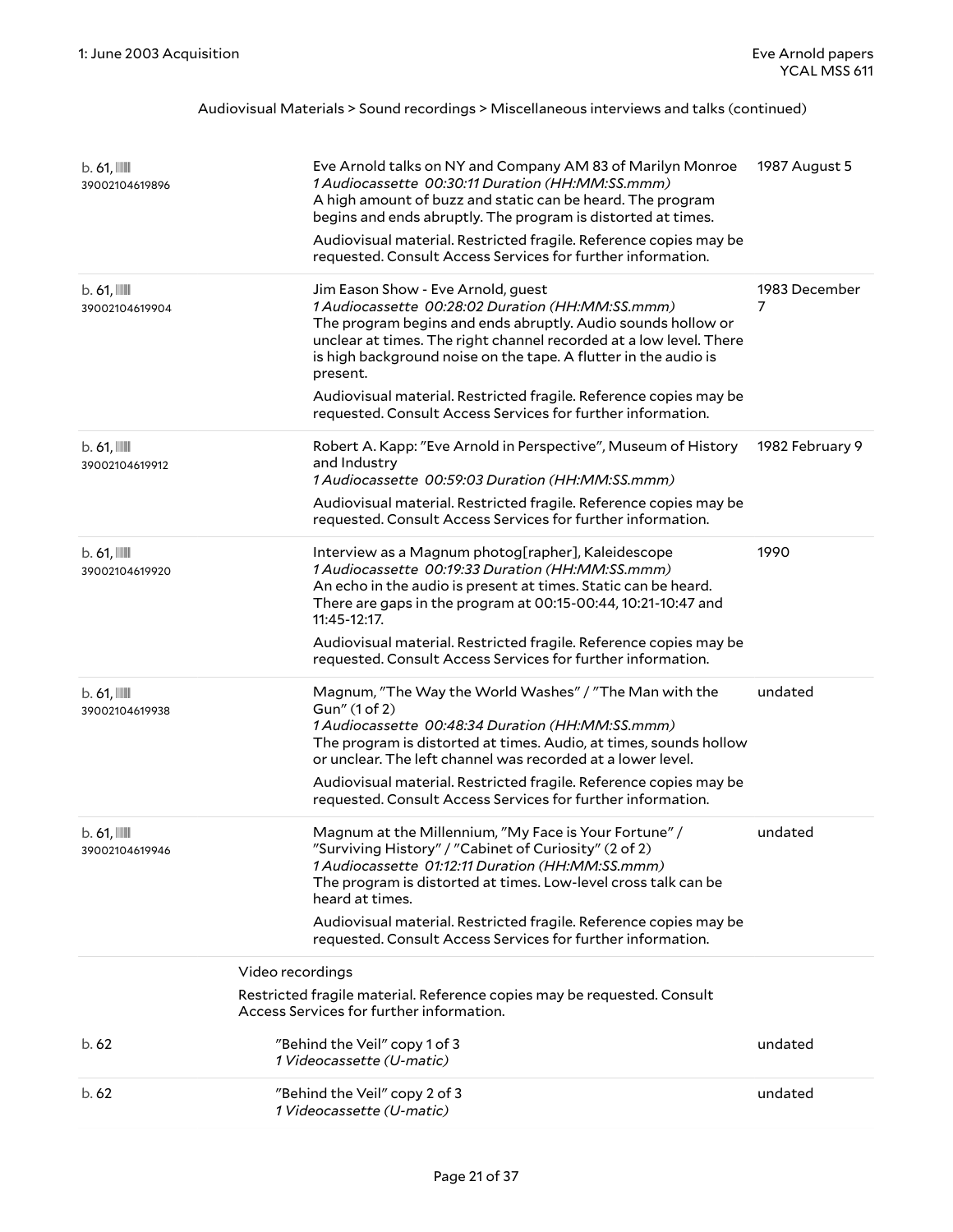| $b.61$ , $\blacksquare$<br>39002104619896 | Eve Arnold talks on NY and Company AM 83 of Marilyn Monroe<br>1 Audiocassette 00:30:11 Duration (HH:MM:SS.mmm)<br>A high amount of buzz and static can be heard. The program<br>begins and ends abruptly. The program is distorted at times.<br>Audiovisual material. Restricted fragile. Reference copies may be<br>requested. Consult Access Services for further information.                                                                | 1987 August 5      |
|-------------------------------------------|-------------------------------------------------------------------------------------------------------------------------------------------------------------------------------------------------------------------------------------------------------------------------------------------------------------------------------------------------------------------------------------------------------------------------------------------------|--------------------|
| $b.61$ , $\blacksquare$<br>39002104619904 | Jim Eason Show - Eve Arnold, guest<br>1 Audiocassette 00:28:02 Duration (HH:MM:SS.mmm)<br>The program begins and ends abruptly. Audio sounds hollow or<br>unclear at times. The right channel recorded at a low level. There<br>is high background noise on the tape. A flutter in the audio is<br>present.<br>Audiovisual material. Restricted fragile. Reference copies may be<br>requested. Consult Access Services for further information. | 1983 December<br>7 |
| $b.61$ , $\blacksquare$<br>39002104619912 | Robert A. Kapp: "Eve Arnold in Perspective", Museum of History<br>and Industry<br>1 Audiocassette 00:59:03 Duration (HH:MM:SS.mmm)<br>Audiovisual material. Restricted fragile. Reference copies may be<br>requested. Consult Access Services for further information.                                                                                                                                                                          | 1982 February 9    |
| $b.61$ , $\blacksquare$<br>39002104619920 | Interview as a Magnum photog[rapher], Kaleidescope<br>1 Audiocassette 00:19:33 Duration (HH:MM:SS.mmm)<br>An echo in the audio is present at times. Static can be heard.<br>There are gaps in the program at 00:15-00:44, 10:21-10:47 and<br>11:45-12:17.<br>Audiovisual material. Restricted fragile. Reference copies may be<br>requested. Consult Access Services for further information.                                                   | 1990               |
| $b.61$ , $\blacksquare$<br>39002104619938 | Magnum, "The Way the World Washes" / "The Man with the<br>Gun" (1 of 2)<br>1 Audiocassette 00:48:34 Duration (HH:MM:SS.mmm)<br>The program is distorted at times. Audio, at times, sounds hollow<br>or unclear. The left channel was recorded at a lower level.<br>Audiovisual material. Restricted fragile. Reference copies may be<br>requested. Consult Access Services for further information.                                             | undated            |
| $b.61$ , $\blacksquare$<br>39002104619946 | Magnum at the Millennium, "My Face is Your Fortune" /<br>"Surviving History" / "Cabinet of Curiosity" (2 of 2)<br>1 Audiocassette 01:12:11 Duration (HH:MM:SS.mmm)<br>The program is distorted at times. Low-level cross talk can be<br>heard at times.                                                                                                                                                                                         | undated            |
|                                           | Audiovisual material. Restricted fragile. Reference copies may be<br>requested. Consult Access Services for further information.                                                                                                                                                                                                                                                                                                                |                    |
|                                           | Video recordings                                                                                                                                                                                                                                                                                                                                                                                                                                |                    |
|                                           | Restricted fragile material. Reference copies may be requested. Consult<br>Access Services for further information.                                                                                                                                                                                                                                                                                                                             |                    |
| b.62                                      | "Behind the Veil" copy 1 of 3<br>1 Videocassette (U-matic)                                                                                                                                                                                                                                                                                                                                                                                      | undated            |
| b.62                                      | "Behind the Veil" copy 2 of 3<br>1 Videocassette (U-matic)                                                                                                                                                                                                                                                                                                                                                                                      | undated            |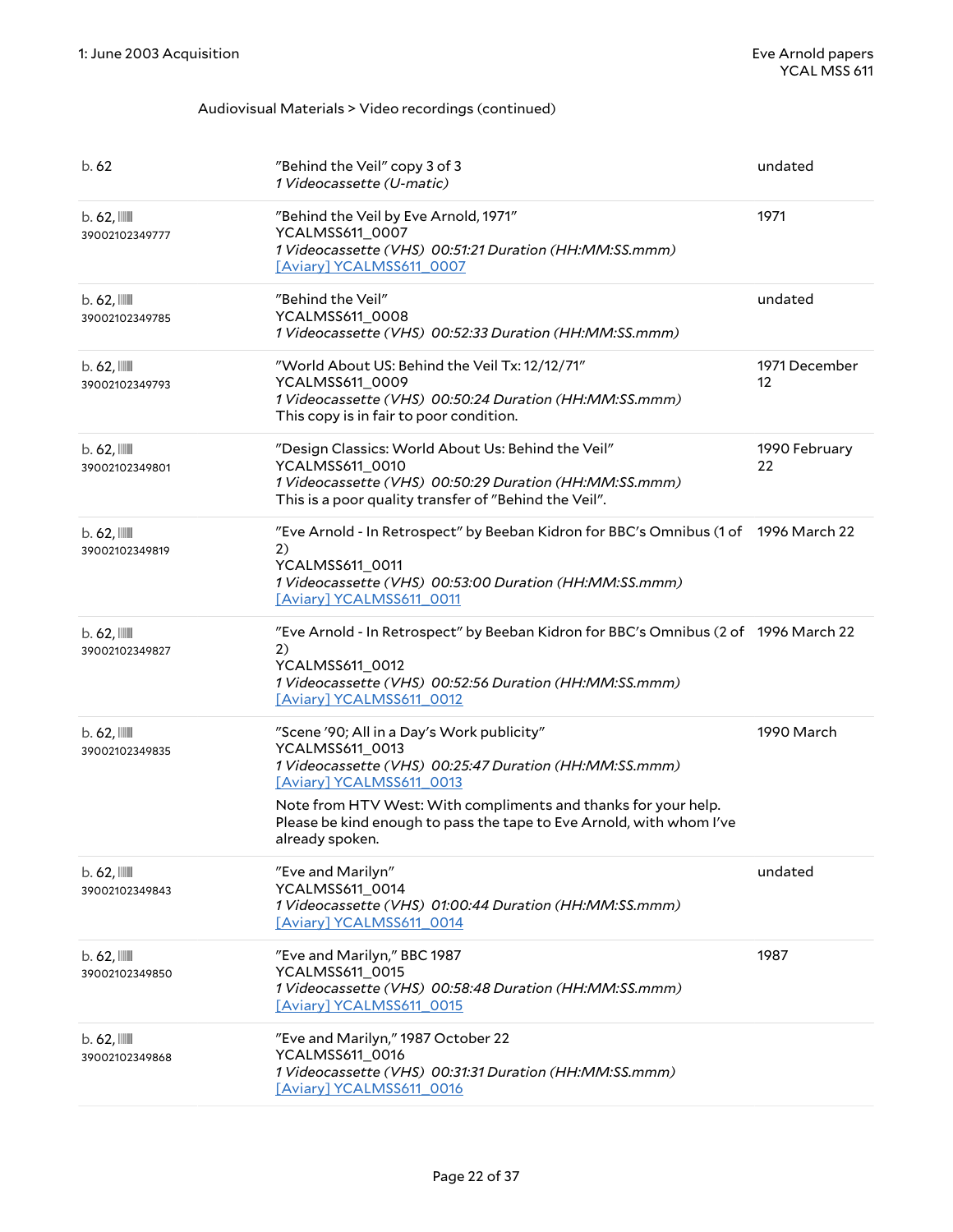| b.62                                      | "Behind the Veil" copy 3 of 3<br>1 Videocassette (U-matic)                                                                                                                                                                                                                                                       | undated             |
|-------------------------------------------|------------------------------------------------------------------------------------------------------------------------------------------------------------------------------------------------------------------------------------------------------------------------------------------------------------------|---------------------|
| $b.62$ , $\blacksquare$<br>39002102349777 | "Behind the Veil by Eve Arnold, 1971"<br>YCALMSS611_0007<br>1 Videocassette (VHS) 00:51:21 Duration (HH:MM:SS.mmm)<br>[Aviary] YCALMSS611_0007                                                                                                                                                                   | 1971                |
| $b.62$ , $\blacksquare$<br>39002102349785 | "Behind the Veil"<br>YCALMSS611_0008<br>1 Videocassette (VHS) 00:52:33 Duration (HH:MM:SS.mmm)                                                                                                                                                                                                                   | undated             |
| $b.62$ , $\blacksquare$<br>39002102349793 | "World About US: Behind the Veil Tx: 12/12/71"<br>YCALMSS611_0009<br>1 Videocassette (VHS) 00:50:24 Duration (HH:MM:SS.mmm)<br>This copy is in fair to poor condition.                                                                                                                                           | 1971 December<br>12 |
| $b.62$ , $\blacksquare$<br>39002102349801 | "Design Classics: World About Us: Behind the Veil"<br>YCALMSS611_0010<br>1 Videocassette (VHS) 00:50:29 Duration (HH:MM:SS.mmm)<br>This is a poor quality transfer of "Behind the Veil".                                                                                                                         | 1990 February<br>22 |
| $b.62$ , $III$<br>39002102349819          | "Eve Arnold - In Retrospect" by Beeban Kidron for BBC's Omnibus (1 of 1996 March 22<br>2)<br>YCALMSS611_0011<br>1 Videocassette (VHS) 00:53:00 Duration (HH:MM:SS.mmm)<br>[Aviary] YCALMSS611_0011                                                                                                               |                     |
| $b.62$ , $\blacksquare$<br>39002102349827 | "Eve Arnold - In Retrospect" by Beeban Kidron for BBC's Omnibus (2 of 1996 March 22<br>2)<br>YCALMSS611_0012<br>1 Videocassette (VHS) 00:52:56 Duration (HH:MM:SS.mmm)<br>[Aviary] YCALMSS611_0012                                                                                                               |                     |
| $b.62$ , $\blacksquare$<br>39002102349835 | "Scene '90; All in a Day's Work publicity"<br>YCALMSS611_0013<br>1 Videocassette (VHS) 00:25:47 Duration (HH:MM:SS.mmm)<br>[Aviary] YCALMSS611_0013<br>Note from HTV West: With compliments and thanks for your help.<br>Please be kind enough to pass the tape to Eve Arnold, with whom I've<br>already spoken. | 1990 March          |
| $b.62$ , $\blacksquare$<br>39002102349843 | "Eve and Marilyn"<br>YCALMSS611_0014<br>1 Videocassette (VHS) 01:00:44 Duration (HH:MM:SS.mmm)<br>[Aviary] YCALMSS611 0014                                                                                                                                                                                       | undated             |
| $b.62$ , $\blacksquare$<br>39002102349850 | "Eve and Marilyn," BBC 1987<br>YCALMSS611_0015<br>1 Videocassette (VHS) 00:58:48 Duration (HH:MM:SS.mmm)<br>[Aviary] YCALMSS611_0015                                                                                                                                                                             | 1987                |
| $b.62$ , $\blacksquare$<br>39002102349868 | "Eve and Marilyn," 1987 October 22<br>YCALMSS611_0016<br>1 Videocassette (VHS) 00:31:31 Duration (HH:MM:SS.mmm)<br>[Aviary] YCALMSS611 0016                                                                                                                                                                      |                     |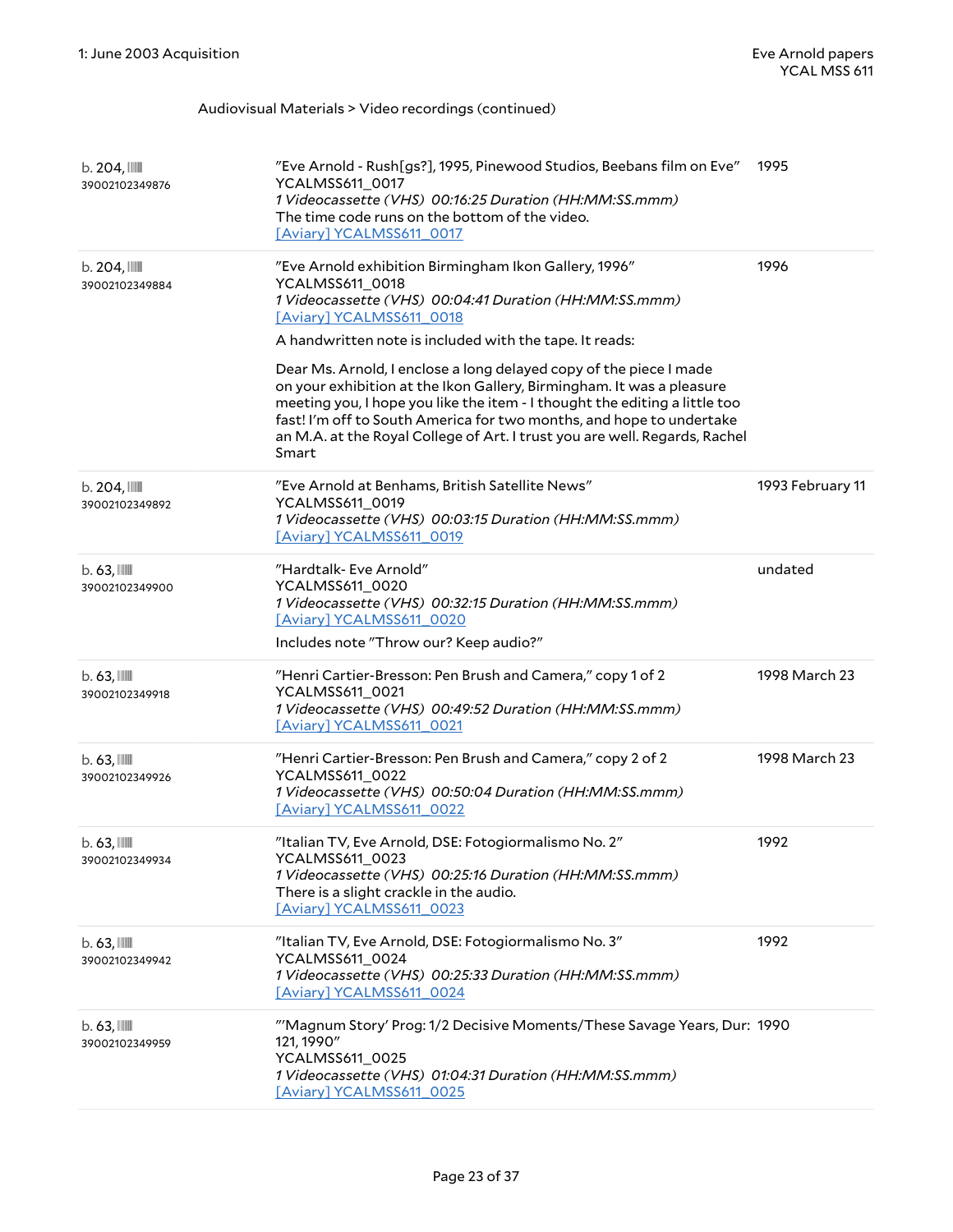| b. 204,<br>39002102349876                 | "Eve Arnold - Rush[gs?], 1995, Pinewood Studios, Beebans film on Eve"<br>YCALMSS611_0017<br>1 Videocassette (VHS) 00:16:25 Duration (HH:MM:SS.mmm)<br>The time code runs on the bottom of the video.<br>[Aviary] YCALMSS611_0017                                                                                                                                                                                                                                                                                                                                                                                      | 1995             |
|-------------------------------------------|-----------------------------------------------------------------------------------------------------------------------------------------------------------------------------------------------------------------------------------------------------------------------------------------------------------------------------------------------------------------------------------------------------------------------------------------------------------------------------------------------------------------------------------------------------------------------------------------------------------------------|------------------|
| b.204,<br>39002102349884                  | "Eve Arnold exhibition Birmingham Ikon Gallery, 1996"<br>YCALMSS611_0018<br>1 Videocassette (VHS) 00:04:41 Duration (HH:MM:SS.mmm)<br>[Aviary] YCALMSS611_0018<br>A handwritten note is included with the tape. It reads:<br>Dear Ms. Arnold, I enclose a long delayed copy of the piece I made<br>on your exhibition at the Ikon Gallery, Birmingham. It was a pleasure<br>meeting you, I hope you like the item - I thought the editing a little too<br>fast! I'm off to South America for two months, and hope to undertake<br>an M.A. at the Royal College of Art. I trust you are well. Regards, Rachel<br>Smart | 1996             |
| b.204,<br>39002102349892                  | "Eve Arnold at Benhams, British Satellite News"<br>YCALMSS611_0019<br>1 Videocassette (VHS) 00:03:15 Duration (HH:MM:SS.mmm)<br>[Aviary] YCALMSS611_0019                                                                                                                                                                                                                                                                                                                                                                                                                                                              | 1993 February 11 |
| $b.63$ , $III$<br>39002102349900          | "Hardtalk- Eve Arnold"<br>YCALMSS611_0020<br>1 Videocassette (VHS) 00:32:15 Duration (HH:MM:SS.mmm)<br>[Aviary] YCALMSS611_0020<br>Includes note "Throw our? Keep audio?"                                                                                                                                                                                                                                                                                                                                                                                                                                             | undated          |
| $b.63$ , $\blacksquare$<br>39002102349918 | "Henri Cartier-Bresson: Pen Brush and Camera," copy 1 of 2<br>YCALMSS611_0021<br>1 Videocassette (VHS) 00:49:52 Duration (HH:MM:SS.mmm)<br>[Aviary] YCALMSS611_0021                                                                                                                                                                                                                                                                                                                                                                                                                                                   | 1998 March 23    |
| $b.63$ , $\blacksquare$<br>39002102349926 | "Henri Cartier-Bresson: Pen Brush and Camera," copy 2 of 2<br>YCALMSS611_0022<br>1 Videocassette (VHS) 00:50:04 Duration (HH:MM:SS.mmm)<br>[Aviary] YCALMSS611 0022                                                                                                                                                                                                                                                                                                                                                                                                                                                   | 1998 March 23    |
| $b.63$ , $III$<br>39002102349934          | "Italian TV, Eve Arnold, DSE: Fotogiormalismo No. 2"<br>YCALMSS611_0023<br>1 Videocassette (VHS) 00:25:16 Duration (HH:MM:SS.mmm)<br>There is a slight crackle in the audio.<br>[Aviary] YCALMSS611_0023                                                                                                                                                                                                                                                                                                                                                                                                              | 1992             |
| $b.63$ , $\blacksquare$<br>39002102349942 | "Italian TV, Eve Arnold, DSE: Fotogiormalismo No. 3"<br>YCALMSS611_0024<br>1 Videocassette (VHS) 00:25:33 Duration (HH:MM:SS.mmm)<br>[Aviary] YCALMSS611_0024                                                                                                                                                                                                                                                                                                                                                                                                                                                         | 1992             |
| $b.63$ , $\blacksquare$<br>39002102349959 | "'Magnum Story' Prog: 1/2 Decisive Moments/These Savage Years, Dur: 1990<br>121, 1990"<br>YCALMSS611_0025<br>1 Videocassette (VHS) 01:04:31 Duration (HH:MM:SS.mmm)<br>[Aviary] YCALMSS611 0025                                                                                                                                                                                                                                                                                                                                                                                                                       |                  |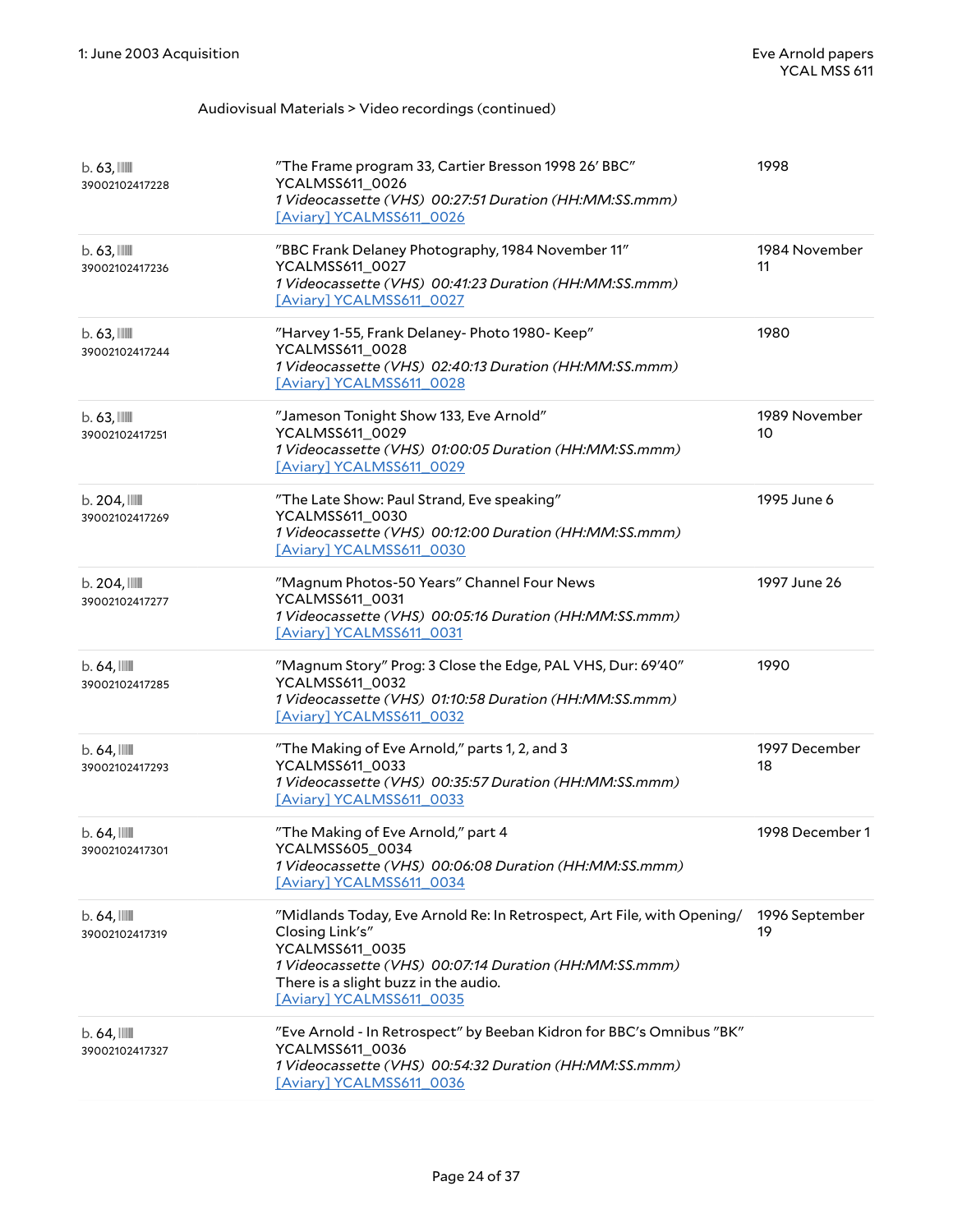| $b.63$ , $III$<br>39002102417228           | "The Frame program 33, Cartier Bresson 1998 26' BBC"<br>YCALMSS611_0026<br>1 Videocassette (VHS) 00:27:51 Duration (HH:MM:SS.mmm)<br>[Aviary] YCALMSS611_0026                                                                              | 1998                 |
|--------------------------------------------|--------------------------------------------------------------------------------------------------------------------------------------------------------------------------------------------------------------------------------------------|----------------------|
| $b.63$ , $III$<br>39002102417236           | "BBC Frank Delaney Photography, 1984 November 11"<br>YCALMSS611_0027<br>1 Videocassette (VHS) 00:41:23 Duration (HH:MM:SS.mmm)<br>[Aviary] YCALMSS611 0027                                                                                 | 1984 November<br>11  |
| $b.63$ , $111$<br>39002102417244           | "Harvey 1-55, Frank Delaney- Photo 1980- Keep"<br>YCALMSS611_0028<br>1 Videocassette (VHS) 02:40:13 Duration (HH:MM:SS.mmm)<br>[Aviary] YCALMSS611_0028                                                                                    | 1980                 |
| $b.63$ , $III$<br>39002102417251           | "Jameson Tonight Show 133, Eve Arnold"<br>YCALMSS611_0029<br>1 Videocassette (VHS) 01:00:05 Duration (HH:MM:SS.mmm)<br>[Aviary] YCALMSS611_0029                                                                                            | 1989 November<br>10  |
| b.204,<br>39002102417269                   | "The Late Show: Paul Strand, Eve speaking"<br>YCALMSS611_0030<br>1 Videocassette (VHS) 00:12:00 Duration (HH:MM:SS.mmm)<br>[Aviary] YCALMSS611_0030                                                                                        | 1995 June 6          |
| $b.204$ , $\blacksquare$<br>39002102417277 | "Magnum Photos-50 Years" Channel Four News<br>YCALMSS611_0031<br>1 Videocassette (VHS) 00:05:16 Duration (HH:MM:SS.mmm)<br>[Aviary] YCALMSS611 0031                                                                                        | 1997 June 26         |
| $b.64$ , $\blacksquare$<br>39002102417285  | "Magnum Story" Prog: 3 Close the Edge, PAL VHS, Dur: 69'40"<br>YCALMSS611_0032<br>1 Videocassette (VHS) 01:10:58 Duration (HH:MM:SS.mmm)<br>[Aviary] YCALMSS611_0032                                                                       | 1990                 |
| $b.64$ , $\blacksquare$<br>39002102417293  | "The Making of Eve Arnold," parts 1, 2, and 3<br>YCALMSS611_0033<br>1 Videocassette (VHS) 00:35:57 Duration (HH:MM:SS.mmm)<br>[Aviary] YCALMSS611_0033                                                                                     | 1997 December<br>18  |
| $b.64$ , $\blacksquare$<br>39002102417301  | "The Making of Eve Arnold," part 4<br>YCALMSS605_0034<br>1 Videocassette (VHS) 00:06:08 Duration (HH:MM:SS.mmm)<br>[Aviary] YCALMSS611 0034                                                                                                | 1998 December 1      |
| $b.64$ , $\blacksquare$<br>39002102417319  | "Midlands Today, Eve Arnold Re: In Retrospect, Art File, with Opening/<br>Closing Link's"<br>YCALMSS611_0035<br>1 Videocassette (VHS) 00:07:14 Duration (HH:MM:SS.mmm)<br>There is a slight buzz in the audio.<br>[Aviary] YCALMSS611_0035 | 1996 September<br>19 |
| $b.64$ , $\blacksquare$<br>39002102417327  | "Eve Arnold - In Retrospect" by Beeban Kidron for BBC's Omnibus "BK"<br>YCALMSS611_0036<br>1 Videocassette (VHS) 00:54:32 Duration (HH:MM:SS.mmm)<br>[Aviary] YCALMSS611_0036                                                              |                      |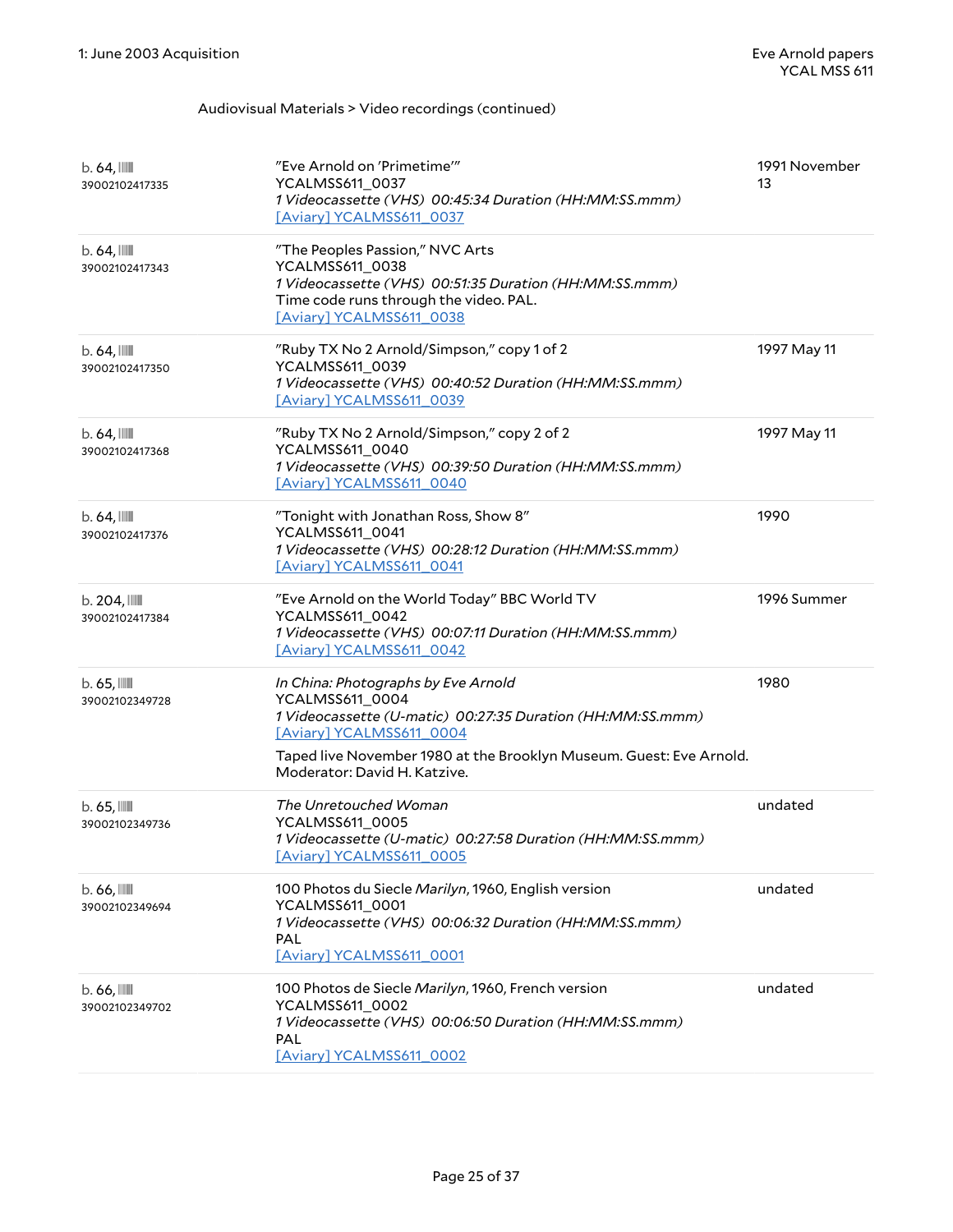| $b.64$ , $\blacksquare$<br>39002102417335  | "Eve Arnold on 'Primetime""<br>YCALMSS611_0037<br>1 Videocassette (VHS) 00:45:34 Duration (HH:MM:SS.mmm)<br>[Aviary] YCALMSS611_0037                                                                                                                    | 1991 November<br>13 |
|--------------------------------------------|---------------------------------------------------------------------------------------------------------------------------------------------------------------------------------------------------------------------------------------------------------|---------------------|
| $b.64$ , $\blacksquare$<br>39002102417343  | "The Peoples Passion," NVC Arts<br>YCALMSS611_0038<br>1 Videocassette (VHS) 00:51:35 Duration (HH:MM:SS.mmm)<br>Time code runs through the video. PAL.<br>[Aviary] YCALMSS611_0038                                                                      |                     |
| $b.64$ , $\blacksquare$<br>39002102417350  | "Ruby TX No 2 Arnold/Simpson," copy 1 of 2<br>YCALMSS611_0039<br>1 Videocassette (VHS) 00:40:52 Duration (HH:MM:SS.mmm)<br>[Aviary] YCALMSS611_0039                                                                                                     | 1997 May 11         |
| $b.64$ , $\blacksquare$<br>39002102417368  | "Ruby TX No 2 Arnold/Simpson," copy 2 of 2<br>YCALMSS611_0040<br>1 Videocassette (VHS) 00:39:50 Duration (HH:MM:SS.mmm)<br>[Aviary] YCALMSS611_0040                                                                                                     | 1997 May 11         |
| $b.64$ , $\blacksquare$<br>39002102417376  | "Tonight with Jonathan Ross, Show 8"<br>YCALMSS611_0041<br>1 Videocassette (VHS) 00:28:12 Duration (HH:MM:SS.mmm)<br>[Aviary] YCALMSS611_0041                                                                                                           | 1990                |
| $b.204$ , $\blacksquare$<br>39002102417384 | "Eve Arnold on the World Today" BBC World TV<br>YCALMSS611_0042<br>1 Videocassette (VHS) 00:07:11 Duration (HH:MM:SS.mmm)<br>[Aviary] YCALMSS611_0042                                                                                                   | 1996 Summer         |
| $b.65$ , $\mathbb{I}$<br>39002102349728    | In China: Photographs by Eve Arnold<br>YCALMSS611_0004<br>1 Videocassette (U-matic) 00:27:35 Duration (HH:MM:SS.mmm)<br>[Aviary] YCALMSS611_0004<br>Taped live November 1980 at the Brooklyn Museum. Guest: Eve Arnold.<br>Moderator: David H. Katzive. | 1980                |
| $b.65$ , $\mathbb{III}$<br>39002102349736  | The Unretouched Woman<br>YCALMSS611_0005<br>1 Videocassette (U-matic) 00:27:58 Duration (HH:MM:SS.mmm)<br>[Aviary] YCALMSS611_0005                                                                                                                      | undated             |
| $b.66$ , $\blacksquare$<br>39002102349694  | 100 Photos du Siecle Marilyn, 1960, English version<br>YCALMSS611_0001<br>1 Videocassette (VHS) 00:06:32 Duration (HH:MM:SS.mmm)<br>PAL<br>[Aviary] YCALMSS611_0001                                                                                     | undated             |
| $b.66$ , $III$<br>39002102349702           | 100 Photos de Siecle Marilyn, 1960, French version<br>YCALMSS611_0002<br>1 Videocassette (VHS) 00:06:50 Duration (HH:MM:SS.mmm)<br>PAL<br>[Aviary] YCALMSS611_0002                                                                                      | undated             |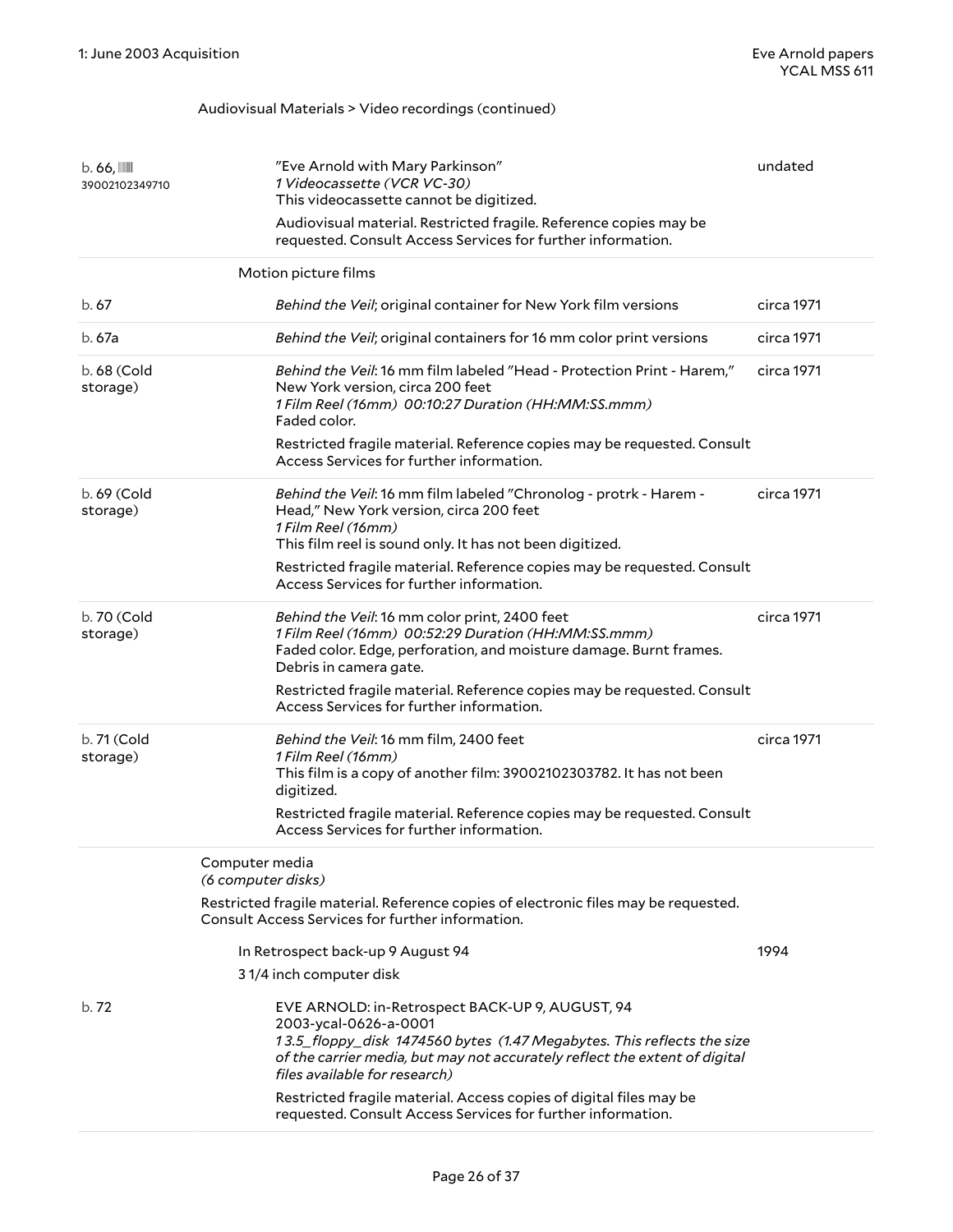<span id="page-25-0"></span>

| $b.66$ , $III$<br>39002102349710 | "Eve Arnold with Mary Parkinson"<br>1 Videocassette (VCR VC-30)<br>This videocassette cannot be digitized.<br>Audiovisual material. Restricted fragile. Reference copies may be<br>requested. Consult Access Services for further information.                    | undated    |
|----------------------------------|-------------------------------------------------------------------------------------------------------------------------------------------------------------------------------------------------------------------------------------------------------------------|------------|
|                                  | Motion picture films                                                                                                                                                                                                                                              |            |
| b. 67                            | Behind the Veil; original container for New York film versions                                                                                                                                                                                                    | circa 1971 |
| b. 67a                           | Behind the Veil; original containers for 16 mm color print versions                                                                                                                                                                                               | circa 1971 |
| b. 68 (Cold<br>storage)          | Behind the Veil: 16 mm film labeled "Head - Protection Print - Harem,"<br>New York version, circa 200 feet<br>1 Film Reel (16mm) 00:10:27 Duration (HH:MM:SS.mmm)<br>Faded color.                                                                                 | circa 1971 |
|                                  | Restricted fragile material. Reference copies may be requested. Consult<br>Access Services for further information.                                                                                                                                               |            |
| b. 69 (Cold<br>storage)          | Behind the Veil: 16 mm film labeled "Chronolog - protrk - Harem -<br>Head," New York version, circa 200 feet<br>1 Film Reel (16mm)<br>This film reel is sound only. It has not been digitized.                                                                    | circa 1971 |
|                                  | Restricted fragile material. Reference copies may be requested. Consult<br>Access Services for further information.                                                                                                                                               |            |
| b. 70 (Cold<br>storage)          | Behind the Veil: 16 mm color print, 2400 feet<br>1 Film Reel (16mm) 00:52:29 Duration (HH:MM:SS.mmm)<br>Faded color. Edge, perforation, and moisture damage. Burnt frames.<br>Debris in camera gate.                                                              | circa 1971 |
|                                  | Restricted fragile material. Reference copies may be requested. Consult<br>Access Services for further information.                                                                                                                                               |            |
| b. 71 (Cold<br>storage)          | Behind the Veil: 16 mm film, 2400 feet<br>1 Film Reel (16mm)<br>This film is a copy of another film: 39002102303782. It has not been<br>digitized.                                                                                                                | circa 1971 |
|                                  | Restricted fragile material. Reference copies may be requested. Consult<br>Access Services for further information.                                                                                                                                               |            |
|                                  | Computer media<br>(6 computer disks)                                                                                                                                                                                                                              |            |
|                                  | Restricted fragile material. Reference copies of electronic files may be requested.<br>Consult Access Services for further information.                                                                                                                           |            |
|                                  | In Retrospect back-up 9 August 94                                                                                                                                                                                                                                 | 1994       |
|                                  | 31/4 inch computer disk                                                                                                                                                                                                                                           |            |
| b. 72                            | EVE ARNOLD: in-Retrospect BACK-UP 9, AUGUST, 94<br>2003-ycal-0626-a-0001<br>13.5_floppy_disk 1474560 bytes (1.47 Megabytes. This reflects the size<br>of the carrier media, but may not accurately reflect the extent of digital<br>files available for research) |            |
|                                  | Restricted fragile material. Access copies of digital files may be<br>requested. Consult Access Services for further information.                                                                                                                                 |            |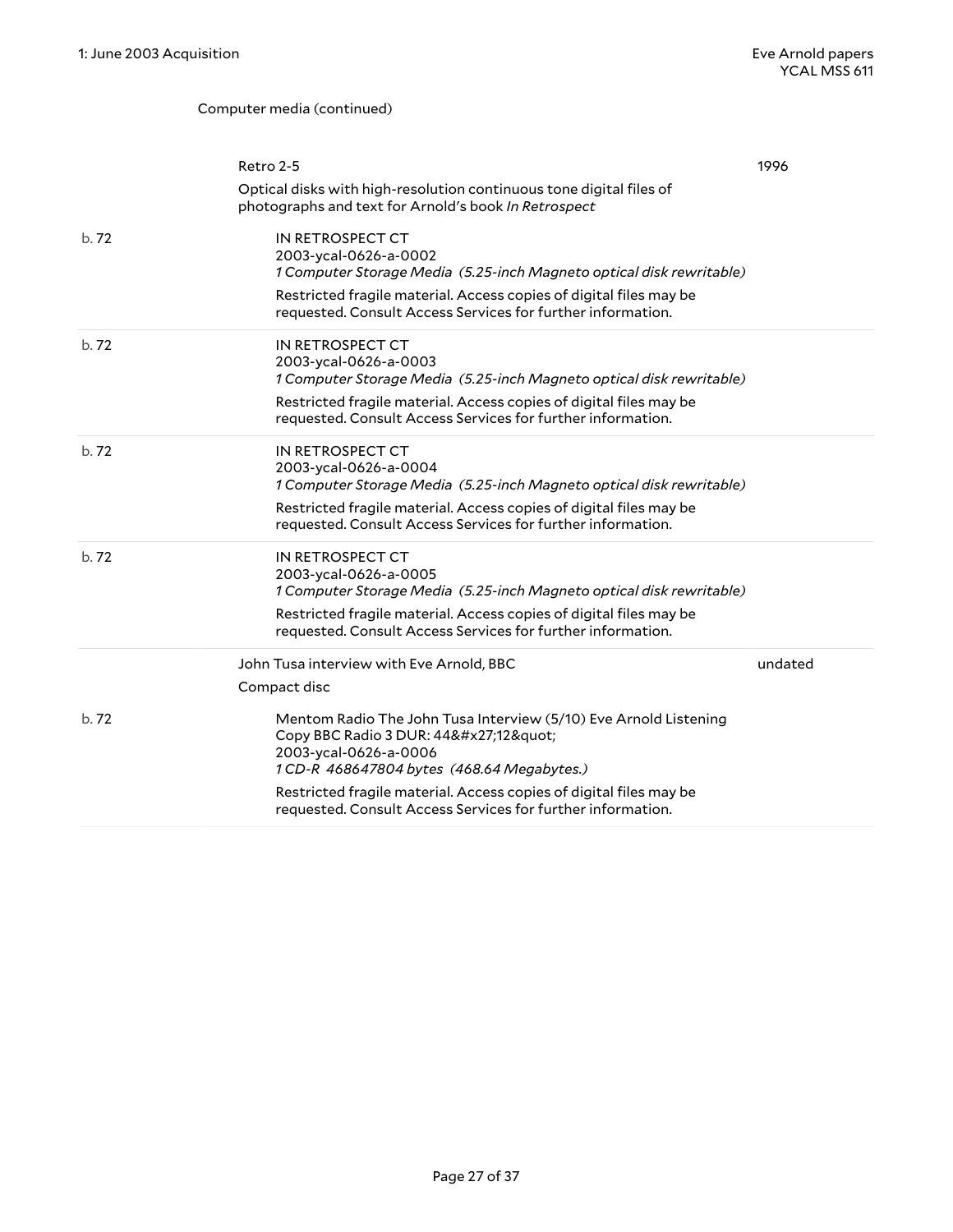#### Computer media (continued)

|      | Retro 2-5                                                                                                                                                                                                                                              | 1996    |
|------|--------------------------------------------------------------------------------------------------------------------------------------------------------------------------------------------------------------------------------------------------------|---------|
|      | Optical disks with high-resolution continuous tone digital files of<br>photographs and text for Arnold's book In Retrospect                                                                                                                            |         |
| b.72 | IN RETROSPECT CT<br>2003-ycal-0626-a-0002<br>1 Computer Storage Media (5.25-inch Magneto optical disk rewritable)<br>Restricted fragile material. Access copies of digital files may be<br>requested. Consult Access Services for further information. |         |
| b.72 | IN RETROSPECT CT<br>2003-ycal-0626-a-0003<br>1 Computer Storage Media (5.25-inch Magneto optical disk rewritable)<br>Restricted fragile material. Access copies of digital files may be<br>requested. Consult Access Services for further information. |         |
| b.72 | IN RETROSPECT CT<br>2003-ycal-0626-a-0004<br>1 Computer Storage Media (5.25-inch Magneto optical disk rewritable)<br>Restricted fragile material. Access copies of digital files may be<br>requested. Consult Access Services for further information. |         |
| b.72 | IN RETROSPECT CT<br>2003-ycal-0626-a-0005<br>1 Computer Storage Media (5.25-inch Magneto optical disk rewritable)<br>Restricted fragile material. Access copies of digital files may be<br>requested. Consult Access Services for further information. |         |
|      | John Tusa interview with Eve Arnold, BBC                                                                                                                                                                                                               | undated |
|      | Compact disc                                                                                                                                                                                                                                           |         |
| b.72 | Mentom Radio The John Tusa Interview (5/10) Eve Arnold Listening<br>Copy BBC Radio 3 DUR: 44'12"<br>2003-ycal-0626-a-0006<br>1 CD-R 468647804 bytes (468.64 Megabytes.)                                                                                |         |
|      | Restricted fragile material. Access copies of digital files may be<br>requested. Consult Access Services for further information.                                                                                                                      |         |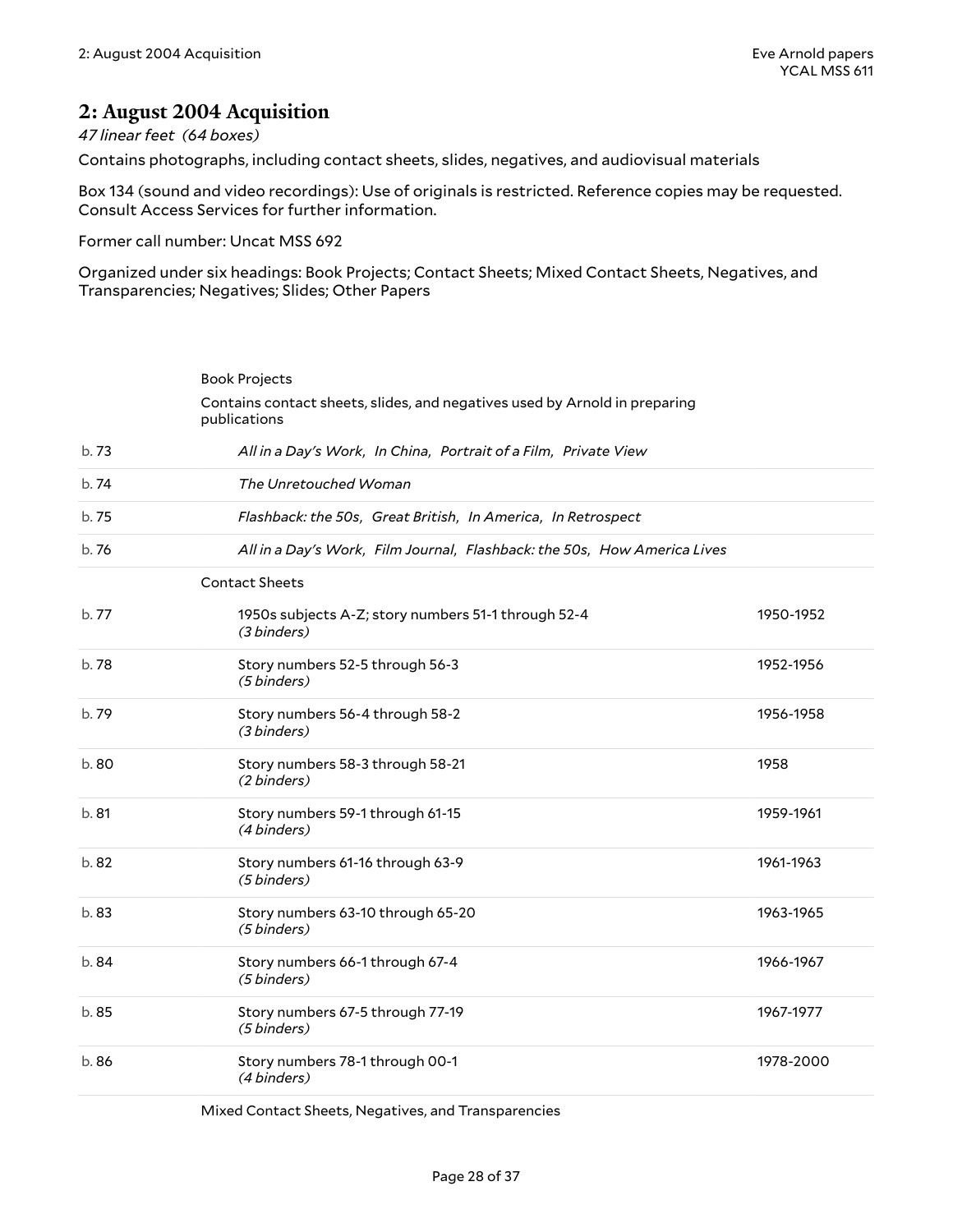### <span id="page-27-0"></span>**2: August 2004 Acquisition**

#### *47 linear feet (64 boxes)*

Contains photographs, including contact sheets, slides, negatives, and audiovisual materials

Box 134 (sound and video recordings): Use of originals is restricted. Reference copies may be requested. Consult Access Services for further information.

Former call number: Uncat MSS 692

Organized under six headings: Book Projects; Contact Sheets; Mixed Contact Sheets, Negatives, and Transparencies; Negatives; Slides; Other Papers

<span id="page-27-2"></span><span id="page-27-1"></span>

|       | <b>Book Projects</b>                                                                       |           |
|-------|--------------------------------------------------------------------------------------------|-----------|
|       | Contains contact sheets, slides, and negatives used by Arnold in preparing<br>publications |           |
| b.73  | All in a Day's Work, In China, Portrait of a Film, Private View                            |           |
| b.74  | The Unretouched Woman                                                                      |           |
| b.75  | Flashback: the 50s, Great British, In America, In Retrospect                               |           |
| b.76  | All in a Day's Work, Film Journal, Flashback: the 50s, How America Lives                   |           |
|       | <b>Contact Sheets</b>                                                                      |           |
| b.77  | 1950s subjects A-Z; story numbers 51-1 through 52-4<br>(3 binders)                         | 1950-1952 |
| b.78  | Story numbers 52-5 through 56-3<br>(5 binders)                                             | 1952-1956 |
| b.79  | Story numbers 56-4 through 58-2<br>(3 binders)                                             | 1956-1958 |
| b.80  | Story numbers 58-3 through 58-21<br>(2 binders)                                            | 1958      |
| b.81  | Story numbers 59-1 through 61-15<br>(4 binders)                                            | 1959-1961 |
| b.82  | Story numbers 61-16 through 63-9<br>(5 binders)                                            | 1961-1963 |
| b.83  | Story numbers 63-10 through 65-20<br>(5 binders)                                           | 1963-1965 |
| b. 84 | Story numbers 66-1 through 67-4<br>(5 binders)                                             | 1966-1967 |
| b.85  | Story numbers 67-5 through 77-19<br>(5 binders)                                            | 1967-1977 |
| b.86  | Story numbers 78-1 through 00-1<br>(4 binders)                                             | 1978-2000 |

<span id="page-27-3"></span>Mixed Contact Sheets, Negatives, and Transparencies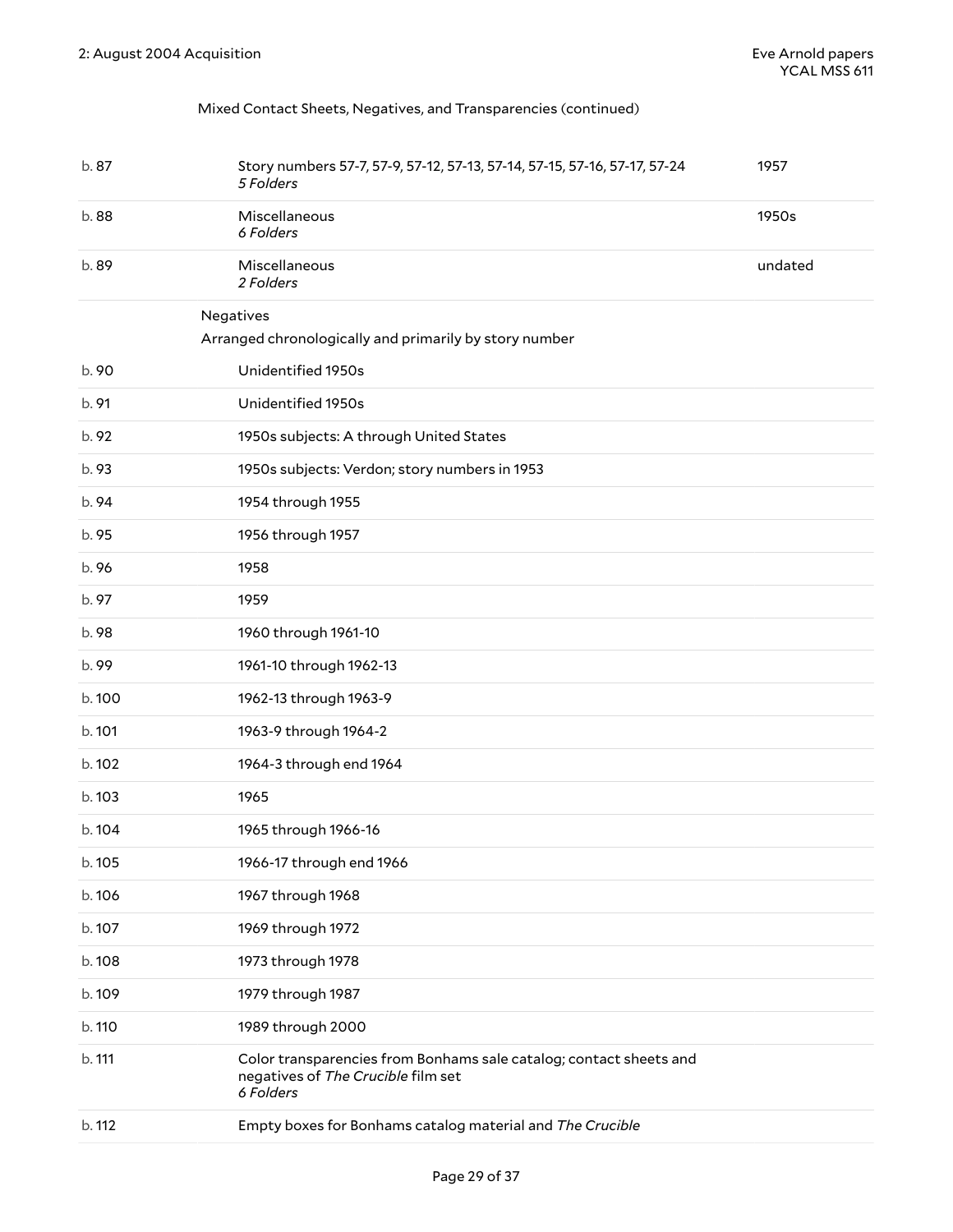#### Mixed Contact Sheets, Negatives, and Transparencies (continued)

<span id="page-28-0"></span>

| b.87   | Story numbers 57-7, 57-9, 57-12, 57-13, 57-14, 57-15, 57-16, 57-17, 57-24<br>5 Folders                                | 1957    |
|--------|-----------------------------------------------------------------------------------------------------------------------|---------|
| b.88   | Miscellaneous<br>6 Folders                                                                                            | 1950s   |
| b.89   | Miscellaneous<br>2 Folders                                                                                            | undated |
|        | Negatives                                                                                                             |         |
|        | Arranged chronologically and primarily by story number                                                                |         |
| b. 90  | Unidentified 1950s                                                                                                    |         |
| b. 91  | Unidentified 1950s                                                                                                    |         |
| b. 92  | 1950s subjects: A through United States                                                                               |         |
| b. 93  | 1950s subjects: Verdon; story numbers in 1953                                                                         |         |
| b. 94  | 1954 through 1955                                                                                                     |         |
| b. 95  | 1956 through 1957                                                                                                     |         |
| b. 96  | 1958                                                                                                                  |         |
| b. 97  | 1959                                                                                                                  |         |
| b.98   | 1960 through 1961-10                                                                                                  |         |
| b.99   | 1961-10 through 1962-13                                                                                               |         |
| b.100  | 1962-13 through 1963-9                                                                                                |         |
| b. 101 | 1963-9 through 1964-2                                                                                                 |         |
| b. 102 | 1964-3 through end 1964                                                                                               |         |
| b.103  | 1965                                                                                                                  |         |
| b. 104 | 1965 through 1966-16                                                                                                  |         |
| b. 105 | 1966-17 through end 1966                                                                                              |         |
| b.106  | 1967 through 1968                                                                                                     |         |
| b. 107 | 1969 through 1972                                                                                                     |         |
| b.108  | 1973 through 1978                                                                                                     |         |
| b.109  | 1979 through 1987                                                                                                     |         |
| b. 110 | 1989 through 2000                                                                                                     |         |
| b. 111 | Color transparencies from Bonhams sale catalog; contact sheets and<br>negatives of The Crucible film set<br>6 Folders |         |
| b. 112 | Empty boxes for Bonhams catalog material and The Crucible                                                             |         |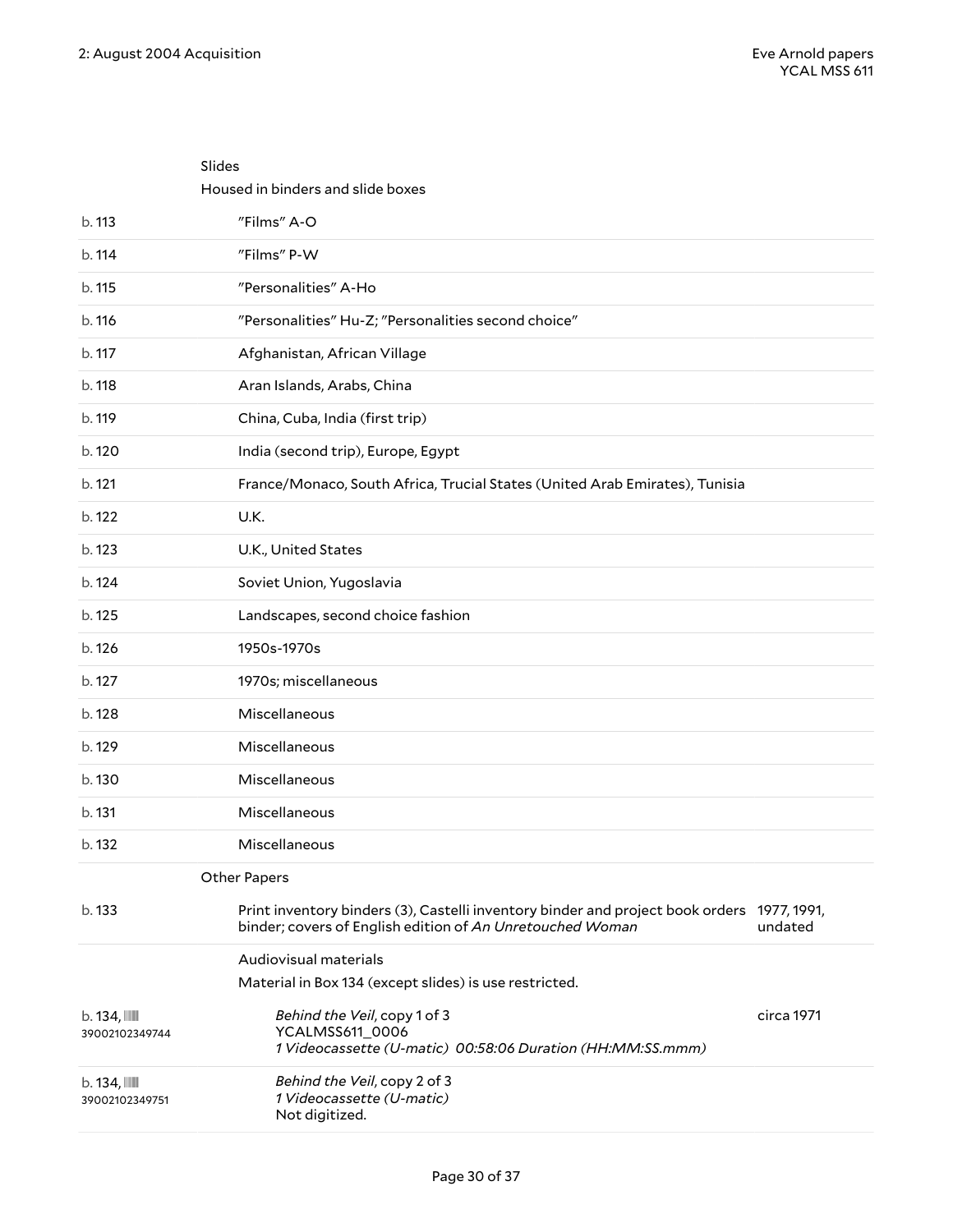<span id="page-29-0"></span>Slides

<span id="page-29-2"></span><span id="page-29-1"></span>

|                                            | Housed in binders and slide boxes                                                                                                                       |            |
|--------------------------------------------|---------------------------------------------------------------------------------------------------------------------------------------------------------|------------|
| b. 113                                     | "Films" A-O                                                                                                                                             |            |
| b. 114                                     | "Films" P-W                                                                                                                                             |            |
| b. 115                                     | "Personalities" A-Ho                                                                                                                                    |            |
| b. 116                                     | "Personalities" Hu-Z; "Personalities second choice"                                                                                                     |            |
| b. 117                                     | Afghanistan, African Village                                                                                                                            |            |
| b. 118                                     | Aran Islands, Arabs, China                                                                                                                              |            |
| b. 119                                     | China, Cuba, India (first trip)                                                                                                                         |            |
| b. 120                                     | India (second trip), Europe, Egypt                                                                                                                      |            |
| b. 121                                     | France/Monaco, South Africa, Trucial States (United Arab Emirates), Tunisia                                                                             |            |
| b. 122                                     | U.K.                                                                                                                                                    |            |
| b. 123                                     | U.K., United States                                                                                                                                     |            |
| b. 124                                     | Soviet Union, Yugoslavia                                                                                                                                |            |
| b. 125                                     | Landscapes, second choice fashion                                                                                                                       |            |
| b. 126                                     | 1950s-1970s                                                                                                                                             |            |
| b. 127                                     | 1970s; miscellaneous                                                                                                                                    |            |
| b. 128                                     | Miscellaneous                                                                                                                                           |            |
| b. 129                                     | Miscellaneous                                                                                                                                           |            |
| b. 130                                     | Miscellaneous                                                                                                                                           |            |
| b. 131                                     | Miscellaneous                                                                                                                                           |            |
| b. 132                                     | Miscellaneous                                                                                                                                           |            |
|                                            | Other Papers                                                                                                                                            |            |
| b. 133                                     | Print inventory binders (3), Castelli inventory binder and project book orders 1977, 1991,<br>binder; covers of English edition of An Unretouched Woman | undated    |
|                                            | Audiovisual materials                                                                                                                                   |            |
|                                            | Material in Box 134 (except slides) is use restricted.                                                                                                  |            |
| $b.134$ , $\blacksquare$<br>39002102349744 | Behind the Veil, copy 1 of 3<br>YCALMSS611_0006<br>1 Videocassette (U-matic) 00:58:06 Duration (HH:MM:SS.mmm)                                           | circa 1971 |
| $b.134$ , $\blacksquare$<br>39002102349751 | Behind the Veil, copy 2 of 3<br>1 Videocassette (U-matic)<br>Not digitized.                                                                             |            |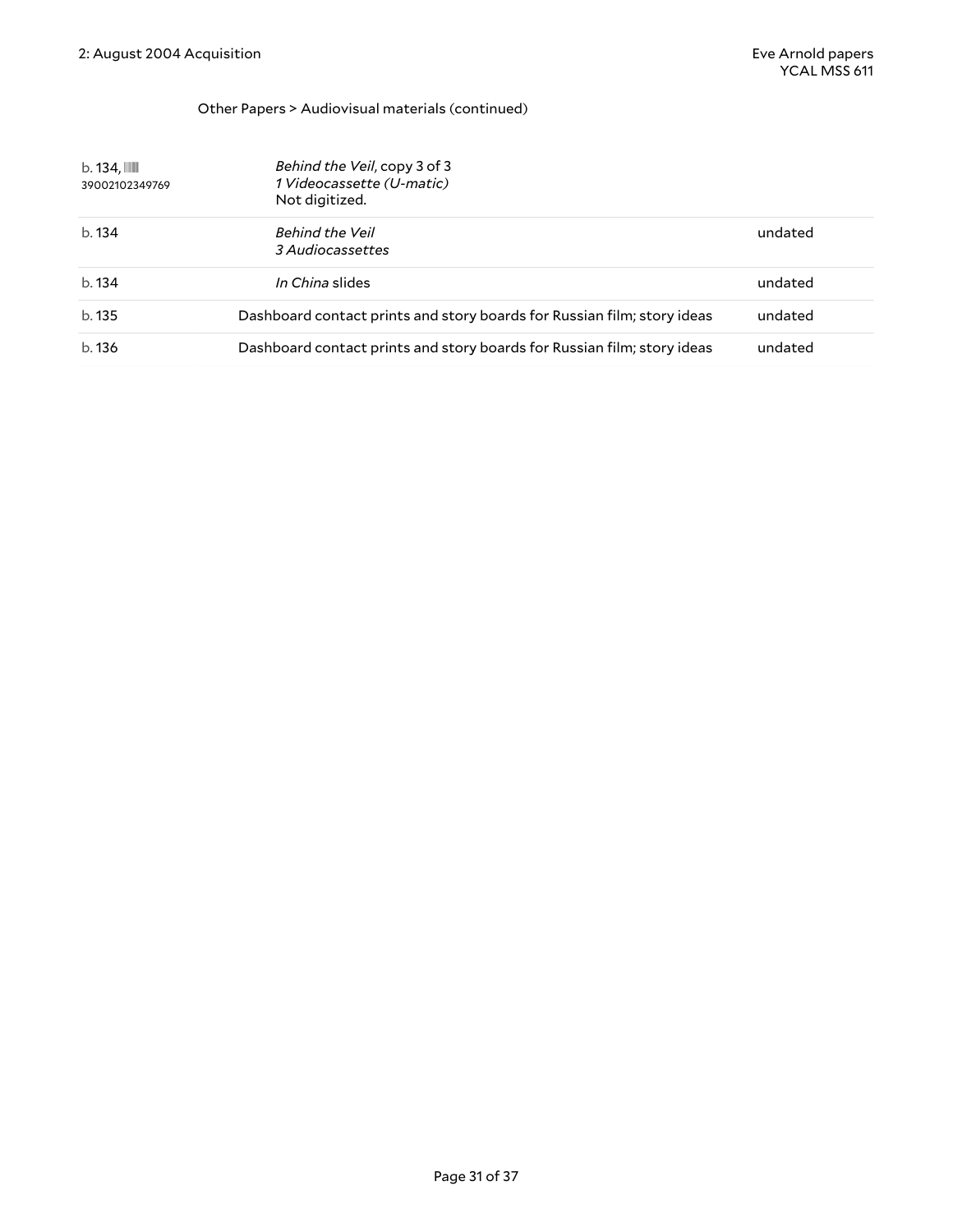#### Other Papers > Audiovisual materials (continued)

| $b.134$ , $III$<br>39002102349769 | Behind the Veil, copy 3 of 3<br>1 Videocassette (U-matic)<br>Not digitized. |         |
|-----------------------------------|-----------------------------------------------------------------------------|---------|
| b.134                             | Behind the Veil<br>3 Audiocassettes                                         | undated |
| b.134                             | In China slides                                                             | undated |
| b.135                             | Dashboard contact prints and story boards for Russian film; story ideas     | undated |
| b.136                             | Dashboard contact prints and story boards for Russian film; story ideas     | undated |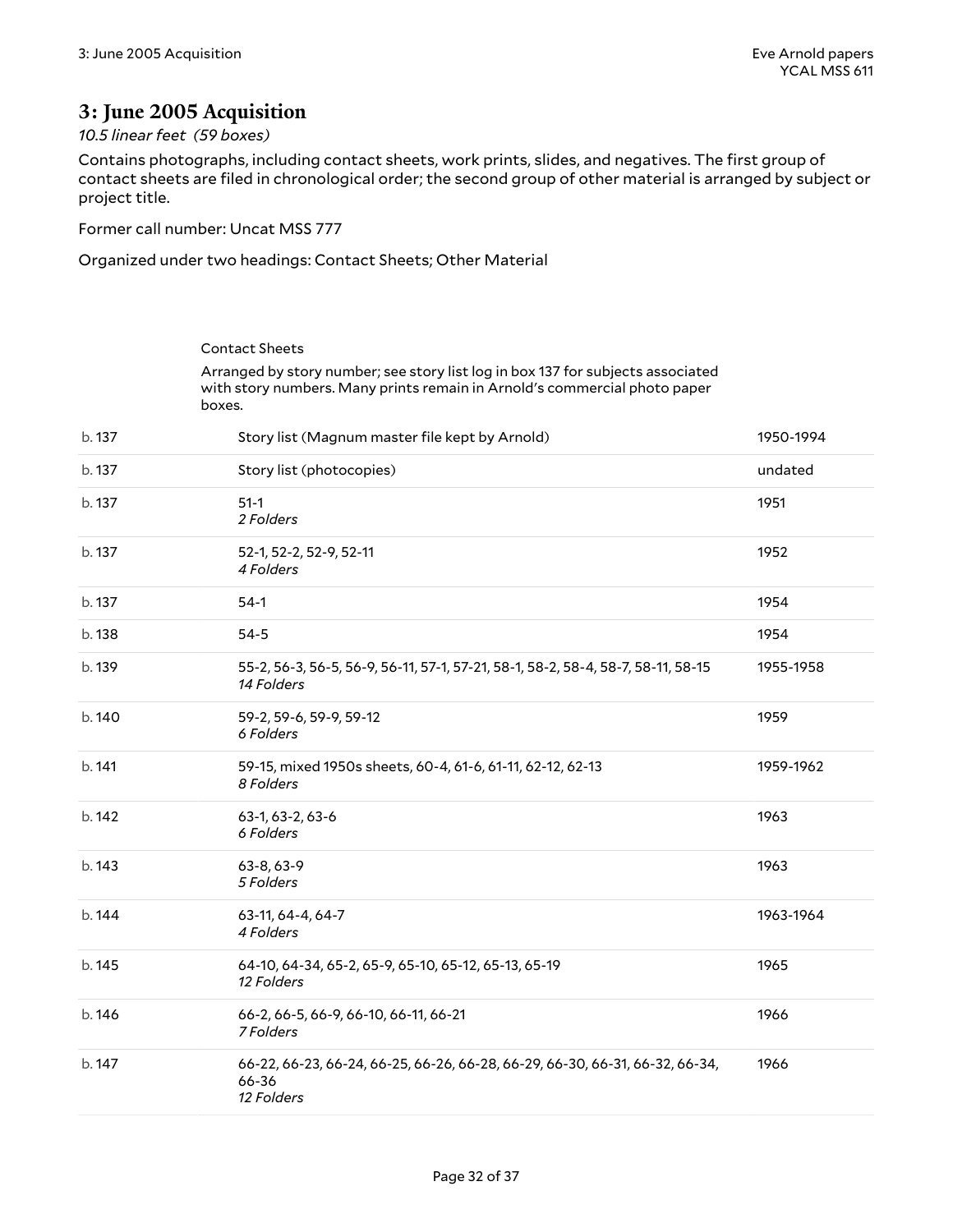### <span id="page-31-0"></span>**3: June 2005 Acquisition**

#### *10.5 linear feet (59 boxes)*

Contains photographs, including contact sheets, work prints, slides, and negatives. The first group of contact sheets are filed in chronological order; the second group of other material is arranged by subject or project title.

Former call number: Uncat MSS 777

Organized under two headings: Contact Sheets; Other Material

<span id="page-31-1"></span>

|        | <b>Contact Sheets</b>                                                                                                                                                  |           |
|--------|------------------------------------------------------------------------------------------------------------------------------------------------------------------------|-----------|
|        | Arranged by story number; see story list log in box 137 for subjects associated<br>with story numbers. Many prints remain in Arnold's commercial photo paper<br>boxes. |           |
| b. 137 | Story list (Magnum master file kept by Arnold)                                                                                                                         | 1950-1994 |
| b. 137 | Story list (photocopies)                                                                                                                                               | undated   |
| b. 137 | $51-1$<br>2 Folders                                                                                                                                                    | 1951      |
| b. 137 | 52-1, 52-2, 52-9, 52-11<br>4 Folders                                                                                                                                   | 1952      |
| b. 137 | $54-1$                                                                                                                                                                 | 1954      |
| b. 138 | $54-5$                                                                                                                                                                 | 1954      |
| b. 139 | 55-2, 56-3, 56-5, 56-9, 56-11, 57-1, 57-21, 58-1, 58-2, 58-4, 58-7, 58-11, 58-15<br>14 Folders                                                                         | 1955-1958 |
| b. 140 | 59-2, 59-6, 59-9, 59-12<br>6 Folders                                                                                                                                   | 1959      |
| b. 141 | 59-15, mixed 1950s sheets, 60-4, 61-6, 61-11, 62-12, 62-13<br>8 Folders                                                                                                | 1959-1962 |
| b. 142 | 63-1, 63-2, 63-6<br>6 Folders                                                                                                                                          | 1963      |
| b. 143 | 63-8, 63-9<br>5 Folders                                                                                                                                                | 1963      |
| b. 144 | 63-11, 64-4, 64-7<br>4 Folders                                                                                                                                         | 1963-1964 |
| b. 145 | 64-10, 64-34, 65-2, 65-9, 65-10, 65-12, 65-13, 65-19<br>12 Folders                                                                                                     | 1965      |
| b.146  | 66-2, 66-5, 66-9, 66-10, 66-11, 66-21<br>7 Folders                                                                                                                     | 1966      |
| b. 147 | 66-22, 66-23, 66-24, 66-25, 66-26, 66-28, 66-29, 66-30, 66-31, 66-32, 66-34,<br>66-36<br>12 Folders                                                                    | 1966      |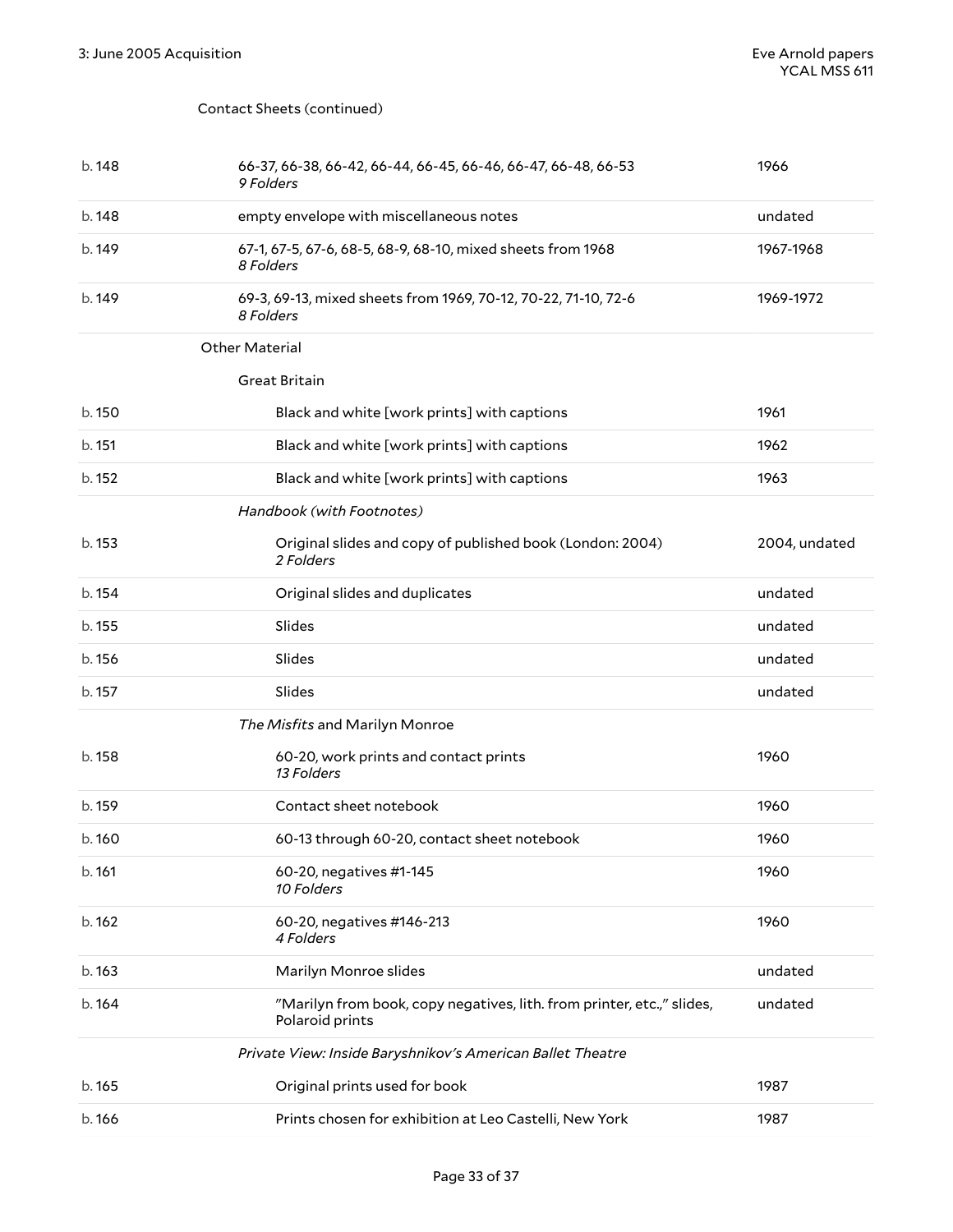#### Contact Sheets (continued)

<span id="page-32-0"></span>

| b. 148 | 66-37, 66-38, 66-42, 66-44, 66-45, 66-46, 66-47, 66-48, 66-53<br>9 Folders                | 1966          |
|--------|-------------------------------------------------------------------------------------------|---------------|
| b. 148 | empty envelope with miscellaneous notes                                                   | undated       |
| b. 149 | 67-1, 67-5, 67-6, 68-5, 68-9, 68-10, mixed sheets from 1968<br>8 Folders                  | 1967-1968     |
| b. 149 | 69-3, 69-13, mixed sheets from 1969, 70-12, 70-22, 71-10, 72-6<br>8 Folders               | 1969-1972     |
|        | <b>Other Material</b>                                                                     |               |
|        | <b>Great Britain</b>                                                                      |               |
| b. 150 | Black and white [work prints] with captions                                               | 1961          |
| b. 151 | Black and white [work prints] with captions                                               | 1962          |
| b. 152 | Black and white [work prints] with captions                                               | 1963          |
|        | Handbook (with Footnotes)                                                                 |               |
| b. 153 | Original slides and copy of published book (London: 2004)<br>2 Folders                    | 2004, undated |
| b. 154 | Original slides and duplicates                                                            | undated       |
| b. 155 | Slides                                                                                    | undated       |
| b. 156 | Slides                                                                                    | undated       |
| b. 157 | Slides                                                                                    | undated       |
|        | The Misfits and Marilyn Monroe                                                            |               |
| b. 158 | 60-20, work prints and contact prints<br>13 Folders                                       | 1960          |
| b. 159 | Contact sheet notebook                                                                    | 1960          |
| b.160  | 60-13 through 60-20, contact sheet notebook                                               | 1960          |
| b. 161 | 60-20, negatives #1-145<br>10 Folders                                                     | 1960          |
| b. 162 | 60-20, negatives #146-213<br>4 Folders                                                    | 1960          |
| b.163  | Marilyn Monroe slides                                                                     | undated       |
| b. 164 | "Marilyn from book, copy negatives, lith. from printer, etc.," slides,<br>Polaroid prints | undated       |
|        | Private View: Inside Baryshnikov's American Ballet Theatre                                |               |
| b. 165 | Original prints used for book                                                             | 1987          |
| b. 166 | Prints chosen for exhibition at Leo Castelli, New York                                    | 1987          |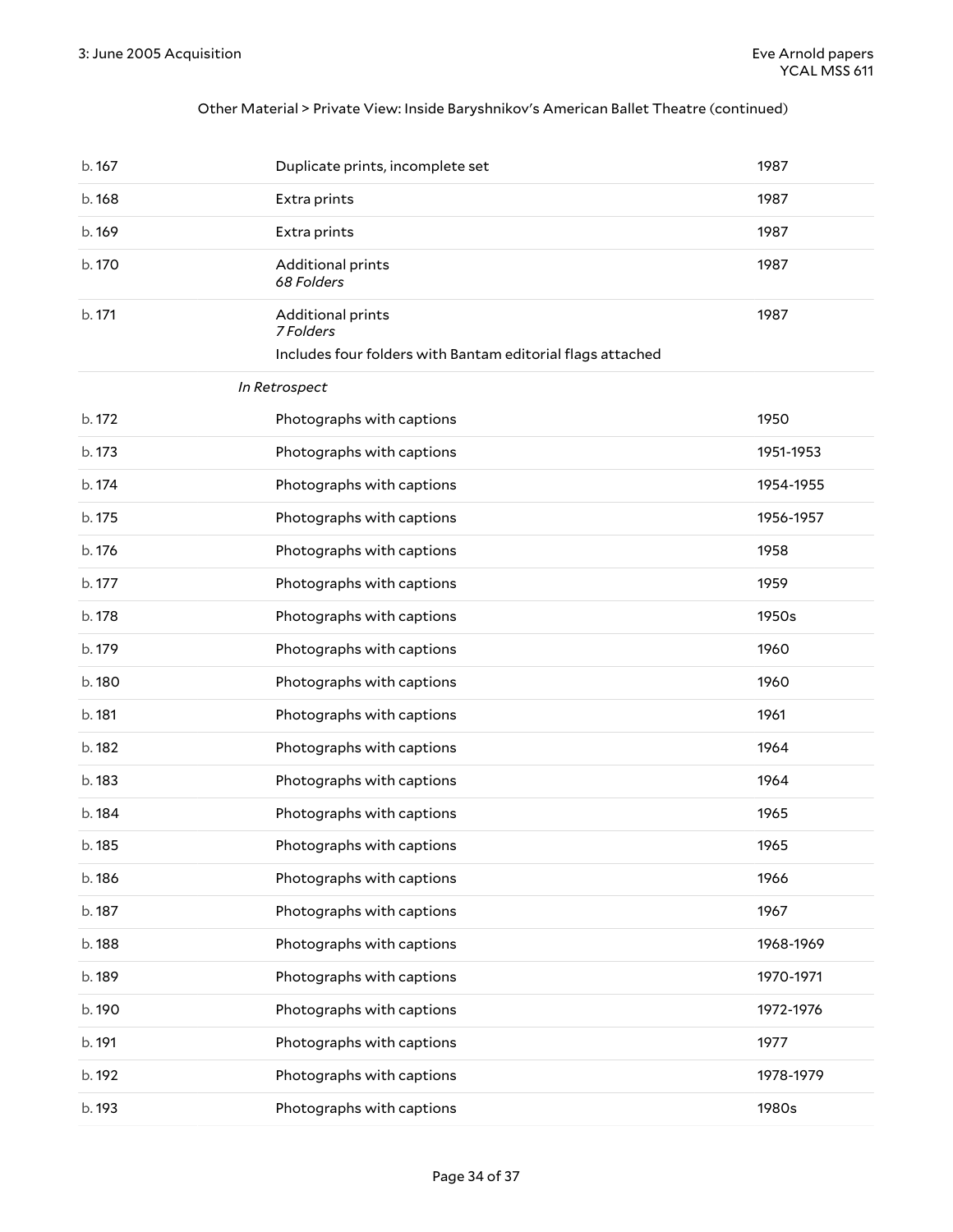#### Other Material > Private View: Inside Baryshnikov's American Ballet Theatre (continued)

| b. 167 | Duplicate prints, incomplete set                           | 1987      |
|--------|------------------------------------------------------------|-----------|
| b. 168 | Extra prints                                               | 1987      |
| b. 169 | Extra prints                                               | 1987      |
| b. 170 | Additional prints<br>68 Folders                            | 1987      |
| b. 171 | Additional prints<br>7 Folders                             | 1987      |
|        | Includes four folders with Bantam editorial flags attached |           |
|        | In Retrospect                                              |           |
| b. 172 | Photographs with captions                                  | 1950      |
| b. 173 | Photographs with captions                                  | 1951-1953 |
| b. 174 | Photographs with captions                                  | 1954-1955 |
| b. 175 | Photographs with captions                                  | 1956-1957 |
| b. 176 | Photographs with captions                                  | 1958      |
| b. 177 | Photographs with captions                                  | 1959      |
| b. 178 | Photographs with captions                                  | 1950s     |
| b. 179 | Photographs with captions                                  | 1960      |
| b.180  | Photographs with captions                                  | 1960      |
| b. 181 | Photographs with captions                                  | 1961      |
| b. 182 | Photographs with captions                                  | 1964      |
| b. 183 | Photographs with captions                                  | 1964      |
| b. 184 | Photographs with captions                                  | 1965      |
| b. 185 | Photographs with captions                                  | 1965      |
| b. 186 | Photographs with captions                                  | 1966      |
| b. 187 | Photographs with captions                                  | 1967      |
| b. 188 | Photographs with captions                                  | 1968-1969 |
| b. 189 | Photographs with captions                                  | 1970-1971 |
| b.190  | Photographs with captions                                  | 1972-1976 |
| b. 191 | Photographs with captions                                  | 1977      |
| b. 192 | Photographs with captions                                  | 1978-1979 |
| b. 193 | Photographs with captions                                  | 1980s     |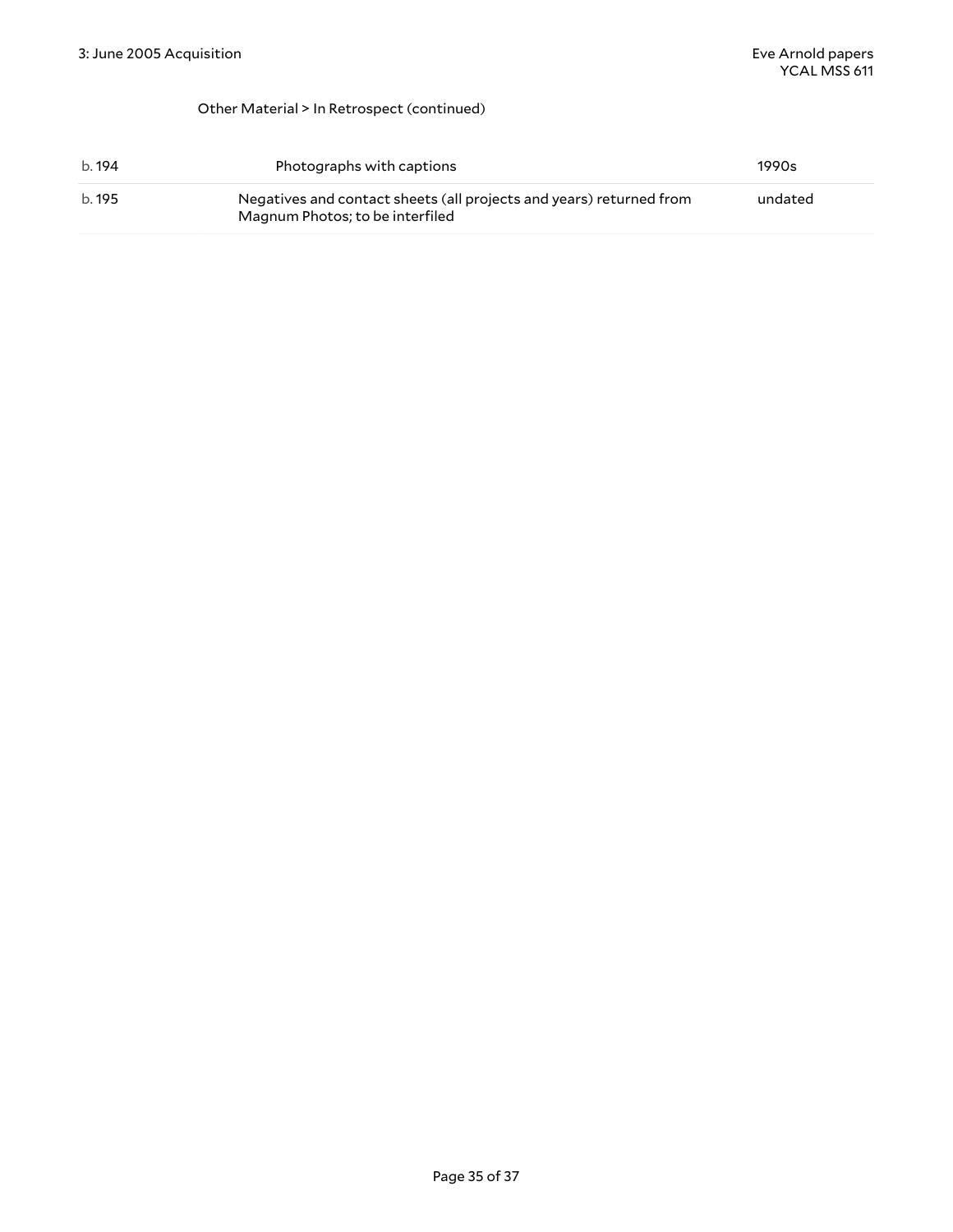#### Other Material > In Retrospect (continued)

| b. 194 | Photographs with captions                                                                              | 1990s   |
|--------|--------------------------------------------------------------------------------------------------------|---------|
| b. 195 | Negatives and contact sheets (all projects and years) returned from<br>Magnum Photos; to be interfiled | undated |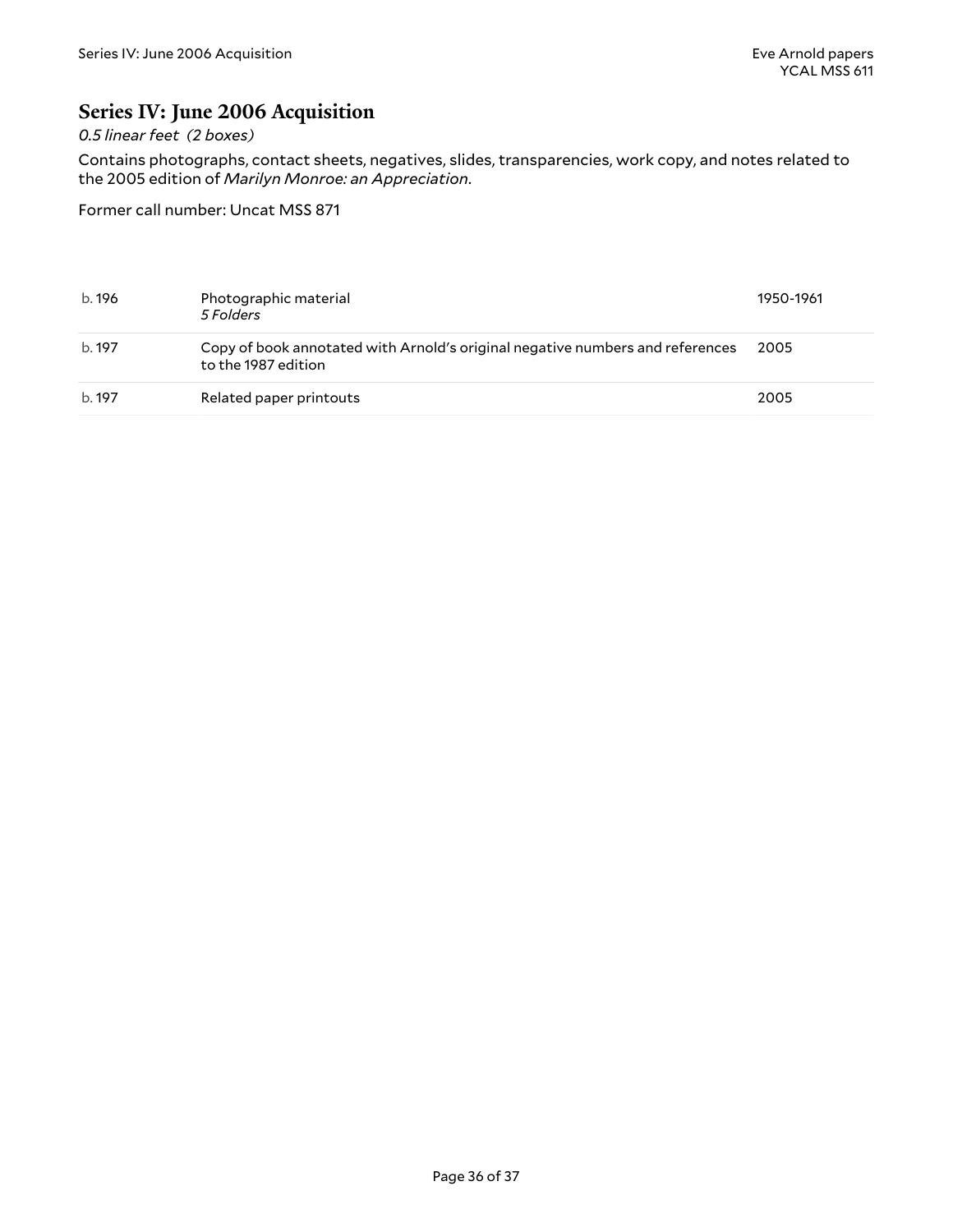### <span id="page-35-0"></span>**Series IV: June 2006 Acquisition**

#### *0.5 linear feet (2 boxes)*

Contains photographs, contact sheets, negatives, slides, transparencies, work copy, and notes related to the 2005 edition of *Marilyn Monroe: an Appreciation*.

Former call number: Uncat MSS 871

| b. 196 | Photographic material<br>5 Folders                                                                   | 1950-1961 |
|--------|------------------------------------------------------------------------------------------------------|-----------|
| b. 197 | Copy of book annotated with Arnold's original negative numbers and references<br>to the 1987 edition | 2005      |
| b. 197 | Related paper printouts                                                                              | 2005      |